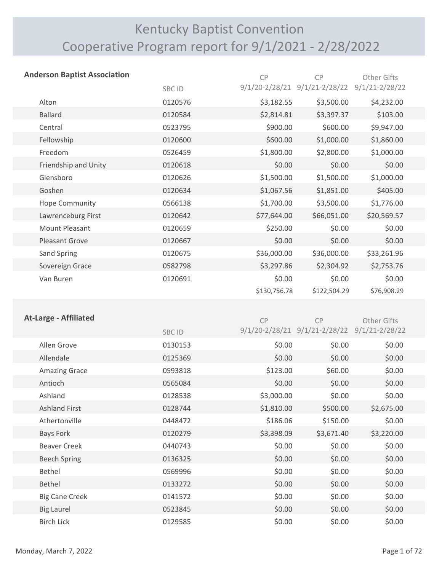# Kentucky Baptist Convention Cooperative Program report for 9/1/2021 - 2/28/2022

| <b>Anderson Baptist Association</b> |              | CP           | <b>CP</b>                                                      | Other Gifts        |
|-------------------------------------|--------------|--------------|----------------------------------------------------------------|--------------------|
|                                     | <b>SBCID</b> |              | 9/1/20-2/28/21 9/1/21-2/28/22 9/1/21-2/28/22                   |                    |
| Alton                               | 0120576      | \$3,182.55   | \$3,500.00                                                     | \$4,232.00         |
| <b>Ballard</b>                      | 0120584      | \$2,814.81   | \$3,397.37                                                     | \$103.00           |
| Central                             | 0523795      | \$900.00     | \$600.00                                                       | \$9,947.00         |
| Fellowship                          | 0120600      | \$600.00     | \$1,000.00                                                     | \$1,860.00         |
| Freedom                             | 0526459      | \$1,800.00   | \$2,800.00                                                     | \$1,000.00         |
| Friendship and Unity                | 0120618      | \$0.00       | \$0.00                                                         | \$0.00             |
| Glensboro                           | 0120626      | \$1,500.00   | \$1,500.00                                                     | \$1,000.00         |
| Goshen                              | 0120634      | \$1,067.56   | \$1,851.00                                                     | \$405.00           |
| Hope Community                      | 0566138      | \$1,700.00   | \$3,500.00                                                     | \$1,776.00         |
| Lawrenceburg First                  | 0120642      | \$77,644.00  | \$66,051.00                                                    | \$20,569.57        |
| Mount Pleasant                      | 0120659      | \$250.00     | \$0.00                                                         | \$0.00             |
| <b>Pleasant Grove</b>               | 0120667      | \$0.00       | \$0.00                                                         | \$0.00             |
| Sand Spring                         | 0120675      | \$36,000.00  | \$36,000.00                                                    | \$33,261.96        |
| Sovereign Grace                     | 0582798      | \$3,297.86   | \$2,304.92                                                     | \$2,753.76         |
| Van Buren                           | 0120691      | \$0.00       | \$0.00                                                         | \$0.00             |
|                                     |              | \$130,756.78 | \$122,504.29                                                   | \$76,908.29        |
|                                     |              |              |                                                                |                    |
| <b>At-Large - Affiliated</b>        | CRC IN       | CP           | CP<br>$9/1/20 - 2/28/21$ $9/1/21 - 2/28/22$ $9/1/21 - 2/28/22$ | <b>Other Gifts</b> |

|                       | SBC ID  |            |            |                                                          |
|-----------------------|---------|------------|------------|----------------------------------------------------------|
| Allen Grove           | 0130153 | \$0.00     | \$0.00     | \$0.00                                                   |
| Allendale             | 0125369 | \$0.00     | \$0.00     | \$0.00                                                   |
| <b>Amazing Grace</b>  | 0593818 | \$123.00   | \$60.00    | \$0.00                                                   |
| Antioch               | 0565084 | \$0.00     | \$0.00     | \$0.00                                                   |
| Ashland               | 0128538 | \$3,000.00 | \$0.00     | \$0.00                                                   |
| <b>Ashland First</b>  | 0128744 | \$1,810.00 | \$500.00   | \$2,675.00                                               |
| Athertonville         | 0448472 | \$186.06   | \$150.00   | \$0.00                                                   |
| Bays Fork             | 0120279 | \$3,398.09 | \$3,671.40 | \$3,220.00                                               |
| <b>Beaver Creek</b>   | 0440743 | \$0.00     | \$0.00     | \$0.00                                                   |
| <b>Beech Spring</b>   | 0136325 | \$0.00     | \$0.00     | \$0.00                                                   |
| Bethel                | 0569996 | \$0.00     | \$0.00     | \$0.00                                                   |
| <b>Bethel</b>         | 0133272 | \$0.00     | \$0.00     | \$0.00                                                   |
| <b>Big Cane Creek</b> | 0141572 | \$0.00     | \$0.00     | \$0.00                                                   |
| <b>Big Laurel</b>     | 0523845 | \$0.00     | \$0.00     | \$0.00                                                   |
| <b>Birch Lick</b>     | 0129585 | \$0.00     | \$0.00     | \$0.00                                                   |
|                       |         |            |            | $9/1/20 - 2/28/21$ $9/1/21 - 2/28/22$ $9/1/21 - 2/28/22$ |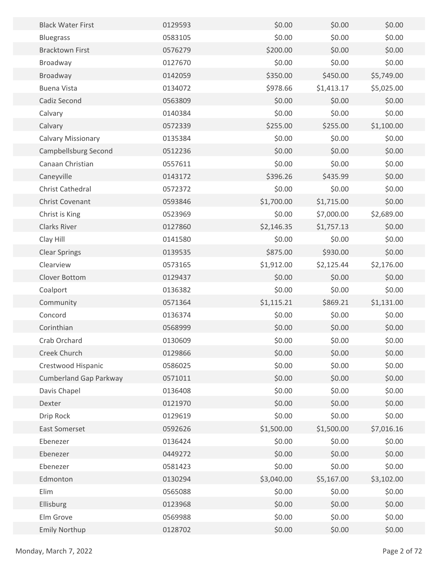| <b>Black Water First</b>      | 0129593 | \$0.00     | \$0.00     | \$0.00     |
|-------------------------------|---------|------------|------------|------------|
| <b>Bluegrass</b>              | 0583105 | \$0.00     | \$0.00     | \$0.00     |
| <b>Bracktown First</b>        | 0576279 | \$200.00   | \$0.00     | \$0.00     |
| Broadway                      | 0127670 | \$0.00     | \$0.00     | \$0.00     |
| Broadway                      | 0142059 | \$350.00   | \$450.00   | \$5,749.00 |
| <b>Buena Vista</b>            | 0134072 | \$978.66   | \$1,413.17 | \$5,025.00 |
| Cadiz Second                  | 0563809 | \$0.00     | \$0.00     | \$0.00     |
| Calvary                       | 0140384 | \$0.00     | \$0.00     | \$0.00     |
| Calvary                       | 0572339 | \$255.00   | \$255.00   | \$1,100.00 |
| <b>Calvary Missionary</b>     | 0135384 | \$0.00     | \$0.00     | \$0.00     |
| Campbellsburg Second          | 0512236 | \$0.00     | \$0.00     | \$0.00     |
| Canaan Christian              | 0557611 | \$0.00     | \$0.00     | \$0.00     |
| Caneyville                    | 0143172 | \$396.26   | \$435.99   | \$0.00     |
| Christ Cathedral              | 0572372 | \$0.00     | \$0.00     | \$0.00     |
| Christ Covenant               | 0593846 | \$1,700.00 | \$1,715.00 | \$0.00     |
| Christ is King                | 0523969 | \$0.00     | \$7,000.00 | \$2,689.00 |
| <b>Clarks River</b>           | 0127860 | \$2,146.35 | \$1,757.13 | \$0.00     |
| Clay Hill                     | 0141580 | \$0.00     | \$0.00     | \$0.00     |
| <b>Clear Springs</b>          | 0139535 | \$875.00   | \$930.00   | \$0.00     |
| Clearview                     | 0573165 | \$1,912.00 | \$2,125.44 | \$2,176.00 |
| Clover Bottom                 | 0129437 | \$0.00     | \$0.00     | \$0.00     |
| Coalport                      | 0136382 | \$0.00     | \$0.00     | \$0.00     |
| Community                     | 0571364 | \$1,115.21 | \$869.21   | \$1,131.00 |
| Concord                       | 0136374 | \$0.00     | \$0.00     | \$0.00     |
| Corinthian                    | 0568999 | \$0.00     | \$0.00     | \$0.00     |
| Crab Orchard                  | 0130609 | \$0.00     | \$0.00     | \$0.00     |
| Creek Church                  | 0129866 | \$0.00     | \$0.00     | \$0.00     |
| Crestwood Hispanic            | 0586025 | \$0.00     | \$0.00     | \$0.00     |
| <b>Cumberland Gap Parkway</b> | 0571011 | \$0.00     | \$0.00     | \$0.00     |
| Davis Chapel                  | 0136408 | \$0.00     | \$0.00     | \$0.00     |
| Dexter                        | 0121970 | \$0.00     | \$0.00     | \$0.00     |
| Drip Rock                     | 0129619 | \$0.00     | \$0.00     | \$0.00     |
| East Somerset                 | 0592626 | \$1,500.00 | \$1,500.00 | \$7,016.16 |
| Ebenezer                      | 0136424 | \$0.00     | \$0.00     | \$0.00     |
| Ebenezer                      | 0449272 | \$0.00     | \$0.00     | \$0.00     |
| Ebenezer                      | 0581423 | \$0.00     | \$0.00     | \$0.00     |
| Edmonton                      | 0130294 | \$3,040.00 | \$5,167.00 | \$3,102.00 |
| Elim                          | 0565088 | \$0.00     | \$0.00     | \$0.00     |
| Ellisburg                     | 0123968 | \$0.00     | \$0.00     | \$0.00     |
| Elm Grove                     | 0569988 | \$0.00     | \$0.00     | \$0.00     |
| <b>Emily Northup</b>          | 0128702 | \$0.00     | \$0.00     | \$0.00     |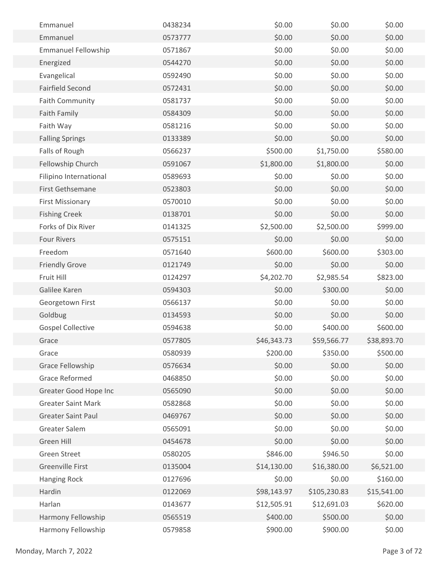| Emmanuel                   | 0438234 | \$0.00      | \$0.00       | \$0.00      |  |
|----------------------------|---------|-------------|--------------|-------------|--|
| Emmanuel                   | 0573777 | \$0.00      | \$0.00       | \$0.00      |  |
| <b>Emmanuel Fellowship</b> | 0571867 | \$0.00      | \$0.00       | \$0.00      |  |
| Energized                  | 0544270 | \$0.00      | \$0.00       | \$0.00      |  |
| Evangelical                | 0592490 | \$0.00      | \$0.00       | \$0.00      |  |
| <b>Fairfield Second</b>    | 0572431 | \$0.00      | \$0.00       | \$0.00      |  |
| <b>Faith Community</b>     | 0581737 | \$0.00      | \$0.00       | \$0.00      |  |
| <b>Faith Family</b>        | 0584309 | \$0.00      | \$0.00       | \$0.00      |  |
| Faith Way                  | 0581216 | \$0.00      | \$0.00       | \$0.00      |  |
| <b>Falling Springs</b>     | 0133389 | \$0.00      | \$0.00       | \$0.00      |  |
| Falls of Rough             | 0566237 | \$500.00    | \$1,750.00   | \$580.00    |  |
| Fellowship Church          | 0591067 | \$1,800.00  | \$1,800.00   | \$0.00      |  |
| Filipino International     | 0589693 | \$0.00      | \$0.00       | \$0.00      |  |
| First Gethsemane           | 0523803 | \$0.00      | \$0.00       | \$0.00      |  |
| <b>First Missionary</b>    | 0570010 | \$0.00      | \$0.00       | \$0.00      |  |
| <b>Fishing Creek</b>       | 0138701 | \$0.00      | \$0.00       | \$0.00      |  |
| Forks of Dix River         | 0141325 | \$2,500.00  | \$2,500.00   | \$999.00    |  |
| <b>Four Rivers</b>         | 0575151 | \$0.00      | \$0.00       | \$0.00      |  |
| Freedom                    | 0571640 | \$600.00    | \$600.00     | \$303.00    |  |
| <b>Friendly Grove</b>      | 0121749 | \$0.00      | \$0.00       | \$0.00      |  |
| Fruit Hill                 | 0124297 | \$4,202.70  | \$2,985.54   | \$823.00    |  |
| Galilee Karen              | 0594303 | \$0.00      | \$300.00     | \$0.00      |  |
| Georgetown First           | 0566137 | \$0.00      | \$0.00       | \$0.00      |  |
| Goldbug                    | 0134593 | \$0.00      | \$0.00       | \$0.00      |  |
| <b>Gospel Collective</b>   | 0594638 | \$0.00      | \$400.00     | \$600.00    |  |
| Grace                      | 0577805 | \$46,343.73 | \$59,566.77  | \$38,893.70 |  |
| Grace                      | 0580939 | \$200.00    | \$350.00     | \$500.00    |  |
| Grace Fellowship           | 0576634 | \$0.00      | \$0.00       | \$0.00      |  |
| <b>Grace Reformed</b>      | 0468850 | \$0.00      | \$0.00       | \$0.00      |  |
| Greater Good Hope Inc      | 0565090 | \$0.00      | \$0.00       | \$0.00      |  |
| <b>Greater Saint Mark</b>  | 0582868 | \$0.00      | \$0.00       | \$0.00      |  |
| <b>Greater Saint Paul</b>  | 0469767 | \$0.00      | \$0.00       | \$0.00      |  |
| Greater Salem              | 0565091 | \$0.00      | \$0.00       | \$0.00      |  |
| Green Hill                 | 0454678 | \$0.00      | \$0.00       | \$0.00      |  |
| <b>Green Street</b>        | 0580205 | \$846.00    | \$946.50     | \$0.00      |  |
| <b>Greenville First</b>    | 0135004 | \$14,130.00 | \$16,380.00  | \$6,521.00  |  |
| <b>Hanging Rock</b>        | 0127696 | \$0.00      | \$0.00       | \$160.00    |  |
| Hardin                     | 0122069 | \$98,143.97 | \$105,230.83 | \$15,541.00 |  |
| Harlan                     | 0143677 | \$12,505.91 | \$12,691.03  | \$620.00    |  |
| Harmony Fellowship         | 0565519 | \$400.00    | \$500.00     | \$0.00      |  |
| Harmony Fellowship         | 0579858 | \$900.00    | \$900.00     | \$0.00      |  |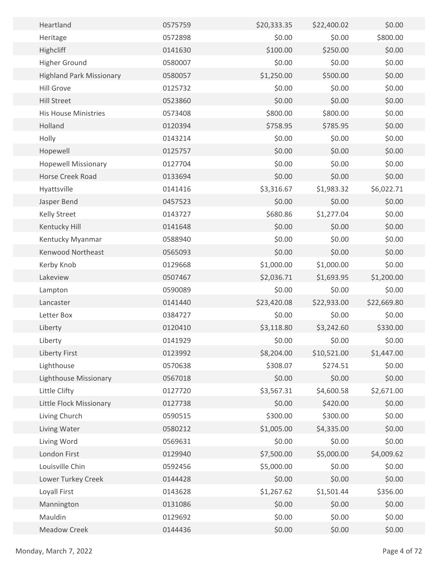| Heartland                       | 0575759 | \$20,333.35 | \$22,400.02 | \$0.00      |  |
|---------------------------------|---------|-------------|-------------|-------------|--|
| Heritage                        | 0572898 | \$0.00      | \$0.00      | \$800.00    |  |
| Highcliff                       | 0141630 | \$100.00    | \$250.00    | \$0.00      |  |
| <b>Higher Ground</b>            | 0580007 | \$0.00      | \$0.00      | \$0.00      |  |
| <b>Highland Park Missionary</b> | 0580057 | \$1,250.00  | \$500.00    | \$0.00      |  |
| <b>Hill Grove</b>               | 0125732 | \$0.00      | \$0.00      | \$0.00      |  |
| <b>Hill Street</b>              | 0523860 | \$0.00      | \$0.00      | \$0.00      |  |
| <b>His House Ministries</b>     | 0573408 | \$800.00    | \$800.00    | \$0.00      |  |
| Holland                         | 0120394 | \$758.95    | \$785.95    | \$0.00      |  |
| Holly                           | 0143214 | \$0.00      | \$0.00      | \$0.00      |  |
| Hopewell                        | 0125757 | \$0.00      | \$0.00      | \$0.00      |  |
| <b>Hopewell Missionary</b>      | 0127704 | \$0.00      | \$0.00      | \$0.00      |  |
| Horse Creek Road                | 0133694 | \$0.00      | \$0.00      | \$0.00      |  |
| Hyattsville                     | 0141416 | \$3,316.67  | \$1,983.32  | \$6,022.71  |  |
| Jasper Bend                     | 0457523 | \$0.00      | \$0.00      | \$0.00      |  |
| Kelly Street                    | 0143727 | \$680.86    | \$1,277.04  | \$0.00      |  |
| Kentucky Hill                   | 0141648 | \$0.00      | \$0.00      | \$0.00      |  |
| Kentucky Myanmar                | 0588940 | \$0.00      | \$0.00      | \$0.00      |  |
| Kenwood Northeast               | 0565093 | \$0.00      | \$0.00      | \$0.00      |  |
| Kerby Knob                      | 0129668 | \$1,000.00  | \$1,000.00  | \$0.00      |  |
| Lakeview                        | 0507467 | \$2,036.71  | \$1,693.95  | \$1,200.00  |  |
| Lampton                         | 0590089 | \$0.00      | \$0.00      | \$0.00      |  |
| Lancaster                       | 0141440 | \$23,420.08 | \$22,933.00 | \$22,669.80 |  |
| Letter Box                      | 0384727 | \$0.00      | \$0.00      | \$0.00      |  |
| Liberty                         | 0120410 | \$3,118.80  | \$3,242.60  | \$330.00    |  |
| Liberty                         | 0141929 | \$0.00      | \$0.00      | \$0.00      |  |
| <b>Liberty First</b>            | 0123992 | \$8,204.00  | \$10,521.00 | \$1,447.00  |  |
| Lighthouse                      | 0570638 | \$308.07    | \$274.51    | \$0.00      |  |
| <b>Lighthouse Missionary</b>    | 0567018 | \$0.00      | \$0.00      | \$0.00      |  |
| Little Clifty                   | 0127720 | \$3,567.31  | \$4,600.58  | \$2,671.00  |  |
| Little Flock Missionary         | 0127738 | \$0.00      | \$420.00    | \$0.00      |  |
| Living Church                   | 0590515 | \$300.00    | \$300.00    | \$0.00      |  |
| Living Water                    | 0580212 | \$1,005.00  | \$4,335.00  | \$0.00      |  |
| Living Word                     | 0569631 | \$0.00      | \$0.00      | \$0.00      |  |
| London First                    | 0129940 | \$7,500.00  | \$5,000.00  | \$4,009.62  |  |
| Louisville Chin                 | 0592456 | \$5,000.00  | \$0.00      | \$0.00      |  |
| Lower Turkey Creek              | 0144428 | \$0.00      | \$0.00      | \$0.00      |  |
| Loyall First                    | 0143628 | \$1,267.62  | \$1,501.44  | \$356.00    |  |
| Mannington                      | 0131086 | \$0.00      | \$0.00      | \$0.00      |  |
| Mauldin                         | 0129692 | \$0.00      | \$0.00      | \$0.00      |  |
| <b>Meadow Creek</b>             | 0144436 | \$0.00      | \$0.00      | \$0.00      |  |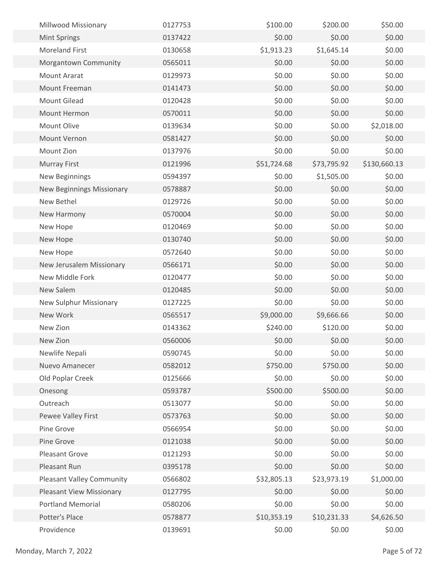| Millwood Missionary              | 0127753 | \$100.00    | \$200.00    | \$50.00      |  |
|----------------------------------|---------|-------------|-------------|--------------|--|
| <b>Mint Springs</b>              | 0137422 | \$0.00      | \$0.00      | \$0.00       |  |
| <b>Moreland First</b>            | 0130658 | \$1,913.23  | \$1,645.14  | \$0.00       |  |
| Morgantown Community             | 0565011 | \$0.00      | \$0.00      | \$0.00       |  |
| <b>Mount Ararat</b>              | 0129973 | \$0.00      | \$0.00      | \$0.00       |  |
| Mount Freeman                    | 0141473 | \$0.00      | \$0.00      | \$0.00       |  |
| <b>Mount Gilead</b>              | 0120428 | \$0.00      | \$0.00      | \$0.00       |  |
| Mount Hermon                     | 0570011 | \$0.00      | \$0.00      | \$0.00       |  |
| Mount Olive                      | 0139634 | \$0.00      | \$0.00      | \$2,018.00   |  |
| Mount Vernon                     | 0581427 | \$0.00      | \$0.00      | \$0.00       |  |
| Mount Zion                       | 0137976 | \$0.00      | \$0.00      | \$0.00       |  |
| <b>Murray First</b>              | 0121996 | \$51,724.68 | \$73,795.92 | \$130,660.13 |  |
| New Beginnings                   | 0594397 | \$0.00      | \$1,505.00  | \$0.00       |  |
| <b>New Beginnings Missionary</b> | 0578887 | \$0.00      | \$0.00      | \$0.00       |  |
| New Bethel                       | 0129726 | \$0.00      | \$0.00      | \$0.00       |  |
| New Harmony                      | 0570004 | \$0.00      | \$0.00      | \$0.00       |  |
| New Hope                         | 0120469 | \$0.00      | \$0.00      | \$0.00       |  |
| New Hope                         | 0130740 | \$0.00      | \$0.00      | \$0.00       |  |
| New Hope                         | 0572640 | \$0.00      | \$0.00      | \$0.00       |  |
| New Jerusalem Missionary         | 0566171 | \$0.00      | \$0.00      | \$0.00       |  |
| New Middle Fork                  | 0120477 | \$0.00      | \$0.00      | \$0.00       |  |
| New Salem                        | 0120485 | \$0.00      | \$0.00      | \$0.00       |  |
| New Sulphur Missionary           | 0127225 | \$0.00      | \$0.00      | \$0.00       |  |
| New Work                         | 0565517 | \$9,000.00  | \$9,666.66  | \$0.00       |  |
| New Zion                         | 0143362 | \$240.00    | \$120.00    | \$0.00       |  |
| New Zion                         | 0560006 | \$0.00      | \$0.00      | \$0.00       |  |
| Newlife Nepali                   | 0590745 | \$0.00      | \$0.00      | \$0.00       |  |
| Nuevo Amanecer                   | 0582012 | \$750.00    | \$750.00    | \$0.00       |  |
| Old Poplar Creek                 | 0125666 | \$0.00      | \$0.00      | \$0.00       |  |
| Onesong                          | 0593787 | \$500.00    | \$500.00    | \$0.00       |  |
| Outreach                         | 0513077 | \$0.00      | \$0.00      | \$0.00       |  |
| Pewee Valley First               | 0573763 | \$0.00      | \$0.00      | \$0.00       |  |
| Pine Grove                       | 0566954 | \$0.00      | \$0.00      | \$0.00       |  |
| Pine Grove                       | 0121038 | \$0.00      | \$0.00      | \$0.00       |  |
| Pleasant Grove                   | 0121293 | \$0.00      | \$0.00      | \$0.00       |  |
| Pleasant Run                     | 0395178 | \$0.00      | \$0.00      | \$0.00       |  |
| <b>Pleasant Valley Community</b> | 0566802 | \$32,805.13 | \$23,973.19 | \$1,000.00   |  |
| <b>Pleasant View Missionary</b>  | 0127795 | \$0.00      | \$0.00      | \$0.00       |  |
| <b>Portland Memorial</b>         | 0580206 | \$0.00      | \$0.00      | \$0.00       |  |
| Potter's Place                   | 0578877 | \$10,353.19 | \$10,231.33 | \$4,626.50   |  |
| Providence                       | 0139691 | \$0.00      | \$0.00      | \$0.00       |  |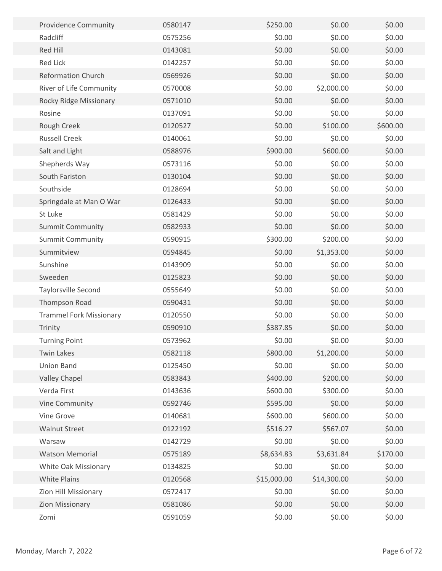| <b>Providence Community</b>    | 0580147 | \$250.00    | \$0.00      | \$0.00   |
|--------------------------------|---------|-------------|-------------|----------|
| Radcliff                       | 0575256 | \$0.00      | \$0.00      | \$0.00   |
| Red Hill                       | 0143081 | \$0.00      | \$0.00      | \$0.00   |
| <b>Red Lick</b>                | 0142257 | \$0.00      | \$0.00      | \$0.00   |
| <b>Reformation Church</b>      | 0569926 | \$0.00      | \$0.00      | \$0.00   |
| River of Life Community        | 0570008 | \$0.00      | \$2,000.00  | \$0.00   |
| Rocky Ridge Missionary         | 0571010 | \$0.00      | \$0.00      | \$0.00   |
| Rosine                         | 0137091 | \$0.00      | \$0.00      | \$0.00   |
| Rough Creek                    | 0120527 | \$0.00      | \$100.00    | \$600.00 |
| <b>Russell Creek</b>           | 0140061 | \$0.00      | \$0.00      | \$0.00   |
| Salt and Light                 | 0588976 | \$900.00    | \$600.00    | \$0.00   |
| Shepherds Way                  | 0573116 | \$0.00      | \$0.00      | \$0.00   |
| South Fariston                 | 0130104 | \$0.00      | \$0.00      | \$0.00   |
| Southside                      | 0128694 | \$0.00      | \$0.00      | \$0.00   |
| Springdale at Man O War        | 0126433 | \$0.00      | \$0.00      | \$0.00   |
| St Luke                        | 0581429 | \$0.00      | \$0.00      | \$0.00   |
| <b>Summit Community</b>        | 0582933 | \$0.00      | \$0.00      | \$0.00   |
| <b>Summit Community</b>        | 0590915 | \$300.00    | \$200.00    | \$0.00   |
| Summitview                     | 0594845 | \$0.00      | \$1,353.00  | \$0.00   |
| Sunshine                       | 0143909 | \$0.00      | \$0.00      | \$0.00   |
| Sweeden                        | 0125823 | \$0.00      | \$0.00      | \$0.00   |
| Taylorsville Second            | 0555649 | \$0.00      | \$0.00      | \$0.00   |
| Thompson Road                  | 0590431 | \$0.00      | \$0.00      | \$0.00   |
| <b>Trammel Fork Missionary</b> | 0120550 | \$0.00      | \$0.00      | \$0.00   |
| Trinity                        | 0590910 | \$387.85    | \$0.00      | \$0.00   |
| <b>Turning Point</b>           | 0573962 | \$0.00      | \$0.00      | \$0.00   |
| <b>Twin Lakes</b>              | 0582118 | \$800.00    | \$1,200.00  | \$0.00   |
| Union Band                     | 0125450 | \$0.00      | \$0.00      | \$0.00   |
| <b>Valley Chapel</b>           | 0583843 | \$400.00    | \$200.00    | \$0.00   |
| Verda First                    | 0143636 | \$600.00    | \$300.00    | \$0.00   |
| Vine Community                 | 0592746 | \$595.00    | \$0.00      | \$0.00   |
| Vine Grove                     | 0140681 | \$600.00    | \$600.00    | \$0.00   |
| <b>Walnut Street</b>           | 0122192 | \$516.27    | \$567.07    | \$0.00   |
| Warsaw                         | 0142729 | \$0.00      | \$0.00      | \$0.00   |
| <b>Watson Memorial</b>         | 0575189 | \$8,634.83  | \$3,631.84  | \$170.00 |
| White Oak Missionary           | 0134825 | \$0.00      | \$0.00      | \$0.00   |
| White Plains                   | 0120568 | \$15,000.00 | \$14,300.00 | \$0.00   |
| Zion Hill Missionary           | 0572417 | \$0.00      | \$0.00      | \$0.00   |
| <b>Zion Missionary</b>         | 0581086 | \$0.00      | \$0.00      | \$0.00   |
| Zomi                           | 0591059 | \$0.00      | \$0.00      | \$0.00   |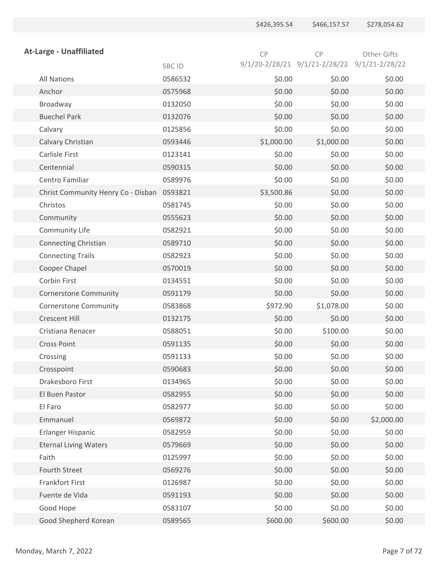|                                    |         | \$426,395.54 | \$466,157.57                                 | \$278,054.62 |
|------------------------------------|---------|--------------|----------------------------------------------|--------------|
|                                    |         |              |                                              |              |
| <b>At-Large - Unaffiliated</b>     |         | CP           | CP                                           | Other Gifts  |
|                                    | SBC ID  |              | 9/1/20-2/28/21 9/1/21-2/28/22 9/1/21-2/28/22 |              |
| <b>All Nations</b>                 | 0586532 | \$0.00       | \$0.00                                       | \$0.00       |
| Anchor                             | 0575968 | \$0.00       | \$0.00                                       | \$0.00       |
| Broadway                           | 0132050 | \$0.00       | \$0.00                                       | \$0.00       |
| <b>Buechel Park</b>                | 0132076 | \$0.00       | \$0.00                                       | \$0.00       |
| Calvary                            | 0125856 | \$0.00       | \$0.00                                       | \$0.00       |
| Calvary Christian                  | 0593446 | \$1,000.00   | \$1,000.00                                   | \$0.00       |
| Carlisle First                     | 0123141 | \$0.00       | \$0.00                                       | \$0.00       |
| Centennial                         | 0590315 | \$0.00       | \$0.00                                       | \$0.00       |
| Centro Familiar                    | 0589976 | \$0.00       | \$0.00                                       | \$0.00       |
| Christ Community Henry Co - Disban | 0593821 | \$3,500.86   | \$0.00                                       | \$0.00       |
| Christos                           | 0581745 | \$0.00       | \$0.00                                       | \$0.00       |
| Community                          | 0555623 | \$0.00       | \$0.00                                       | \$0.00       |
| Community Life                     | 0582921 | \$0.00       | \$0.00                                       | \$0.00       |
| <b>Connecting Christian</b>        | 0589710 | \$0.00       | \$0.00                                       | \$0.00       |
| <b>Connecting Trails</b>           | 0582923 | \$0.00       | \$0.00                                       | \$0.00       |
| Cooper Chapel                      | 0570019 | \$0.00       | \$0.00                                       | \$0.00       |
| Corbin First                       | 0134551 | \$0.00       | \$0.00                                       | \$0.00       |
| <b>Cornerstone Community</b>       | 0591179 | \$0.00       | \$0.00                                       | \$0.00       |
| <b>Cornerstone Community</b>       | 0583868 | \$972.90     | \$1,078.00                                   | \$0.00       |
| <b>Crescent Hill</b>               | 0132175 | \$0.00       | \$0.00                                       | \$0.00       |
| Cristiana Renacer                  | 0588051 | \$0.00       | \$100.00                                     | \$0.00       |
| Cross Point                        | 0591135 | \$0.00       | \$0.00                                       | \$0.00       |
| Crossing                           | 0591133 | \$0.00       | \$0.00                                       | \$0.00       |
| Crosspoint                         | 0590683 | \$0.00       | \$0.00                                       | \$0.00       |
| Drakesboro First                   | 0134965 | \$0.00       | \$0.00                                       | \$0.00       |
| El Buen Pastor                     | 0582955 | \$0.00       | \$0.00                                       | \$0.00       |
| El Faro                            | 0582977 | \$0.00       | \$0.00                                       | \$0.00       |
| Emmanuel                           | 0569872 | \$0.00       | \$0.00                                       | \$2,000.00   |
| Erlanger Hispanic                  | 0582959 | \$0.00       | \$0.00                                       | \$0.00       |
| <b>Eternal Living Waters</b>       | 0579669 | \$0.00       | \$0.00                                       | \$0.00       |
| Faith                              | 0125997 | \$0.00       | \$0.00                                       | \$0.00       |
| Fourth Street                      | 0569276 | \$0.00       | \$0.00                                       | \$0.00       |
| Frankfort First                    | 0126987 | \$0.00       | \$0.00                                       | \$0.00       |
| Fuente de Vida                     | 0591193 | \$0.00       | \$0.00                                       | \$0.00       |
| Good Hope                          | 0583107 | \$0.00       | \$0.00                                       | \$0.00       |
| Good Shepherd Korean               | 0589565 | \$600.00     | \$600.00                                     | \$0.00       |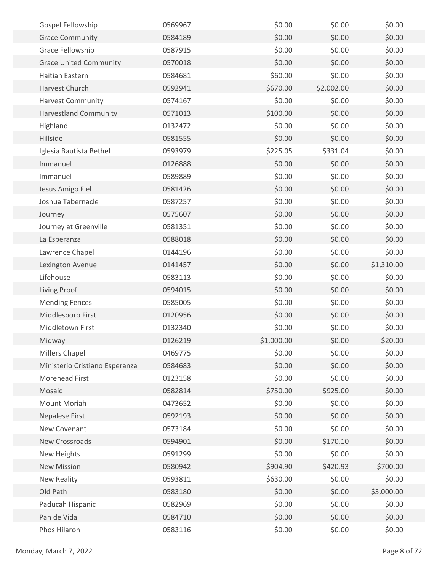| Gospel Fellowship              | 0569967 | \$0.00     | \$0.00     | \$0.00     |
|--------------------------------|---------|------------|------------|------------|
| <b>Grace Community</b>         | 0584189 | \$0.00     | \$0.00     | \$0.00     |
| Grace Fellowship               | 0587915 | \$0.00     | \$0.00     | \$0.00     |
| <b>Grace United Community</b>  | 0570018 | \$0.00     | \$0.00     | \$0.00     |
| Haitian Eastern                | 0584681 | \$60.00    | \$0.00     | \$0.00     |
| Harvest Church                 | 0592941 | \$670.00   | \$2,002.00 | \$0.00     |
| <b>Harvest Community</b>       | 0574167 | \$0.00     | \$0.00     | \$0.00     |
| <b>Harvestland Community</b>   | 0571013 | \$100.00   | \$0.00     | \$0.00     |
| Highland                       | 0132472 | \$0.00     | \$0.00     | \$0.00     |
| Hillside                       | 0581555 | \$0.00     | \$0.00     | \$0.00     |
| Iglesia Bautista Bethel        | 0593979 | \$225.05   | \$331.04   | \$0.00     |
| Immanuel                       | 0126888 | \$0.00     | \$0.00     | \$0.00     |
| Immanuel                       | 0589889 | \$0.00     | \$0.00     | \$0.00     |
| Jesus Amigo Fiel               | 0581426 | \$0.00     | \$0.00     | \$0.00     |
| Joshua Tabernacle              | 0587257 | \$0.00     | \$0.00     | \$0.00     |
| Journey                        | 0575607 | \$0.00     | \$0.00     | \$0.00     |
| Journey at Greenville          | 0581351 | \$0.00     | \$0.00     | \$0.00     |
| La Esperanza                   | 0588018 | \$0.00     | \$0.00     | \$0.00     |
| Lawrence Chapel                | 0144196 | \$0.00     | \$0.00     | \$0.00     |
| Lexington Avenue               | 0141457 | \$0.00     | \$0.00     | \$1,310.00 |
| Lifehouse                      | 0583113 | \$0.00     | \$0.00     | \$0.00     |
| Living Proof                   | 0594015 | \$0.00     | \$0.00     | \$0.00     |
| <b>Mending Fences</b>          | 0585005 | \$0.00     | \$0.00     | \$0.00     |
| Middlesboro First              | 0120956 | \$0.00     | \$0.00     | \$0.00     |
| Middletown First               | 0132340 | \$0.00     | \$0.00     | \$0.00     |
| Midway                         | 0126219 | \$1,000.00 | \$0.00     | \$20.00    |
| Millers Chapel                 | 0469775 | \$0.00     | \$0.00     | \$0.00     |
| Ministerio Cristiano Esperanza | 0584683 | \$0.00     | \$0.00     | \$0.00     |
| Morehead First                 | 0123158 | \$0.00     | \$0.00     | \$0.00     |
| Mosaic                         | 0582814 | \$750.00   | \$925.00   | \$0.00     |
| Mount Moriah                   | 0473652 | \$0.00     | \$0.00     | \$0.00     |
| Nepalese First                 | 0592193 | \$0.00     | \$0.00     | \$0.00     |
| New Covenant                   | 0573184 | \$0.00     | \$0.00     | \$0.00     |
| New Crossroads                 | 0594901 | \$0.00     | \$170.10   | \$0.00     |
| New Heights                    | 0591299 | \$0.00     | \$0.00     | \$0.00     |
| <b>New Mission</b>             | 0580942 | \$904.90   | \$420.93   | \$700.00   |
| <b>New Reality</b>             | 0593811 | \$630.00   | \$0.00     | \$0.00     |
| Old Path                       | 0583180 | \$0.00     | \$0.00     | \$3,000.00 |
| Paducah Hispanic               | 0582969 | \$0.00     | \$0.00     | \$0.00     |
| Pan de Vida                    | 0584710 | \$0.00     | \$0.00     | \$0.00     |
| Phos Hilaron                   | 0583116 | \$0.00     | \$0.00     | \$0.00     |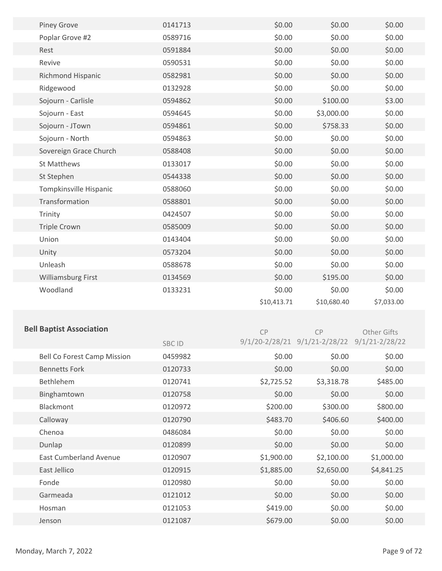| <b>Piney Grove</b>                 | 0141713 | \$0.00      | \$0.00                                       | \$0.00             |  |
|------------------------------------|---------|-------------|----------------------------------------------|--------------------|--|
| Poplar Grove #2                    | 0589716 | \$0.00      | \$0.00                                       | \$0.00             |  |
| Rest                               | 0591884 | \$0.00      | \$0.00                                       | \$0.00             |  |
| Revive                             | 0590531 | \$0.00      | \$0.00                                       | \$0.00             |  |
| Richmond Hispanic                  | 0582981 | \$0.00      | \$0.00                                       | \$0.00             |  |
| Ridgewood                          | 0132928 | \$0.00      | \$0.00                                       | \$0.00             |  |
| Sojourn - Carlisle                 | 0594862 | \$0.00      | \$100.00                                     | \$3.00             |  |
| Sojourn - East                     | 0594645 | \$0.00      | \$3,000.00                                   | \$0.00             |  |
| Sojourn - JTown                    | 0594861 | \$0.00      | \$758.33                                     | \$0.00             |  |
| Sojourn - North                    | 0594863 | \$0.00      | \$0.00                                       | \$0.00             |  |
| Sovereign Grace Church             | 0588408 | \$0.00      | \$0.00                                       | \$0.00             |  |
| St Matthews                        | 0133017 | \$0.00      | \$0.00                                       | \$0.00             |  |
| St Stephen                         | 0544338 | \$0.00      | \$0.00                                       | \$0.00             |  |
| Tompkinsville Hispanic             | 0588060 | \$0.00      | \$0.00                                       | \$0.00             |  |
| Transformation                     | 0588801 | \$0.00      | \$0.00                                       | \$0.00             |  |
| Trinity                            | 0424507 | \$0.00      | \$0.00                                       | \$0.00             |  |
| <b>Triple Crown</b>                | 0585009 | \$0.00      | \$0.00                                       | \$0.00             |  |
| Union                              | 0143404 | \$0.00      | \$0.00                                       | \$0.00             |  |
| Unity                              | 0573204 | \$0.00      | \$0.00                                       | \$0.00             |  |
| Unleash                            | 0588678 | \$0.00      | \$0.00                                       | \$0.00             |  |
| Williamsburg First                 | 0134569 | \$0.00      | \$195.00                                     | \$0.00             |  |
| Woodland                           | 0133231 | \$0.00      | \$0.00                                       | \$0.00             |  |
|                                    |         | \$10,413.71 | \$10,680.40                                  | \$7,033.00         |  |
|                                    |         |             |                                              |                    |  |
| <b>Bell Baptist Association</b>    |         | CP          | CP                                           | <b>Other Gifts</b> |  |
|                                    | SBC ID  |             | 9/1/20-2/28/21 9/1/21-2/28/22 9/1/21-2/28/22 |                    |  |
| <b>Bell Co Forest Camp Mission</b> | 0459982 | \$0.00      | \$0.00                                       | \$0.00             |  |
| <b>Bennetts Fork</b>               | 0120733 | \$0.00      | \$0.00                                       | \$0.00             |  |
| Bethlehem                          | 0120741 | \$2,725.52  | \$3,318.78                                   | \$485.00           |  |
| Binghamtown                        | 0120758 | \$0.00      | \$0.00                                       | \$0.00             |  |
| Blackmont                          | 0120972 | \$200.00    | \$300.00                                     | \$800.00           |  |
| Calloway                           | 0120790 | \$483.70    | \$406.60                                     | \$400.00           |  |
| Chenoa                             | 0486084 | \$0.00      | \$0.00                                       | \$0.00             |  |
| Dunlap                             | 0120899 | \$0.00      | \$0.00                                       | \$0.00             |  |
| <b>East Cumberland Avenue</b>      | 0120907 | \$1,900.00  | \$2,100.00                                   | \$1,000.00         |  |
| East Jellico                       | 0120915 | \$1,885.00  | \$2,650.00                                   | \$4,841.25         |  |
| Fonde                              | 0120980 | \$0.00      | \$0.00                                       | \$0.00             |  |
| Garmeada                           | 0121012 | \$0.00      | \$0.00                                       | \$0.00             |  |
| Hosman                             | 0121053 | \$419.00    | \$0.00                                       | \$0.00             |  |
| Jenson                             | 0121087 | \$679.00    | \$0.00                                       | \$0.00             |  |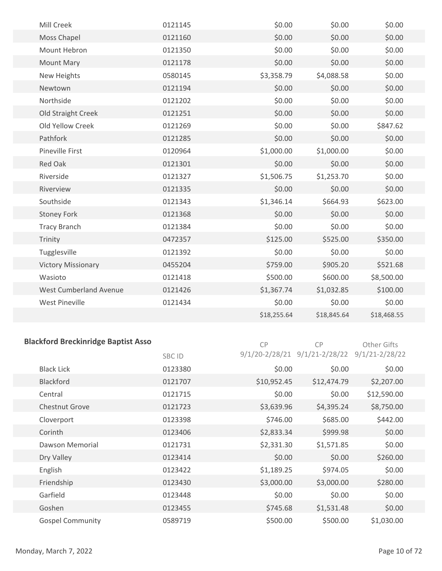| Mill Creek                | 0121145 | \$0.00      | \$0.00      | \$0.00      |
|---------------------------|---------|-------------|-------------|-------------|
| Moss Chapel               | 0121160 | \$0.00      | \$0.00      | \$0.00      |
| Mount Hebron              | 0121350 | \$0.00      | \$0.00      | \$0.00      |
| <b>Mount Mary</b>         | 0121178 | \$0.00      | \$0.00      | \$0.00      |
| New Heights               | 0580145 | \$3,358.79  | \$4,088.58  | \$0.00      |
| Newtown                   | 0121194 | \$0.00      | \$0.00      | \$0.00      |
| Northside                 | 0121202 | \$0.00      | \$0.00      | \$0.00      |
| Old Straight Creek        | 0121251 | \$0.00      | \$0.00      | \$0.00      |
| Old Yellow Creek          | 0121269 | \$0.00      | \$0.00      | \$847.62    |
| Pathfork                  | 0121285 | \$0.00      | \$0.00      | \$0.00      |
| <b>Pineville First</b>    | 0120964 | \$1,000.00  | \$1,000.00  | \$0.00      |
| Red Oak                   | 0121301 | \$0.00      | \$0.00      | \$0.00      |
| Riverside                 | 0121327 | \$1,506.75  | \$1,253.70  | \$0.00      |
| Riverview                 | 0121335 | \$0.00      | \$0.00      | \$0.00      |
| Southside                 | 0121343 | \$1,346.14  | \$664.93    | \$623.00    |
| <b>Stoney Fork</b>        | 0121368 | \$0.00      | \$0.00      | \$0.00      |
| <b>Tracy Branch</b>       | 0121384 | \$0.00      | \$0.00      | \$0.00      |
| Trinity                   | 0472357 | \$125.00    | \$525.00    | \$350.00    |
| Tugglesville              | 0121392 | \$0.00      | \$0.00      | \$0.00      |
| <b>Victory Missionary</b> | 0455204 | \$759.00    | \$905.20    | \$521.68    |
| Wasioto                   | 0121418 | \$500.00    | \$600.00    | \$8,500.00  |
| West Cumberland Avenue    | 0121426 | \$1,367.74  | \$1,032.85  | \$100.00    |
| <b>West Pineville</b>     | 0121434 | \$0.00      | \$0.00      | \$0.00      |
|                           |         | \$18,255.64 | \$18,845.64 | \$18,468.55 |
|                           |         |             |             |             |

## **Blackford Breckinridge Baptist Asso**

CP CP Other Gifts

|                         | SBC ID  |             | $9/1/20 - 2/28/21$ $9/1/21 - 2/28/22$ $9/1/21 - 2/28/22$ |             |  |
|-------------------------|---------|-------------|----------------------------------------------------------|-------------|--|
| <b>Black Lick</b>       | 0123380 | \$0.00      | \$0.00                                                   | \$0.00      |  |
| <b>Blackford</b>        | 0121707 | \$10,952.45 | \$12,474.79                                              | \$2,207.00  |  |
| Central                 | 0121715 | \$0.00      | \$0.00                                                   | \$12,590.00 |  |
| <b>Chestnut Grove</b>   | 0121723 | \$3,639.96  | \$4,395.24                                               | \$8,750.00  |  |
| Cloverport              | 0123398 | \$746.00    | \$685.00                                                 | \$442.00    |  |
| Corinth                 | 0123406 | \$2,833.34  | \$999.98                                                 | \$0.00      |  |
| Dawson Memorial         | 0121731 | \$2,331.30  | \$1,571.85                                               | \$0.00      |  |
| Dry Valley              | 0123414 | \$0.00      | \$0.00                                                   | \$260.00    |  |
| English                 | 0123422 | \$1,189.25  | \$974.05                                                 | \$0.00      |  |
| Friendship              | 0123430 | \$3,000.00  | \$3,000.00                                               | \$280.00    |  |
| Garfield                | 0123448 | \$0.00      | \$0.00                                                   | \$0.00      |  |
| Goshen                  | 0123455 | \$745.68    | \$1,531.48                                               | \$0.00      |  |
| <b>Gospel Community</b> | 0589719 | \$500.00    | \$500.00                                                 | \$1,030.00  |  |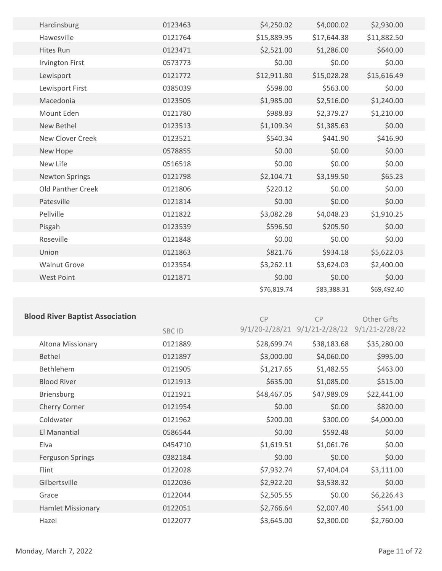| Hardinsburg              | 0123463 | \$4,250.02  | \$4,000.02  | \$2,930.00  |  |
|--------------------------|---------|-------------|-------------|-------------|--|
| Hawesville               | 0121764 | \$15,889.95 | \$17,644.38 | \$11,882.50 |  |
| <b>Hites Run</b>         | 0123471 | \$2,521.00  | \$1,286.00  | \$640.00    |  |
| <b>Irvington First</b>   | 0573773 | \$0.00      | \$0.00      | \$0.00      |  |
| Lewisport                | 0121772 | \$12,911.80 | \$15,028.28 | \$15,616.49 |  |
| Lewisport First          | 0385039 | \$598.00    | \$563.00    | \$0.00      |  |
| Macedonia                | 0123505 | \$1,985.00  | \$2,516.00  | \$1,240.00  |  |
| Mount Eden               | 0121780 | \$988.83    | \$2,379.27  | \$1,210.00  |  |
| New Bethel               | 0123513 | \$1,109.34  | \$1,385.63  | \$0.00      |  |
| New Clover Creek         | 0123521 | \$540.34    | \$441.90    | \$416.90    |  |
| New Hope                 | 0578855 | \$0.00      | \$0.00      | \$0.00      |  |
| New Life                 | 0516518 | \$0.00      | \$0.00      | \$0.00      |  |
| <b>Newton Springs</b>    | 0121798 | \$2,104.71  | \$3,199.50  | \$65.23     |  |
| <b>Old Panther Creek</b> | 0121806 | \$220.12    | \$0.00      | \$0.00      |  |
| Patesville               | 0121814 | \$0.00      | \$0.00      | \$0.00      |  |
| Pellville                | 0121822 | \$3,082.28  | \$4,048.23  | \$1,910.25  |  |
| Pisgah                   | 0123539 | \$596.50    | \$205.50    | \$0.00      |  |
| Roseville                | 0121848 | \$0.00      | \$0.00      | \$0.00      |  |
| Union                    | 0121863 | \$821.76    | \$934.18    | \$5,622.03  |  |
| <b>Walnut Grove</b>      | 0123554 | \$3,262.11  | \$3,624.03  | \$2,400.00  |  |
| <b>West Point</b>        | 0121871 | \$0.00      | \$0.00      | \$0.00      |  |
|                          |         | \$76,819.74 | \$83,388.31 | \$69,492.40 |  |
|                          |         |             |             |             |  |

#### **Blood River Baptist Association**

CP

CP

Other Gifts

|                          | SBC ID  |             | 9/1/20-2/28/21 9/1/21-2/28/22 9/1/21-2/28/22 |             |  |
|--------------------------|---------|-------------|----------------------------------------------|-------------|--|
| Altona Missionary        | 0121889 | \$28,699.74 | \$38,183.68                                  | \$35,280.00 |  |
| <b>Bethel</b>            | 0121897 | \$3,000.00  | \$4,060.00                                   | \$995.00    |  |
| <b>Bethlehem</b>         | 0121905 | \$1,217.65  | \$1,482.55                                   | \$463.00    |  |
| <b>Blood River</b>       | 0121913 | \$635.00    | \$1,085.00                                   | \$515.00    |  |
| <b>Briensburg</b>        | 0121921 | \$48,467.05 | \$47,989.09                                  | \$22,441.00 |  |
| Cherry Corner            | 0121954 | \$0.00      | \$0.00                                       | \$820.00    |  |
| Coldwater                | 0121962 | \$200.00    | \$300.00                                     | \$4,000.00  |  |
| El Manantial             | 0586544 | \$0.00      | \$592.48                                     | \$0.00      |  |
| Elva                     | 0454710 | \$1,619.51  | \$1,061.76                                   | \$0.00      |  |
| <b>Ferguson Springs</b>  | 0382184 | \$0.00      | \$0.00                                       | \$0.00      |  |
| Flint                    | 0122028 | \$7,932.74  | \$7,404.04                                   | \$3,111.00  |  |
| Gilbertsville            | 0122036 | \$2,922.20  | \$3,538.32                                   | \$0.00      |  |
| Grace                    | 0122044 | \$2,505.55  | \$0.00                                       | \$6,226.43  |  |
| <b>Hamlet Missionary</b> | 0122051 | \$2,766.64  | \$2,007.40                                   | \$541.00    |  |
| Hazel                    | 0122077 | \$3,645.00  | \$2,300.00                                   | \$2,760.00  |  |
|                          |         |             |                                              |             |  |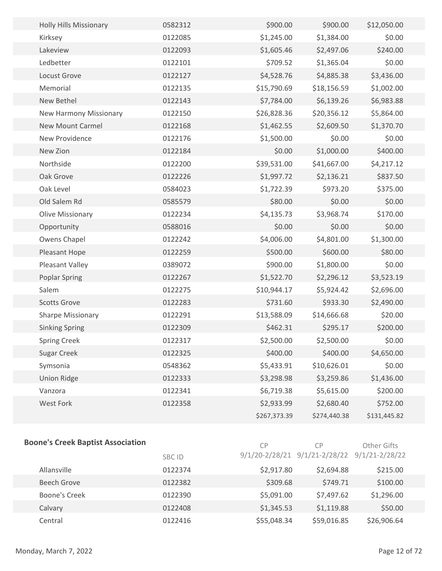| <b>Holly Hills Missionary</b> | 0582312 | \$900.00     | \$900.00     | \$12,050.00  |  |
|-------------------------------|---------|--------------|--------------|--------------|--|
| Kirksey                       | 0122085 | \$1,245.00   | \$1,384.00   | \$0.00       |  |
| Lakeview                      | 0122093 | \$1,605.46   | \$2,497.06   | \$240.00     |  |
| Ledbetter                     | 0122101 | \$709.52     | \$1,365.04   | \$0.00       |  |
| Locust Grove                  | 0122127 | \$4,528.76   | \$4,885.38   | \$3,436.00   |  |
| Memorial                      | 0122135 | \$15,790.69  | \$18,156.59  | \$1,002.00   |  |
| New Bethel                    | 0122143 | \$7,784.00   | \$6,139.26   | \$6,983.88   |  |
| New Harmony Missionary        | 0122150 | \$26,828.36  | \$20,356.12  | \$5,864.00   |  |
| <b>New Mount Carmel</b>       | 0122168 | \$1,462.55   | \$2,609.50   | \$1,370.70   |  |
| New Providence                | 0122176 | \$1,500.00   | \$0.00       | \$0.00       |  |
| New Zion                      | 0122184 | \$0.00       | \$1,000.00   | \$400.00     |  |
| Northside                     | 0122200 | \$39,531.00  | \$41,667.00  | \$4,217.12   |  |
| Oak Grove                     | 0122226 | \$1,997.72   | \$2,136.21   | \$837.50     |  |
| Oak Level                     | 0584023 | \$1,722.39   | \$973.20     | \$375.00     |  |
| Old Salem Rd                  | 0585579 | \$80.00      | \$0.00       | \$0.00       |  |
| Olive Missionary              | 0122234 | \$4,135.73   | \$3,968.74   | \$170.00     |  |
| Opportunity                   | 0588016 | \$0.00       | \$0.00       | \$0.00       |  |
| Owens Chapel                  | 0122242 | \$4,006.00   | \$4,801.00   | \$1,300.00   |  |
| Pleasant Hope                 | 0122259 | \$500.00     | \$600.00     | \$80.00      |  |
| Pleasant Valley               | 0389072 | \$900.00     | \$1,800.00   | \$0.00       |  |
| <b>Poplar Spring</b>          | 0122267 | \$1,522.70   | \$2,296.12   | \$3,523.19   |  |
| Salem                         | 0122275 | \$10,944.17  | \$5,924.42   | \$2,696.00   |  |
| <b>Scotts Grove</b>           | 0122283 | \$731.60     | \$933.30     | \$2,490.00   |  |
| <b>Sharpe Missionary</b>      | 0122291 | \$13,588.09  | \$14,666.68  | \$20.00      |  |
| <b>Sinking Spring</b>         | 0122309 | \$462.31     | \$295.17     | \$200.00     |  |
| <b>Spring Creek</b>           | 0122317 | \$2,500.00   | \$2,500.00   | \$0.00       |  |
| <b>Sugar Creek</b>            | 0122325 | \$400.00     | \$400.00     | \$4,650.00   |  |
| Symsonia                      | 0548362 | \$5,433.91   | \$10,626.01  | \$0.00       |  |
| <b>Union Ridge</b>            | 0122333 | \$3,298.98   | \$3,259.86   | \$1,436.00   |  |
| Vanzora                       | 0122341 | \$6,719.38   | \$5,615.00   | \$200.00     |  |
| West Fork                     | 0122358 | \$2,933.99   | \$2,680.40   | \$752.00     |  |
|                               |         | \$267,373.39 | \$274,440.38 | \$131,445.82 |  |
|                               |         |              |              |              |  |

#### **Boone's Creek Baptist Association**

CP

| <b>Boone's Creek Baptist Association</b> |               | CP          | СP                                           | Other Gifts |  |
|------------------------------------------|---------------|-------------|----------------------------------------------|-------------|--|
|                                          | <b>SBC ID</b> |             | 9/1/20-2/28/21 9/1/21-2/28/22 9/1/21-2/28/22 |             |  |
| Allansville                              | 0122374       | \$2,917.80  | \$2,694.88                                   | \$215.00    |  |
| Beech Grove                              | 0122382       | \$309.68    | \$749.71                                     | \$100.00    |  |
| <b>Boone's Creek</b>                     | 0122390       | \$5,091.00  | \$7,497.62                                   | \$1,296.00  |  |
| Calvary                                  | 0122408       | \$1,345.53  | \$1,119.88                                   | \$50.00     |  |
| Central                                  | 0122416       | \$55,048.34 | \$59,016.85                                  | \$26,906.64 |  |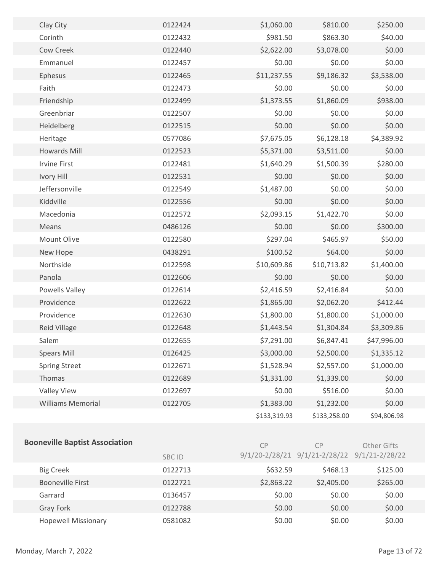| Clay City                | 0122424 | \$1,060.00   | \$810.00     | \$250.00    |  |
|--------------------------|---------|--------------|--------------|-------------|--|
| Corinth                  | 0122432 | \$981.50     | \$863.30     | \$40.00     |  |
| Cow Creek                | 0122440 | \$2,622.00   | \$3,078.00   | \$0.00      |  |
| Emmanuel                 | 0122457 | \$0.00       | \$0.00       | \$0.00      |  |
| Ephesus                  | 0122465 | \$11,237.55  | \$9,186.32   | \$3,538.00  |  |
| Faith                    | 0122473 | \$0.00       | \$0.00       | \$0.00      |  |
| Friendship               | 0122499 | \$1,373.55   | \$1,860.09   | \$938.00    |  |
| Greenbriar               | 0122507 | \$0.00       | \$0.00       | \$0.00      |  |
| Heidelberg               | 0122515 | \$0.00       | \$0.00       | \$0.00      |  |
| Heritage                 | 0577086 | \$7,675.05   | \$6,128.18   | \$4,389.92  |  |
| <b>Howards Mill</b>      | 0122523 | \$5,371.00   | \$3,511.00   | \$0.00      |  |
| <b>Irvine First</b>      | 0122481 | \$1,640.29   | \$1,500.39   | \$280.00    |  |
| Ivory Hill               | 0122531 | \$0.00       | \$0.00       | \$0.00      |  |
| Jeffersonville           | 0122549 | \$1,487.00   | \$0.00       | \$0.00      |  |
| Kiddville                | 0122556 | \$0.00       | \$0.00       | \$0.00      |  |
| Macedonia                | 0122572 | \$2,093.15   | \$1,422.70   | \$0.00      |  |
| Means                    | 0486126 | \$0.00       | \$0.00       | \$300.00    |  |
| Mount Olive              | 0122580 | \$297.04     | \$465.97     | \$50.00     |  |
| New Hope                 | 0438291 | \$100.52     | \$64.00      | \$0.00      |  |
| Northside                | 0122598 | \$10,609.86  | \$10,713.82  | \$1,400.00  |  |
| Panola                   | 0122606 | \$0.00       | \$0.00       | \$0.00      |  |
| Powells Valley           | 0122614 | \$2,416.59   | \$2,416.84   | \$0.00      |  |
| Providence               | 0122622 | \$1,865.00   | \$2,062.20   | \$412.44    |  |
| Providence               | 0122630 | \$1,800.00   | \$1,800.00   | \$1,000.00  |  |
| Reid Village             | 0122648 | \$1,443.54   | \$1,304.84   | \$3,309.86  |  |
| Salem                    | 0122655 | \$7,291.00   | \$6,847.41   | \$47,996.00 |  |
| <b>Spears Mill</b>       | 0126425 | \$3,000.00   | \$2,500.00   | \$1,335.12  |  |
| <b>Spring Street</b>     | 0122671 | \$1,528.94   | \$2,557.00   | \$1,000.00  |  |
| Thomas                   | 0122689 | \$1,331.00   | \$1,339.00   | \$0.00      |  |
| Valley View              | 0122697 | \$0.00       | \$516.00     | \$0.00      |  |
| <b>Williams Memorial</b> | 0122705 | \$1,383.00   | \$1,232.00   | \$0.00      |  |
|                          |         | \$133,319.93 | \$133,258.00 | \$94,806.98 |  |
|                          |         |              |              |             |  |

#### **Booneville Baptist Association**

CP

| <b>Sooneville Baptist Association</b> |         | CP         | CР                                           | Other Gifts |  |
|---------------------------------------|---------|------------|----------------------------------------------|-------------|--|
|                                       | SBC ID  |            | 9/1/20-2/28/21 9/1/21-2/28/22 9/1/21-2/28/22 |             |  |
| <b>Big Creek</b>                      | 0122713 | \$632.59   | \$468.13                                     | \$125.00    |  |
| <b>Booneville First</b>               | 0122721 | \$2,863.22 | \$2,405.00                                   | \$265.00    |  |
| Garrard                               | 0136457 | \$0.00     | \$0.00                                       | \$0.00      |  |
| Gray Fork                             | 0122788 | \$0.00     | \$0.00                                       | \$0.00      |  |
| <b>Hopewell Missionary</b>            | 0581082 | \$0.00     | \$0.00                                       | \$0.00      |  |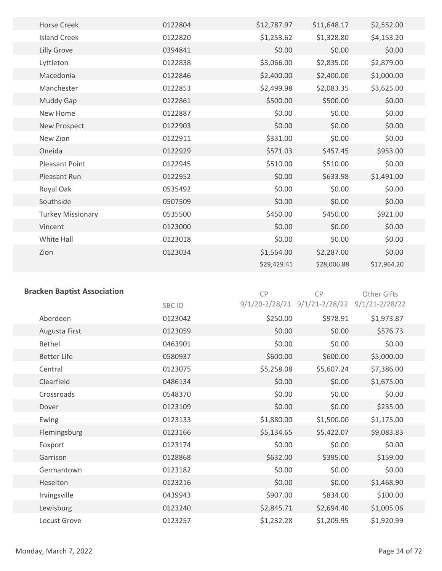| <b>Horse Creek</b>       | 0122804 | \$12,787.97 | \$11,648.17 | \$2,552.00  |
|--------------------------|---------|-------------|-------------|-------------|
| <b>Island Creek</b>      | 0122820 | \$1,253.62  | \$1,328.80  | \$4,153.20  |
| Lilly Grove              | 0394841 | \$0.00      | \$0.00      | \$0.00      |
| Lyttleton                | 0122838 | \$3,066.00  | \$2,835.00  | \$2,879.00  |
| Macedonia                | 0122846 | \$2,400.00  | \$2,400.00  | \$1,000.00  |
| Manchester               | 0122853 | \$2,499.98  | \$2,083.35  | \$3,625.00  |
| Muddy Gap                | 0122861 | \$500.00    | \$500.00    | \$0.00      |
| New Home                 | 0122887 | \$0.00      | \$0.00      | \$0.00      |
| New Prospect             | 0122903 | \$0.00      | \$0.00      | \$0.00      |
| New Zion                 | 0122911 | \$331.00    | \$0.00      | \$0.00      |
| Oneida                   | 0122929 | \$571.03    | \$457.45    | \$953.00    |
| <b>Pleasant Point</b>    | 0122945 | \$510.00    | \$510.00    | \$0.00      |
| Pleasant Run             | 0122952 | \$0.00      | \$633.98    | \$1,491.00  |
| Royal Oak                | 0535492 | \$0.00      | \$0.00      | \$0.00      |
| Southside                | 0507509 | \$0.00      | \$0.00      | \$0.00      |
| <b>Turkey Missionary</b> | 0535500 | \$450.00    | \$450.00    | \$921.00    |
| Vincent                  | 0123000 | \$0.00      | \$0.00      | \$0.00      |
| White Hall               | 0123018 | \$0.00      | \$0.00      | \$0.00      |
| Zion                     | 0123034 | \$1,564.00  | \$2,287.00  | \$0.00      |
|                          |         | \$29,429.41 | \$28,006.88 | \$17,964.20 |
|                          |         |             |             |             |

| <b>Bracken Baptist Association</b> |         | CP                 | CP                 | <b>Other Gifts</b> |
|------------------------------------|---------|--------------------|--------------------|--------------------|
|                                    | SBC ID  | $9/1/20 - 2/28/21$ | $9/1/21 - 2/28/22$ | $9/1/21 - 2/28/22$ |
| Aberdeen                           | 0123042 | \$250.00           | \$978.91           | \$1,973.87         |
| Augusta First                      | 0123059 | \$0.00             | \$0.00             | \$576.73           |
| <b>Bethel</b>                      | 0463901 | \$0.00             | \$0.00             | \$0.00             |
| <b>Better Life</b>                 | 0580937 | \$600.00           | \$600.00           | \$5,000.00         |
| Central                            | 0123075 | \$5,258.08         | \$5,607.24         | \$7,386.00         |
| Clearfield                         | 0486134 | \$0.00             | \$0.00             | \$1,675.00         |
| Crossroads                         | 0548370 | \$0.00             | \$0.00             | \$0.00             |
| Dover                              | 0123109 | \$0.00             | \$0.00             | \$235.00           |
| Ewing                              | 0123133 | \$1,880.00         | \$1,500.00         | \$1,175.00         |
| Flemingsburg                       | 0123166 | \$5,134.65         | \$5,422.07         | \$9,083.83         |
| Foxport                            | 0123174 | \$0.00             | \$0.00             | \$0.00             |
| Garrison                           | 0128868 | \$632.00           | \$395.00           | \$159.00           |
| Germantown                         | 0123182 | \$0.00             | \$0.00             | \$0.00             |
| Heselton                           | 0123216 | \$0.00             | \$0.00             | \$1,468.90         |
| Irvingsville                       | 0439943 | \$907.00           | \$834.00           | \$100.00           |
| Lewisburg                          | 0123240 | \$2,845.71         | \$2,694.40         | \$1,005.06         |
| Locust Grove                       | 0123257 | \$1,232.28         | \$1,209.95         | \$1,920.99         |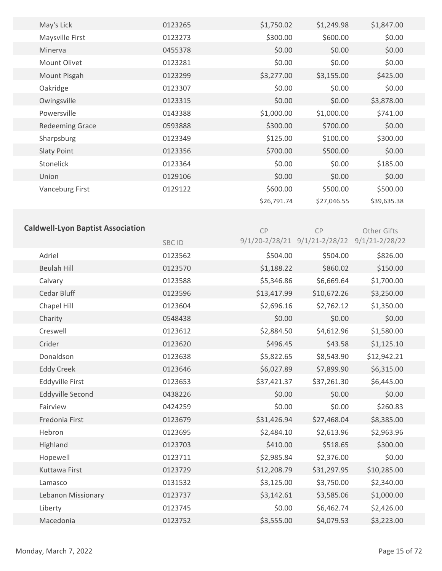| May's Lick                               | 0123265      | \$1,750.02                                   | \$1,249.98  | \$1,847.00  |  |
|------------------------------------------|--------------|----------------------------------------------|-------------|-------------|--|
| Maysville First                          | 0123273      | \$300.00                                     | \$600.00    | \$0.00      |  |
| Minerva                                  | 0455378      | \$0.00                                       | \$0.00      | \$0.00      |  |
| Mount Olivet                             | 0123281      | \$0.00                                       | \$0.00      | \$0.00      |  |
| Mount Pisgah                             | 0123299      | \$3,277.00                                   | \$3,155.00  | \$425.00    |  |
| Oakridge                                 | 0123307      | \$0.00                                       | \$0.00      | \$0.00      |  |
| Owingsville                              | 0123315      | \$0.00                                       | \$0.00      | \$3,878.00  |  |
| Powersville                              | 0143388      | \$1,000.00                                   | \$1,000.00  | \$741.00    |  |
| <b>Redeeming Grace</b>                   | 0593888      | \$300.00                                     | \$700.00    | \$0.00      |  |
| Sharpsburg                               | 0123349      | \$125.00                                     | \$100.00    | \$300.00    |  |
| <b>Slaty Point</b>                       | 0123356      | \$700.00                                     | \$500.00    | \$0.00      |  |
| Stonelick                                | 0123364      | \$0.00                                       | \$0.00      | \$185.00    |  |
| Union                                    | 0129106      | \$0.00                                       | \$0.00      | \$0.00      |  |
| <b>Vanceburg First</b>                   | 0129122      | \$600.00                                     | \$500.00    | \$500.00    |  |
|                                          |              | \$26,791.74                                  | \$27,046.55 | \$39,635.38 |  |
|                                          |              |                                              |             |             |  |
| <b>Caldwell-Lyon Baptist Association</b> |              | CP                                           | <b>CP</b>   | Other Gifts |  |
|                                          | <b>SBCID</b> | 9/1/20-2/28/21 9/1/21-2/28/22 9/1/21-2/28/22 |             |             |  |
|                                          |              |                                              |             |             |  |
| Adriel                                   | 0123562      | \$504.00                                     | \$504.00    | \$826.00    |  |
| <b>Beulah Hill</b>                       | 0123570      | \$1,188.22                                   | \$860.02    | \$150.00    |  |
| Calvary                                  | 0123588      | \$5,346.86                                   | \$6,669.64  | \$1,700.00  |  |
| Cedar Bluff                              | 0123596      | \$13,417.99                                  | \$10,672.26 | \$3,250.00  |  |
| Chapel Hill                              | 0123604      | \$2,696.16                                   | \$2,762.12  | \$1,350.00  |  |
| Charity                                  | 0548438      | \$0.00                                       | \$0.00      | \$0.00      |  |
| Creswell                                 | 0123612      | \$2,884.50                                   | \$4,612.96  | \$1,580.00  |  |
| Crider                                   | 0123620      | \$496.45                                     | \$43.58     | \$1,125.10  |  |
| Donaldson                                | 0123638      | \$5,822.65                                   | \$8,543.90  | \$12,942.21 |  |
| <b>Eddy Creek</b>                        | 0123646      | \$6,027.89                                   | \$7,899.90  | \$6,315.00  |  |

| <b>Eddy Creek</b>       | 0123646 | \$6,027.89  | \$7,899.90  | \$6,315.00  |
|-------------------------|---------|-------------|-------------|-------------|
| Eddyville First         | 0123653 | \$37,421.37 | \$37,261.30 | \$6,445.00  |
| <b>Eddyville Second</b> | 0438226 | \$0.00      | \$0.00      | \$0.00      |
| Fairview                | 0424259 | \$0.00      | \$0.00      | \$260.83    |
| Fredonia First          | 0123679 | \$31,426.94 | \$27,468.04 | \$8,385.00  |
| Hebron                  | 0123695 | \$2,484.10  | \$2,613.96  | \$2,963.96  |
| Highland                | 0123703 | \$410.00    | \$518.65    | \$300.00    |
| Hopewell                | 0123711 | \$2,985.84  | \$2,376.00  | \$0.00      |
| Kuttawa First           | 0123729 | \$12,208.79 | \$31,297.95 | \$10,285.00 |
| Lamasco                 | 0131532 | \$3,125.00  | \$3,750.00  | \$2,340.00  |
| Lebanon Missionary      | 0123737 | \$3,142.61  | \$3,585.06  | \$1,000.00  |
| Liberty                 | 0123745 | \$0.00      | \$6,462.74  | \$2,426.00  |
| Macedonia               | 0123752 | \$3,555.00  | \$4,079.53  | \$3,223.00  |
|                         |         |             |             |             |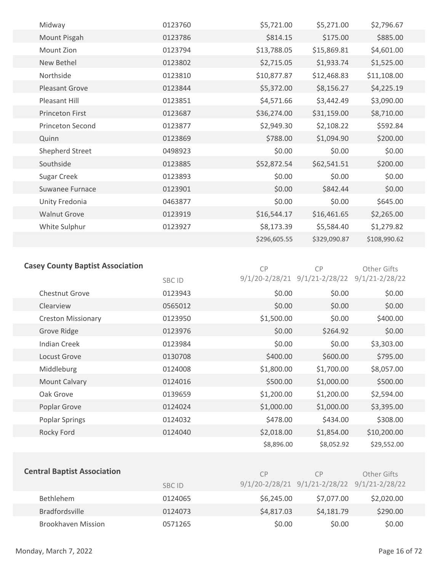| Midway                  | 0123760 | \$5,721.00   | \$5,271.00   | \$2,796.67   |
|-------------------------|---------|--------------|--------------|--------------|
| Mount Pisgah            | 0123786 | \$814.15     | \$175.00     | \$885.00     |
| Mount Zion              | 0123794 | \$13,788.05  | \$15,869.81  | \$4,601.00   |
| New Bethel              | 0123802 | \$2,715.05   | \$1,933.74   | \$1,525.00   |
| Northside               | 0123810 | \$10,877.87  | \$12,468.83  | \$11,108.00  |
| <b>Pleasant Grove</b>   | 0123844 | \$5,372.00   | \$8,156.27   | \$4,225.19   |
| Pleasant Hill           | 0123851 | \$4,571.66   | \$3,442.49   | \$3,090.00   |
| <b>Princeton First</b>  | 0123687 | \$36,274.00  | \$31,159.00  | \$8,710.00   |
| <b>Princeton Second</b> | 0123877 | \$2,949.30   | \$2,108.22   | \$592.84     |
| Quinn                   | 0123869 | \$788.00     | \$1,094.90   | \$200.00     |
| Shepherd Street         | 0498923 | \$0.00       | \$0.00       | \$0.00       |
| Southside               | 0123885 | \$52,872.54  | \$62,541.51  | \$200.00     |
| Sugar Creek             | 0123893 | \$0.00       | \$0.00       | \$0.00       |
| Suwanee Furnace         | 0123901 | \$0.00       | \$842.44     | \$0.00       |
| Unity Fredonia          | 0463877 | \$0.00       | \$0.00       | \$645.00     |
| <b>Walnut Grove</b>     | 0123919 | \$16,544.17  | \$16,461.65  | \$2,265.00   |
| White Sulphur           | 0123927 | \$8,173.39   | \$5,584.40   | \$1,279.82   |
|                         |         | \$296,605.55 | \$329,090.87 | \$108,990.62 |

#### **Casey County Baptist Association**

| Casey County Baptist Association |         | <b>CP</b>          | <b>CP</b>          | Other Gifts        |  |
|----------------------------------|---------|--------------------|--------------------|--------------------|--|
|                                  | SBC ID  | $9/1/20 - 2/28/21$ | $9/1/21 - 2/28/22$ | $9/1/21 - 2/28/22$ |  |
| <b>Chestnut Grove</b>            | 0123943 | \$0.00             | \$0.00             | \$0.00             |  |
| Clearview                        | 0565012 | \$0.00             | \$0.00             | \$0.00             |  |
| <b>Creston Missionary</b>        | 0123950 | \$1,500.00         | \$0.00             | \$400.00           |  |
| Grove Ridge                      | 0123976 | \$0.00             | \$264.92           | \$0.00             |  |
| <b>Indian Creek</b>              | 0123984 | \$0.00             | \$0.00             | \$3,303.00         |  |
| Locust Grove                     | 0130708 | \$400.00           | \$600.00           | \$795.00           |  |
| Middleburg                       | 0124008 | \$1,800.00         | \$1,700.00         | \$8,057.00         |  |
| Mount Calvary                    | 0124016 | \$500.00           | \$1,000.00         | \$500.00           |  |
| Oak Grove                        | 0139659 | \$1,200.00         | \$1,200.00         | \$2,594.00         |  |
| Poplar Grove                     | 0124024 | \$1,000.00         | \$1,000.00         | \$3,395.00         |  |
| <b>Poplar Springs</b>            | 0124032 | \$478.00           | \$434.00           | \$308.00           |  |
| Rocky Ford                       | 0124040 | \$2,018.00         | \$1,854.00         | \$10,200.00        |  |
|                                  |         | \$8,896.00         | \$8,052.92         | \$29,552.00        |  |

| <b>Central Baptist Association</b> | <b>SBC ID</b> | <b>CP</b><br>9/1/20-2/28/21 9/1/21-2/28/22 9/1/21-2/28/22 | C <sub>P</sub> | Other Gifts |
|------------------------------------|---------------|-----------------------------------------------------------|----------------|-------------|
| <b>Bethlehem</b>                   | 0124065       | \$6,245.00                                                | \$7,077.00     | \$2,020.00  |
| <b>Bradfordsville</b>              | 0124073       | \$4,817.03                                                | \$4,181.79     | \$290.00    |
| <b>Brookhaven Mission</b>          | 0571265       | \$0.00                                                    | \$0.00         | \$0.00      |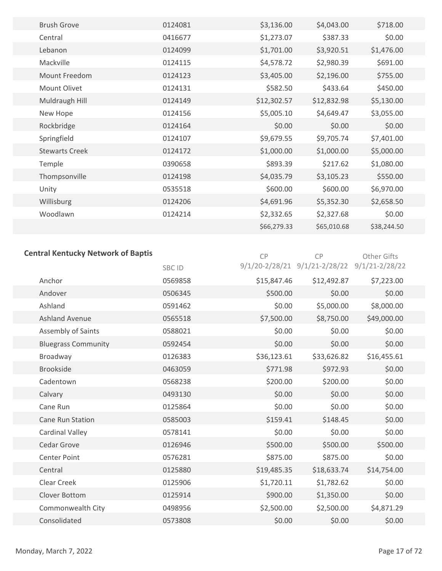| <b>Brush Grove</b>    | 0124081 | \$3,136.00  | \$4,043.00  | \$718.00    |
|-----------------------|---------|-------------|-------------|-------------|
| Central               | 0416677 | \$1,273.07  | \$387.33    | \$0.00      |
| Lebanon               | 0124099 | \$1,701.00  | \$3,920.51  | \$1,476.00  |
| Mackville             | 0124115 | \$4,578.72  | \$2,980.39  | \$691.00    |
| Mount Freedom         | 0124123 | \$3,405.00  | \$2,196.00  | \$755.00    |
| Mount Olivet          | 0124131 | \$582.50    | \$433.64    | \$450.00    |
| Muldraugh Hill        | 0124149 | \$12,302.57 | \$12,832.98 | \$5,130.00  |
| New Hope              | 0124156 | \$5,005.10  | \$4,649.47  | \$3,055.00  |
| Rockbridge            | 0124164 | \$0.00      | \$0.00      | \$0.00      |
| Springfield           | 0124107 | \$9,679.55  | \$9,705.74  | \$7,401.00  |
| <b>Stewarts Creek</b> | 0124172 | \$1,000.00  | \$1,000.00  | \$5,000.00  |
| Temple                | 0390658 | \$893.39    | \$217.62    | \$1,080.00  |
| Thompsonville         | 0124198 | \$4,035.79  | \$3,105.23  | \$550.00    |
| Unity                 | 0535518 | \$600.00    | \$600.00    | \$6,970.00  |
| Willisburg            | 0124206 | \$4,691.96  | \$5,352.30  | \$2,658.50  |
| Woodlawn              | 0124214 | \$2,332.65  | \$2,327.68  | \$0.00      |
|                       |         | \$66,279.33 | \$65,010.68 | \$38,244.50 |
|                       |         |             |             |             |

## **Central Kentucky Network of Baptis**

CP Other Gifts

| <b>Central Kentucky Network of Baptis</b> |         | <b>CP</b>   | CP                                    | Other Gifts        |
|-------------------------------------------|---------|-------------|---------------------------------------|--------------------|
|                                           | SBC ID  |             | $9/1/20 - 2/28/21$ $9/1/21 - 2/28/22$ | $9/1/21 - 2/28/22$ |
| Anchor                                    | 0569858 | \$15,847.46 | \$12,492.87                           | \$7,223.00         |
| Andover                                   | 0506345 | \$500.00    | \$0.00                                | \$0.00             |
| Ashland                                   | 0591462 | \$0.00      | \$5,000.00                            | \$8,000.00         |
| <b>Ashland Avenue</b>                     | 0565518 | \$7,500.00  | \$8,750.00                            | \$49,000.00        |
| Assembly of Saints                        | 0588021 | \$0.00      | \$0.00                                | \$0.00             |
| <b>Bluegrass Community</b>                | 0592454 | \$0.00      | \$0.00                                | \$0.00             |
| Broadway                                  | 0126383 | \$36,123.61 | \$33,626.82                           | \$16,455.61        |
| <b>Brookside</b>                          | 0463059 | \$771.98    | \$972.93                              | \$0.00             |
| Cadentown                                 | 0568238 | \$200.00    | \$200.00                              | \$0.00             |
| Calvary                                   | 0493130 | \$0.00      | \$0.00                                | \$0.00             |
| Cane Run                                  | 0125864 | \$0.00      | \$0.00                                | \$0.00             |
| Cane Run Station                          | 0585003 | \$159.41    | \$148.45                              | \$0.00             |
| <b>Cardinal Valley</b>                    | 0578141 | \$0.00      | \$0.00                                | \$0.00             |
| Cedar Grove                               | 0126946 | \$500.00    | \$500.00                              | \$500.00           |
| Center Point                              | 0576281 | \$875.00    | \$875.00                              | \$0.00             |
| Central                                   | 0125880 | \$19,485.35 | \$18,633.74                           | \$14,754.00        |
| Clear Creek                               | 0125906 | \$1,720.11  | \$1,782.62                            | \$0.00             |
| <b>Clover Bottom</b>                      | 0125914 | \$900.00    | \$1,350.00                            | \$0.00             |
| Commonwealth City                         | 0498956 | \$2,500.00  | \$2,500.00                            | \$4,871.29         |
| Consolidated                              | 0573808 | \$0.00      | \$0.00                                | \$0.00             |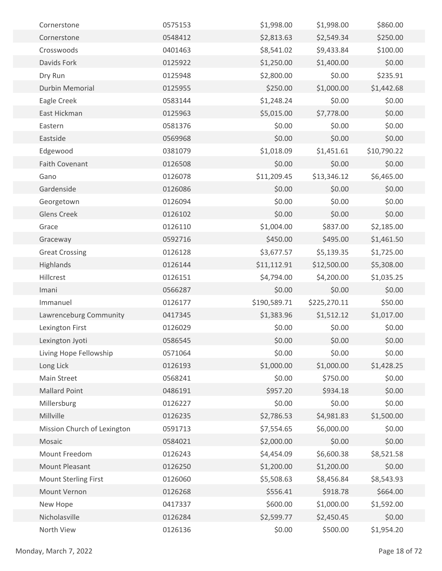| Cornerstone                 | 0575153 | \$1,998.00   | \$1,998.00   | \$860.00    |  |
|-----------------------------|---------|--------------|--------------|-------------|--|
| Cornerstone                 | 0548412 | \$2,813.63   | \$2,549.34   | \$250.00    |  |
| Crosswoods                  | 0401463 | \$8,541.02   | \$9,433.84   | \$100.00    |  |
| Davids Fork                 | 0125922 | \$1,250.00   | \$1,400.00   | \$0.00      |  |
| Dry Run                     | 0125948 | \$2,800.00   | \$0.00       | \$235.91    |  |
| <b>Durbin Memorial</b>      | 0125955 | \$250.00     | \$1,000.00   | \$1,442.68  |  |
| Eagle Creek                 | 0583144 | \$1,248.24   | \$0.00       | \$0.00      |  |
| East Hickman                | 0125963 | \$5,015.00   | \$7,778.00   | \$0.00      |  |
| Eastern                     | 0581376 | \$0.00       | \$0.00       | \$0.00      |  |
| Eastside                    | 0569968 | \$0.00       | \$0.00       | \$0.00      |  |
| Edgewood                    | 0381079 | \$1,018.09   | \$1,451.61   | \$10,790.22 |  |
| <b>Faith Covenant</b>       | 0126508 | \$0.00       | \$0.00       | \$0.00      |  |
| Gano                        | 0126078 | \$11,209.45  | \$13,346.12  | \$6,465.00  |  |
| Gardenside                  | 0126086 | \$0.00       | \$0.00       | \$0.00      |  |
| Georgetown                  | 0126094 | \$0.00       | \$0.00       | \$0.00      |  |
| <b>Glens Creek</b>          | 0126102 | \$0.00       | \$0.00       | \$0.00      |  |
| Grace                       | 0126110 | \$1,004.00   | \$837.00     | \$2,185.00  |  |
| Graceway                    | 0592716 | \$450.00     | \$495.00     | \$1,461.50  |  |
| <b>Great Crossing</b>       | 0126128 | \$3,677.57   | \$5,139.35   | \$1,725.00  |  |
| Highlands                   | 0126144 | \$11,112.91  | \$12,500.00  | \$5,308.00  |  |
| Hillcrest                   | 0126151 | \$4,794.00   | \$4,200.00   | \$1,035.25  |  |
| Imani                       | 0566287 | \$0.00       | \$0.00       | \$0.00      |  |
| Immanuel                    | 0126177 | \$190,589.71 | \$225,270.11 | \$50.00     |  |
| Lawrenceburg Community      | 0417345 | \$1,383.96   | \$1,512.12   | \$1,017.00  |  |
| Lexington First             | 0126029 | \$0.00       | \$0.00       | \$0.00      |  |
| Lexington Jyoti             | 0586545 | \$0.00       | \$0.00       | \$0.00      |  |
| Living Hope Fellowship      | 0571064 | \$0.00       | \$0.00       | \$0.00      |  |
| Long Lick                   | 0126193 | \$1,000.00   | \$1,000.00   | \$1,428.25  |  |
| Main Street                 | 0568241 | \$0.00       | \$750.00     | \$0.00      |  |
| <b>Mallard Point</b>        | 0486191 | \$957.20     | \$934.18     | \$0.00      |  |
| Millersburg                 | 0126227 | \$0.00       | \$0.00       | \$0.00      |  |
| Millville                   | 0126235 | \$2,786.53   | \$4,981.83   | \$1,500.00  |  |
| Mission Church of Lexington | 0591713 | \$7,554.65   | \$6,000.00   | \$0.00      |  |
| Mosaic                      | 0584021 | \$2,000.00   | \$0.00       | \$0.00      |  |
| Mount Freedom               | 0126243 | \$4,454.09   | \$6,600.38   | \$8,521.58  |  |
| Mount Pleasant              | 0126250 | \$1,200.00   | \$1,200.00   | \$0.00      |  |
| <b>Mount Sterling First</b> | 0126060 | \$5,508.63   | \$8,456.84   | \$8,543.93  |  |
| Mount Vernon                | 0126268 | \$556.41     | \$918.78     | \$664.00    |  |
| New Hope                    | 0417337 | \$600.00     | \$1,000.00   | \$1,592.00  |  |
| Nicholasville               | 0126284 | \$2,599.77   | \$2,450.45   | \$0.00      |  |
| North View                  | 0126136 | \$0.00       | \$500.00     | \$1,954.20  |  |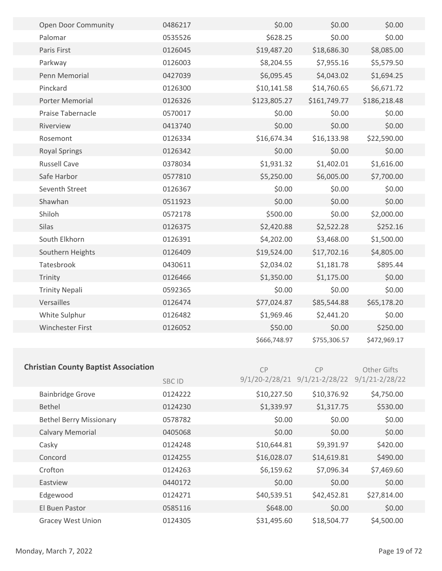| Open Door Community                         | 0486217 | \$0.00       | \$0.00                                       | \$0.00       |  |
|---------------------------------------------|---------|--------------|----------------------------------------------|--------------|--|
| Palomar                                     | 0535526 | \$628.25     | \$0.00                                       | \$0.00       |  |
| Paris First                                 | 0126045 | \$19,487.20  | \$18,686.30                                  | \$8,085.00   |  |
| Parkway                                     | 0126003 | \$8,204.55   | \$7,955.16                                   | \$5,579.50   |  |
| Penn Memorial                               | 0427039 | \$6,095.45   | \$4,043.02                                   | \$1,694.25   |  |
| Pinckard                                    | 0126300 | \$10,141.58  | \$14,760.65                                  | \$6,671.72   |  |
| Porter Memorial                             | 0126326 | \$123,805.27 | \$161,749.77                                 | \$186,218.48 |  |
| Praise Tabernacle                           | 0570017 | \$0.00       | \$0.00                                       | \$0.00       |  |
| Riverview                                   | 0413740 | \$0.00       | \$0.00                                       | \$0.00       |  |
| Rosemont                                    | 0126334 | \$16,674.34  | \$16,133.98                                  | \$22,590.00  |  |
| <b>Royal Springs</b>                        | 0126342 | \$0.00       | \$0.00                                       | \$0.00       |  |
| <b>Russell Cave</b>                         | 0378034 | \$1,931.32   | \$1,402.01                                   | \$1,616.00   |  |
| Safe Harbor                                 | 0577810 | \$5,250.00   | \$6,005.00                                   | \$7,700.00   |  |
| Seventh Street                              | 0126367 | \$0.00       | \$0.00                                       | \$0.00       |  |
| Shawhan                                     | 0511923 | \$0.00       | \$0.00                                       | \$0.00       |  |
| Shiloh                                      | 0572178 | \$500.00     | \$0.00                                       | \$2,000.00   |  |
| Silas                                       | 0126375 | \$2,420.88   | \$2,522.28                                   | \$252.16     |  |
| South Elkhorn                               | 0126391 | \$4,202.00   | \$3,468.00                                   | \$1,500.00   |  |
| Southern Heights                            | 0126409 | \$19,524.00  | \$17,702.16                                  | \$4,805.00   |  |
| Tatesbrook                                  | 0430611 | \$2,034.02   | \$1,181.78                                   | \$895.44     |  |
| Trinity                                     | 0126466 | \$1,350.00   | \$1,175.00                                   | \$0.00       |  |
| <b>Trinity Nepali</b>                       | 0592365 | \$0.00       | \$0.00                                       | \$0.00       |  |
| Versailles                                  | 0126474 | \$77,024.87  | \$85,544.88                                  | \$65,178.20  |  |
| White Sulphur                               | 0126482 | \$1,969.46   | \$2,441.20                                   | \$0.00       |  |
| Winchester First                            | 0126052 | \$50.00      | \$0.00                                       | \$250.00     |  |
|                                             |         | \$666,748.97 | \$755,306.57                                 | \$472,969.17 |  |
|                                             |         |              |                                              |              |  |
| <b>Christian County Baptist Association</b> |         | CP           | CP                                           | Other Gifts  |  |
|                                             | SBC ID  |              | 9/1/20-2/28/21 9/1/21-2/28/22 9/1/21-2/28/22 |              |  |
| <b>Bainbridge Grove</b>                     | 0124222 | \$10,227.50  | \$10,376.92                                  | \$4,750.00   |  |
| Bethel                                      | 0124230 | \$1,339.97   | \$1,317.75                                   | \$530.00     |  |
| <b>Bethel Berry Missionary</b>              | 0578782 | \$0.00       | \$0.00                                       | \$0.00       |  |
| <b>Calvary Memorial</b>                     | 0405068 | \$0.00       | \$0.00                                       | \$0.00       |  |
| Casky                                       | 0124248 | \$10,644.81  | \$9,391.97                                   | \$420.00     |  |
| Concord                                     | 0124255 | \$16,028.07  | \$14,619.81                                  | \$490.00     |  |
| Crofton                                     | 0124263 | \$6,159.62   | \$7,096.34                                   | \$7,469.60   |  |
| Eastview                                    | 0440172 | \$0.00       | \$0.00                                       | \$0.00       |  |
| Edgewood                                    | 0124271 | \$40,539.51  | \$42,452.81                                  | \$27,814.00  |  |
| El Buen Pastor                              | 0585116 | \$648.00     | \$0.00                                       | \$0.00       |  |

Gracey West Union 0124305 631,495.60 \$18,504.77 \$4,500.00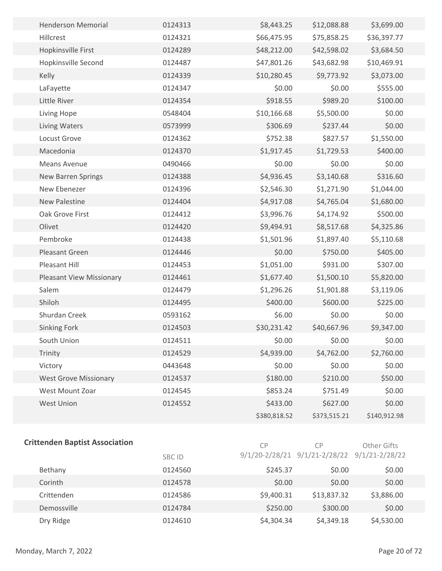| <b>Henderson Memorial</b>       | 0124313 | \$8,443.25   | \$12,088.88  | \$3,699.00   |  |
|---------------------------------|---------|--------------|--------------|--------------|--|
| Hillcrest                       | 0124321 | \$66,475.95  | \$75,858.25  | \$36,397.77  |  |
| Hopkinsville First              | 0124289 | \$48,212.00  | \$42,598.02  | \$3,684.50   |  |
| Hopkinsville Second             | 0124487 | \$47,801.26  | \$43,682.98  | \$10,469.91  |  |
| Kelly                           | 0124339 | \$10,280.45  | \$9,773.92   | \$3,073.00   |  |
| LaFayette                       | 0124347 | \$0.00       | \$0.00       | \$555.00     |  |
| Little River                    | 0124354 | \$918.55     | \$989.20     | \$100.00     |  |
| Living Hope                     | 0548404 | \$10,166.68  | \$5,500.00   | \$0.00       |  |
| <b>Living Waters</b>            | 0573999 | \$306.69     | \$237.44     | \$0.00       |  |
| Locust Grove                    | 0124362 | \$752.38     | \$827.57     | \$1,550.00   |  |
| Macedonia                       | 0124370 | \$1,917.45   | \$1,729.53   | \$400.00     |  |
| <b>Means Avenue</b>             | 0490466 | \$0.00       | \$0.00       | \$0.00       |  |
| New Barren Springs              | 0124388 | \$4,936.45   | \$3,140.68   | \$316.60     |  |
| New Ebenezer                    | 0124396 | \$2,546.30   | \$1,271.90   | \$1,044.00   |  |
| <b>New Palestine</b>            | 0124404 | \$4,917.08   | \$4,765.04   | \$1,680.00   |  |
| Oak Grove First                 | 0124412 | \$3,996.76   | \$4,174.92   | \$500.00     |  |
| Olivet                          | 0124420 | \$9,494.91   | \$8,517.68   | \$4,325.86   |  |
| Pembroke                        | 0124438 | \$1,501.96   | \$1,897.40   | \$5,110.68   |  |
| Pleasant Green                  | 0124446 | \$0.00       | \$750.00     | \$405.00     |  |
| Pleasant Hill                   | 0124453 | \$1,051.00   | \$931.00     | \$307.00     |  |
| <b>Pleasant View Missionary</b> | 0124461 | \$1,677.40   | \$1,500.10   | \$5,820.00   |  |
| Salem                           | 0124479 | \$1,296.26   | \$1,901.88   | \$3,119.06   |  |
| Shiloh                          | 0124495 | \$400.00     | \$600.00     | \$225.00     |  |
| Shurdan Creek                   | 0593162 | \$6.00       | \$0.00       | \$0.00       |  |
| Sinking Fork                    | 0124503 | \$30,231.42  | \$40,667.96  | \$9,347.00   |  |
| South Union                     | 0124511 | \$0.00       | \$0.00       | \$0.00       |  |
| Trinity                         | 0124529 | \$4,939.00   | \$4,762.00   | \$2,760.00   |  |
| Victory                         | 0443648 | \$0.00       | \$0.00       | \$0.00       |  |
| <b>West Grove Missionary</b>    | 0124537 | \$180.00     | \$210.00     | \$50.00      |  |
| West Mount Zoar                 | 0124545 | \$853.24     | \$751.49     | \$0.00       |  |
| West Union                      | 0124552 | \$433.00     | \$627.00     | \$0.00       |  |
|                                 |         | \$380,818.52 | \$373,515.21 | \$140,912.98 |  |
|                                 |         |              |              |              |  |

#### **Crittenden Baptist Association**

CP Other Gifts

|             | <b>SBC ID</b> |            | $9/1/20 - 2/28/21$ $9/1/21 - 2/28/22$ $9/1/21 - 2/28/22$ |            |  |
|-------------|---------------|------------|----------------------------------------------------------|------------|--|
| Bethany     | 0124560       | \$245.37   | \$0.00                                                   | \$0.00     |  |
| Corinth     | 0124578       | \$0.00     | \$0.00                                                   | \$0.00     |  |
| Crittenden  | 0124586       | \$9,400.31 | \$13,837.32                                              | \$3,886.00 |  |
| Demossville | 0124784       | \$250.00   | \$300.00                                                 | \$0.00     |  |
| Dry Ridge   | 0124610       | \$4,304.34 | \$4,349.18                                               | \$4,530.00 |  |

CP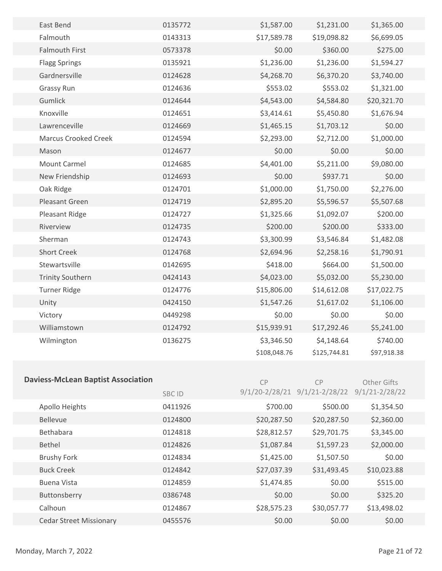| East Bend                   | 0135772 | \$1,587.00   | \$1,231.00   | \$1,365.00  |  |
|-----------------------------|---------|--------------|--------------|-------------|--|
| Falmouth                    | 0143313 | \$17,589.78  | \$19,098.82  | \$6,699.05  |  |
| <b>Falmouth First</b>       | 0573378 | \$0.00       | \$360.00     | \$275.00    |  |
| <b>Flagg Springs</b>        | 0135921 | \$1,236.00   | \$1,236.00   | \$1,594.27  |  |
| Gardnersville               | 0124628 | \$4,268.70   | \$6,370.20   | \$3,740.00  |  |
| Grassy Run                  | 0124636 | \$553.02     | \$553.02     | \$1,321.00  |  |
| Gumlick                     | 0124644 | \$4,543.00   | \$4,584.80   | \$20,321.70 |  |
| Knoxville                   | 0124651 | \$3,414.61   | \$5,450.80   | \$1,676.94  |  |
| Lawrenceville               | 0124669 | \$1,465.15   | \$1,703.12   | \$0.00      |  |
| <b>Marcus Crooked Creek</b> | 0124594 | \$2,293.00   | \$2,712.00   | \$1,000.00  |  |
| Mason                       | 0124677 | \$0.00       | \$0.00       | \$0.00      |  |
| Mount Carmel                | 0124685 | \$4,401.00   | \$5,211.00   | \$9,080.00  |  |
| New Friendship              | 0124693 | \$0.00       | \$937.71     | \$0.00      |  |
| Oak Ridge                   | 0124701 | \$1,000.00   | \$1,750.00   | \$2,276.00  |  |
| Pleasant Green              | 0124719 | \$2,895.20   | \$5,596.57   | \$5,507.68  |  |
| Pleasant Ridge              | 0124727 | \$1,325.66   | \$1,092.07   | \$200.00    |  |
| Riverview                   | 0124735 | \$200.00     | \$200.00     | \$333.00    |  |
| Sherman                     | 0124743 | \$3,300.99   | \$3,546.84   | \$1,482.08  |  |
| <b>Short Creek</b>          | 0124768 | \$2,694.96   | \$2,258.16   | \$1,790.91  |  |
| Stewartsville               | 0142695 | \$418.00     | \$664.00     | \$1,500.00  |  |
| <b>Trinity Southern</b>     | 0424143 | \$4,023.00   | \$5,032.00   | \$5,230.00  |  |
| <b>Turner Ridge</b>         | 0124776 | \$15,806.00  | \$14,612.08  | \$17,022.75 |  |
| Unity                       | 0424150 | \$1,547.26   | \$1,617.02   | \$1,106.00  |  |
| Victory                     | 0449298 | \$0.00       | \$0.00       | \$0.00      |  |
| Williamstown                | 0124792 | \$15,939.91  | \$17,292.46  | \$5,241.00  |  |
| Wilmington                  | 0136275 | \$3,346.50   | \$4,148.64   | \$740.00    |  |
|                             |         | \$108,048.76 | \$125,744.81 | \$97,918.38 |  |
|                             |         |              |              |             |  |

| <b>Daviess-McLean Baptist Association</b> | CP            | <b>CP</b>          | <b>Other Gifts</b> |                    |  |
|-------------------------------------------|---------------|--------------------|--------------------|--------------------|--|
|                                           | <b>SBC ID</b> | $9/1/20 - 2/28/21$ | $9/1/21 - 2/28/22$ | $9/1/21 - 2/28/22$ |  |
| Apollo Heights                            | 0411926       | \$700.00           | \$500.00           | \$1,354.50         |  |
| <b>Bellevue</b>                           | 0124800       | \$20,287.50        | \$20,287.50        | \$2,360.00         |  |
| Bethabara                                 | 0124818       | \$28,812.57        | \$29,701.75        | \$3,345.00         |  |
| <b>Bethel</b>                             | 0124826       | \$1,087.84         | \$1,597.23         | \$2,000.00         |  |
| <b>Brushy Fork</b>                        | 0124834       | \$1,425.00         | \$1,507.50         | \$0.00             |  |
| <b>Buck Creek</b>                         | 0124842       | \$27,037.39        | \$31,493.45        | \$10,023.88        |  |
| <b>Buena Vista</b>                        | 0124859       | \$1,474.85         | \$0.00             | \$515.00           |  |
| Buttonsberry                              | 0386748       | \$0.00             | \$0.00             | \$325.20           |  |
| Calhoun                                   | 0124867       | \$28,575.23        | \$30,057.77        | \$13,498.02        |  |
| <b>Cedar Street Missionary</b>            | 0455576       | \$0.00             | \$0.00             | \$0.00             |  |
|                                           |               |                    |                    |                    |  |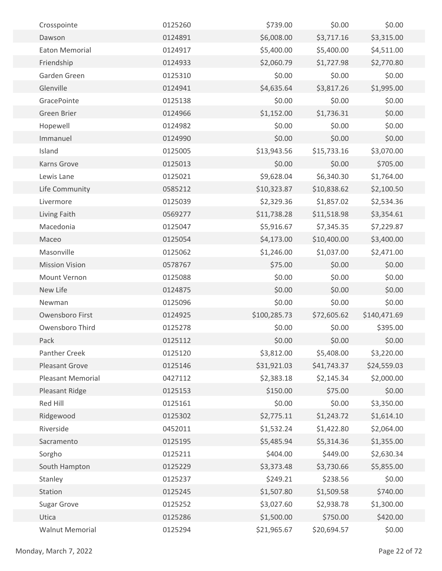| Crosspointe              | 0125260 | \$739.00     | \$0.00      | \$0.00       |  |
|--------------------------|---------|--------------|-------------|--------------|--|
| Dawson                   | 0124891 | \$6,008.00   | \$3,717.16  | \$3,315.00   |  |
| Eaton Memorial           | 0124917 | \$5,400.00   | \$5,400.00  | \$4,511.00   |  |
| Friendship               | 0124933 | \$2,060.79   | \$1,727.98  | \$2,770.80   |  |
| Garden Green             | 0125310 | \$0.00       | \$0.00      | \$0.00       |  |
| Glenville                | 0124941 | \$4,635.64   | \$3,817.26  | \$1,995.00   |  |
| GracePointe              | 0125138 | \$0.00       | \$0.00      | \$0.00       |  |
| Green Brier              | 0124966 | \$1,152.00   | \$1,736.31  | \$0.00       |  |
| Hopewell                 | 0124982 | \$0.00       | \$0.00      | \$0.00       |  |
| Immanuel                 | 0124990 | \$0.00       | \$0.00      | \$0.00       |  |
| Island                   | 0125005 | \$13,943.56  | \$15,733.16 | \$3,070.00   |  |
| Karns Grove              | 0125013 | \$0.00       | \$0.00      | \$705.00     |  |
| Lewis Lane               | 0125021 | \$9,628.04   | \$6,340.30  | \$1,764.00   |  |
| Life Community           | 0585212 | \$10,323.87  | \$10,838.62 | \$2,100.50   |  |
| Livermore                | 0125039 | \$2,329.36   | \$1,857.02  | \$2,534.36   |  |
| Living Faith             | 0569277 | \$11,738.28  | \$11,518.98 | \$3,354.61   |  |
| Macedonia                | 0125047 | \$5,916.67   | \$7,345.35  | \$7,229.87   |  |
| Maceo                    | 0125054 | \$4,173.00   | \$10,400.00 | \$3,400.00   |  |
| Masonville               | 0125062 | \$1,246.00   | \$1,037.00  | \$2,471.00   |  |
| <b>Mission Vision</b>    | 0578767 | \$75.00      | \$0.00      | \$0.00       |  |
| Mount Vernon             | 0125088 | \$0.00       | \$0.00      | \$0.00       |  |
| New Life                 | 0124875 | \$0.00       | \$0.00      | \$0.00       |  |
| Newman                   | 0125096 | \$0.00       | \$0.00      | \$0.00       |  |
| Owensboro First          | 0124925 | \$100,285.73 | \$72,605.62 | \$140,471.69 |  |
| Owensboro Third          | 0125278 | \$0.00       | \$0.00      | \$395.00     |  |
| Pack                     | 0125112 | \$0.00       | \$0.00      | \$0.00       |  |
| <b>Panther Creek</b>     | 0125120 | \$3,812.00   | \$5,408.00  | \$3,220.00   |  |
| <b>Pleasant Grove</b>    | 0125146 | \$31,921.03  | \$41,743.37 | \$24,559.03  |  |
| <b>Pleasant Memorial</b> | 0427112 | \$2,383.18   | \$2,145.34  | \$2,000.00   |  |
| Pleasant Ridge           | 0125153 | \$150.00     | \$75.00     | \$0.00       |  |
| Red Hill                 | 0125161 | \$0.00       | \$0.00      | \$3,350.00   |  |
| Ridgewood                | 0125302 | \$2,775.11   | \$1,243.72  | \$1,614.10   |  |
| Riverside                | 0452011 | \$1,532.24   | \$1,422.80  | \$2,064.00   |  |
| Sacramento               | 0125195 | \$5,485.94   | \$5,314.36  | \$1,355.00   |  |
| Sorgho                   | 0125211 | \$404.00     | \$449.00    | \$2,630.34   |  |
| South Hampton            | 0125229 | \$3,373.48   | \$3,730.66  | \$5,855.00   |  |
| Stanley                  | 0125237 | \$249.21     | \$238.56    | \$0.00       |  |
| Station                  | 0125245 | \$1,507.80   | \$1,509.58  | \$740.00     |  |
| Sugar Grove              | 0125252 | \$3,027.60   | \$2,938.78  | \$1,300.00   |  |
| Utica                    | 0125286 | \$1,500.00   | \$750.00    | \$420.00     |  |
| <b>Walnut Memorial</b>   | 0125294 | \$21,965.67  | \$20,694.57 | \$0.00       |  |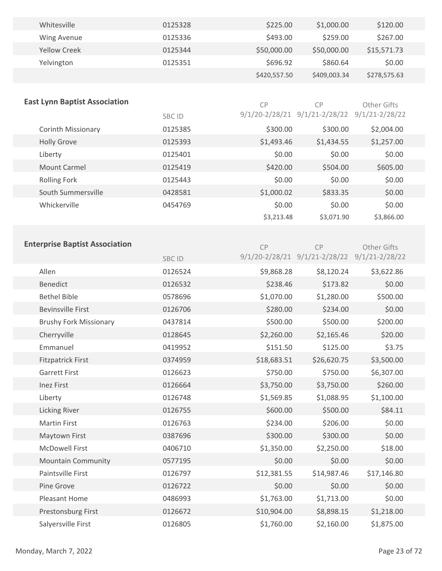| Whitesville         | 0125328 | \$225.00     | \$1,000.00   | \$120.00     |  |
|---------------------|---------|--------------|--------------|--------------|--|
| Wing Avenue         | 0125336 | \$493.00     | \$259.00     | \$267.00     |  |
| <b>Yellow Creek</b> | 0125344 | \$50,000.00  | \$50,000.00  | \$15,571.73  |  |
| Yelvington          | 0125351 | \$696.92     | \$860.64     | \$0.00       |  |
|                     |         | \$420,557.50 | \$409,003.34 | \$278,575.63 |  |

| <b>East Lynn Baptist Association</b> |               | CP         | СP                            | Other Gifts        |
|--------------------------------------|---------------|------------|-------------------------------|--------------------|
|                                      | <b>SBC ID</b> |            | 9/1/20-2/28/21 9/1/21-2/28/22 | $9/1/21 - 2/28/22$ |
| <b>Corinth Missionary</b>            | 0125385       | \$300.00   | \$300.00                      | \$2,004.00         |
| <b>Holly Grove</b>                   | 0125393       | \$1,493.46 | \$1,434.55                    | \$1,257.00         |
| Liberty                              | 0125401       | \$0.00     | \$0.00                        | \$0.00             |
| <b>Mount Carmel</b>                  | 0125419       | \$420.00   | \$504.00                      | \$605.00           |
| Rolling Fork                         | 0125443       | \$0.00     | \$0.00                        | \$0.00             |
| South Summersville                   | 0428581       | \$1,000.02 | \$833.35                      | \$0.00             |
| Whickerville                         | 0454769       | \$0.00     | \$0.00                        | \$0.00             |
|                                      |               | \$3,213.48 | \$3,071.90                    | \$3,866.00         |

# **Enterprise Baptist Association**

| iterprise paptist Association |              | CP          | C <sub>P</sub>                               | <b>Other Gifts</b> |  |
|-------------------------------|--------------|-------------|----------------------------------------------|--------------------|--|
|                               | <b>SBCID</b> |             | 9/1/20-2/28/21 9/1/21-2/28/22 9/1/21-2/28/22 |                    |  |
| Allen                         | 0126524      | \$9,868.28  | \$8,120.24                                   | \$3,622.86         |  |
| <b>Benedict</b>               | 0126532      | \$238.46    | \$173.82                                     | \$0.00             |  |
| <b>Bethel Bible</b>           | 0578696      | \$1,070.00  | \$1,280.00                                   | \$500.00           |  |
| <b>Bevinsville First</b>      | 0126706      | \$280.00    | \$234.00                                     | \$0.00             |  |
| <b>Brushy Fork Missionary</b> | 0437814      | \$500.00    | \$500.00                                     | \$200.00           |  |
| Cherryville                   | 0128645      | \$2,260.00  | \$2,165.46                                   | \$20.00            |  |
| Emmanuel                      | 0419952      | \$151.50    | \$125.00                                     | \$3.75             |  |
| <b>Fitzpatrick First</b>      | 0374959      | \$18,683.51 | \$26,620.75                                  | \$3,500.00         |  |
| <b>Garrett First</b>          | 0126623      | \$750.00    | \$750.00                                     | \$6,307.00         |  |
| <b>Inez First</b>             | 0126664      | \$3,750.00  | \$3,750.00                                   | \$260.00           |  |
| Liberty                       | 0126748      | \$1,569.85  | \$1,088.95                                   | \$1,100.00         |  |
| <b>Licking River</b>          | 0126755      | \$600.00    | \$500.00                                     | \$84.11            |  |
| <b>Martin First</b>           | 0126763      | \$234.00    | \$206.00                                     | \$0.00             |  |
| Maytown First                 | 0387696      | \$300.00    | \$300.00                                     | \$0.00             |  |
| <b>McDowell First</b>         | 0406710      | \$1,350.00  | \$2,250.00                                   | \$18.00            |  |
| <b>Mountain Community</b>     | 0577195      | \$0.00      | \$0.00                                       | \$0.00             |  |
| Paintsville First             | 0126797      | \$12,381.55 | \$14,987.46                                  | \$17,146.80        |  |
| Pine Grove                    | 0126722      | \$0.00      | \$0.00                                       | \$0.00             |  |
| Pleasant Home                 | 0486993      | \$1,763.00  | \$1,713.00                                   | \$0.00             |  |
| Prestonsburg First            | 0126672      | \$10,904.00 | \$8,898.15                                   | \$1,218.00         |  |
| Salyersville First            | 0126805      | \$1,760.00  | \$2,160.00                                   | \$1,875.00         |  |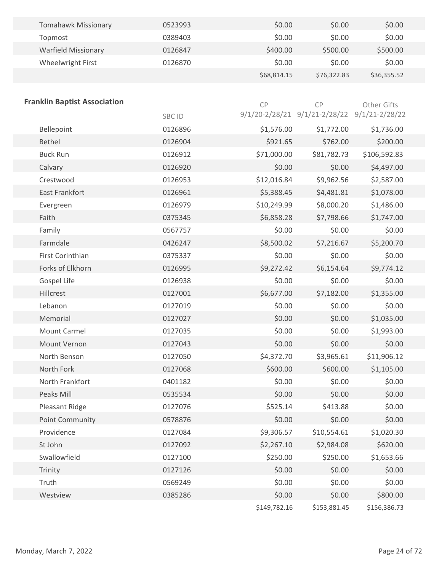| <b>Tomahawk Missionary</b> | 0523993 | \$0.00      | \$0.00      | \$0.00      |  |
|----------------------------|---------|-------------|-------------|-------------|--|
| Topmost                    | 0389403 | \$0.00      | \$0.00      | \$0.00      |  |
| <b>Warfield Missionary</b> | 0126847 | \$400.00    | \$500.00    | \$500.00    |  |
| Wheelwright First          | 0126870 | \$0.00      | \$0.00      | \$0.00      |  |
|                            |         | \$68,814.15 | \$76,322.83 | \$36,355.52 |  |

| <b>Franklin Baptist Association</b> |         | CP           | CP                                           | Other Gifts  |
|-------------------------------------|---------|--------------|----------------------------------------------|--------------|
|                                     | SBC ID  |              | 9/1/20-2/28/21 9/1/21-2/28/22 9/1/21-2/28/22 |              |
| Bellepoint                          | 0126896 | \$1,576.00   | \$1,772.00                                   | \$1,736.00   |
| Bethel                              | 0126904 | \$921.65     | \$762.00                                     | \$200.00     |
| <b>Buck Run</b>                     | 0126912 | \$71,000.00  | \$81,782.73                                  | \$106,592.83 |
| Calvary                             | 0126920 | \$0.00       | \$0.00                                       | \$4,497.00   |
| Crestwood                           | 0126953 | \$12,016.84  | \$9,962.56                                   | \$2,587.00   |
| East Frankfort                      | 0126961 | \$5,388.45   | \$4,481.81                                   | \$1,078.00   |
| Evergreen                           | 0126979 | \$10,249.99  | \$8,000.20                                   | \$1,486.00   |
| Faith                               | 0375345 | \$6,858.28   | \$7,798.66                                   | \$1,747.00   |
| Family                              | 0567757 | \$0.00       | \$0.00                                       | \$0.00       |
| Farmdale                            | 0426247 | \$8,500.02   | \$7,216.67                                   | \$5,200.70   |
| First Corinthian                    | 0375337 | \$0.00       | \$0.00                                       | \$0.00       |
| Forks of Elkhorn                    | 0126995 | \$9,272.42   | \$6,154.64                                   | \$9,774.12   |
| Gospel Life                         | 0126938 | \$0.00       | \$0.00                                       | \$0.00       |
| Hillcrest                           | 0127001 | \$6,677.00   | \$7,182.00                                   | \$1,355.00   |
| Lebanon                             | 0127019 | \$0.00       | \$0.00                                       | \$0.00       |
| Memorial                            | 0127027 | \$0.00       | \$0.00                                       | \$1,035.00   |
| <b>Mount Carmel</b>                 | 0127035 | \$0.00       | \$0.00                                       | \$1,993.00   |
| Mount Vernon                        | 0127043 | \$0.00       | \$0.00                                       | \$0.00       |
| North Benson                        | 0127050 | \$4,372.70   | \$3,965.61                                   | \$11,906.12  |
| North Fork                          | 0127068 | \$600.00     | \$600.00                                     | \$1,105.00   |
| North Frankfort                     | 0401182 | \$0.00       | \$0.00                                       | \$0.00       |
| Peaks Mill                          | 0535534 | \$0.00       | \$0.00                                       | \$0.00       |
| Pleasant Ridge                      | 0127076 | \$525.14     | \$413.88                                     | \$0.00       |
| <b>Point Community</b>              | 0578876 | \$0.00       | \$0.00                                       | \$0.00       |
| Providence                          | 0127084 | \$9,306.57   | \$10,554.61                                  | \$1,020.30   |
| St John                             | 0127092 | \$2,267.10   | \$2,984.08                                   | \$620.00     |
| Swallowfield                        | 0127100 | \$250.00     | \$250.00                                     | \$1,653.66   |
| Trinity                             | 0127126 | \$0.00       | \$0.00                                       | \$0.00       |
| Truth                               | 0569249 | \$0.00       | \$0.00                                       | \$0.00       |
| Westview                            | 0385286 | \$0.00       | \$0.00                                       | \$800.00     |
|                                     |         | \$149,782.16 | \$153,881.45                                 | \$156,386.73 |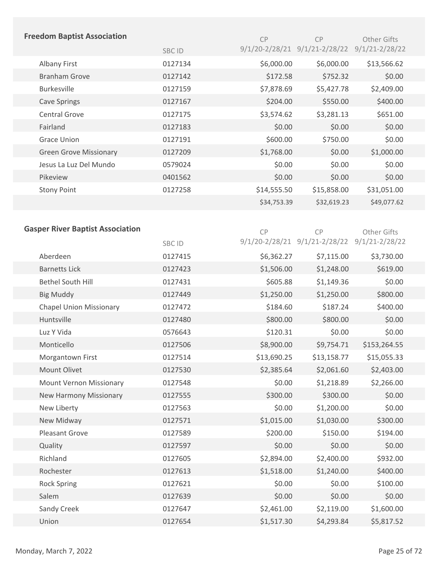| <b>Freedom Baptist Association</b>      |              | CP          | CP                                           | Other Gifts        |
|-----------------------------------------|--------------|-------------|----------------------------------------------|--------------------|
|                                         | <b>SBCID</b> |             | 9/1/20-2/28/21 9/1/21-2/28/22 9/1/21-2/28/22 |                    |
| Albany First                            | 0127134      | \$6,000.00  | \$6,000.00                                   | \$13,566.62        |
| <b>Branham Grove</b>                    | 0127142      | \$172.58    | \$752.32                                     | \$0.00             |
| <b>Burkesville</b>                      | 0127159      | \$7,878.69  | \$5,427.78                                   | \$2,409.00         |
| <b>Cave Springs</b>                     | 0127167      | \$204.00    | \$550.00                                     | \$400.00           |
| <b>Central Grove</b>                    | 0127175      | \$3,574.62  | \$3,281.13                                   | \$651.00           |
| Fairland                                | 0127183      | \$0.00      | \$0.00                                       | \$0.00             |
| <b>Grace Union</b>                      | 0127191      | \$600.00    | \$750.00                                     | \$0.00             |
| <b>Green Grove Missionary</b>           | 0127209      | \$1,768.00  | \$0.00                                       | \$1,000.00         |
| Jesus La Luz Del Mundo                  | 0579024      | \$0.00      | \$0.00                                       | \$0.00             |
| Pikeview                                | 0401562      | \$0.00      | \$0.00                                       | \$0.00             |
| <b>Stony Point</b>                      | 0127258      | \$14,555.50 | \$15,858.00                                  | \$31,051.00        |
|                                         |              | \$34,753.39 | \$32,619.23                                  | \$49,077.62        |
|                                         |              |             |                                              |                    |
| <b>Gasper River Baptist Association</b> |              | CP          | CP                                           | Other Gifts        |
|                                         | <b>SBCID</b> |             | 9/1/20-2/28/21 9/1/21-2/28/22                | $9/1/21 - 2/28/22$ |
| Aberdeen                                | 0127415      | \$6,362.27  | \$7,115.00                                   | \$3,730.00         |
| <b>Barnetts Lick</b>                    | 0127423      | \$1,506.00  | \$1,248.00                                   | \$619.00           |
| <b>Bethel South Hill</b>                | 0127431      | \$605.88    | \$1,149.36                                   | \$0.00             |
| <b>Big Muddy</b>                        | 0127449      | \$1,250.00  | \$1,250.00                                   | \$800.00           |
| <b>Chapel Union Missionary</b>          | 0127472      | \$184.60    | \$187.24                                     | \$400.00           |
| Huntsville                              | 0127480      | \$800.00    | \$800.00                                     | \$0.00             |
| Luz Y Vida                              | 0576643      | \$120.31    | \$0.00                                       | \$0.00             |
| Monticello                              | 0127506      | \$8,900.00  | \$9,754.71                                   | \$153,264.55       |
| Morgantown First                        | 0127514      | \$13,690.25 | \$13,158.77                                  | \$15,055.33        |
| Mount Olivet                            | 0127530      | \$2,385.64  | \$2,061.60                                   | \$2,403.00         |
| Mount Vernon Missionary                 | 0127548      | \$0.00      | \$1,218.89                                   | \$2,266.00         |
| New Harmony Missionary                  | 0127555      | \$300.00    | \$300.00                                     | \$0.00             |
| New Liberty                             | 0127563      | \$0.00      | \$1,200.00                                   | \$0.00             |
| New Midway                              | 0127571      | \$1,015.00  | \$1,030.00                                   | \$300.00           |
| Pleasant Grove                          | 0127589      | \$200.00    | \$150.00                                     | \$194.00           |
| Quality                                 | 0127597      | \$0.00      | \$0.00                                       | \$0.00             |
| Richland                                | 0127605      | \$2,894.00  | \$2,400.00                                   | \$932.00           |
| Rochester                               | 0127613      | \$1,518.00  | \$1,240.00                                   | \$400.00           |
| <b>Rock Spring</b>                      | 0127621      | \$0.00      | \$0.00                                       | \$100.00           |
| Salem                                   | 0127639      | \$0.00      | \$0.00                                       | \$0.00             |
| Sandy Creek                             | 0127647      | \$2,461.00  | \$2,119.00                                   | \$1,600.00         |
| Union                                   | 0127654      | \$1,517.30  | \$4,293.84                                   | \$5,817.52         |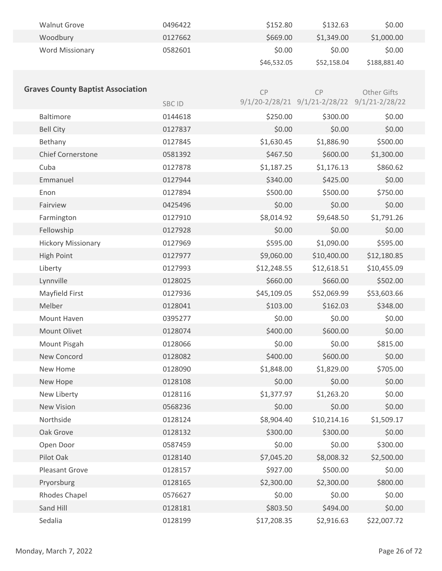| <b>Walnut Grove</b>    | 0496422 | \$152.80    | \$132.63    | \$0.00       |
|------------------------|---------|-------------|-------------|--------------|
| Woodbury               | 0127662 | \$669.00    | \$1,349.00  | \$1,000.00   |
| <b>Word Missionary</b> | 0582601 | \$0.00      | \$0.00      | \$0.00       |
|                        |         | \$46,532.05 | \$52,158.04 | \$188,881.40 |

| <b>Graves County Baptist Association</b> |         | CP          | CP                                           | Other Gifts |
|------------------------------------------|---------|-------------|----------------------------------------------|-------------|
|                                          | SBC ID  |             | 9/1/20-2/28/21 9/1/21-2/28/22 9/1/21-2/28/22 |             |
| Baltimore                                | 0144618 | \$250.00    | \$300.00                                     | \$0.00      |
| <b>Bell City</b>                         | 0127837 | \$0.00      | \$0.00                                       | \$0.00      |
| Bethany                                  | 0127845 | \$1,630.45  | \$1,886.90                                   | \$500.00    |
| <b>Chief Cornerstone</b>                 | 0581392 | \$467.50    | \$600.00                                     | \$1,300.00  |
| Cuba                                     | 0127878 | \$1,187.25  | \$1,176.13                                   | \$860.62    |
| Emmanuel                                 | 0127944 | \$340.00    | \$425.00                                     | \$0.00      |
| Enon                                     | 0127894 | \$500.00    | \$500.00                                     | \$750.00    |
| Fairview                                 | 0425496 | \$0.00      | \$0.00                                       | \$0.00      |
| Farmington                               | 0127910 | \$8,014.92  | \$9,648.50                                   | \$1,791.26  |
| Fellowship                               | 0127928 | \$0.00      | \$0.00                                       | \$0.00      |
| <b>Hickory Missionary</b>                | 0127969 | \$595.00    | \$1,090.00                                   | \$595.00    |
| <b>High Point</b>                        | 0127977 | \$9,060.00  | \$10,400.00                                  | \$12,180.85 |
| Liberty                                  | 0127993 | \$12,248.55 | \$12,618.51                                  | \$10,455.09 |
| Lynnville                                | 0128025 | \$660.00    | \$660.00                                     | \$502.00    |
| Mayfield First                           | 0127936 | \$45,109.05 | \$52,069.99                                  | \$53,603.66 |
| Melber                                   | 0128041 | \$103.00    | \$162.03                                     | \$348.00    |
| Mount Haven                              | 0395277 | \$0.00      | \$0.00                                       | \$0.00      |
| Mount Olivet                             | 0128074 | \$400.00    | \$600.00                                     | \$0.00      |
| Mount Pisgah                             | 0128066 | \$0.00      | \$0.00                                       | \$815.00    |
| New Concord                              | 0128082 | \$400.00    | \$600.00                                     | \$0.00      |
| New Home                                 | 0128090 | \$1,848.00  | \$1,829.00                                   | \$705.00    |
| New Hope                                 | 0128108 | \$0.00      | \$0.00                                       | \$0.00      |
| New Liberty                              | 0128116 | \$1,377.97  | \$1,263.20                                   | \$0.00      |
| <b>New Vision</b>                        | 0568236 | \$0.00      | \$0.00                                       | \$0.00      |
| Northside                                | 0128124 | \$8,904.40  | \$10,214.16                                  | \$1,509.17  |
| Oak Grove                                | 0128132 | \$300.00    | \$300.00                                     | \$0.00      |
| Open Door                                | 0587459 | \$0.00      | \$0.00                                       | \$300.00    |
| Pilot Oak                                | 0128140 | \$7,045.20  | \$8,008.32                                   | \$2,500.00  |
| Pleasant Grove                           | 0128157 | \$927.00    | \$500.00                                     | \$0.00      |
| Pryorsburg                               | 0128165 | \$2,300.00  | \$2,300.00                                   | \$800.00    |
| Rhodes Chapel                            | 0576627 | \$0.00      | \$0.00                                       | \$0.00      |
| Sand Hill                                | 0128181 | \$803.50    | \$494.00                                     | \$0.00      |
| Sedalia                                  | 0128199 | \$17,208.35 | \$2,916.63                                   | \$22,007.72 |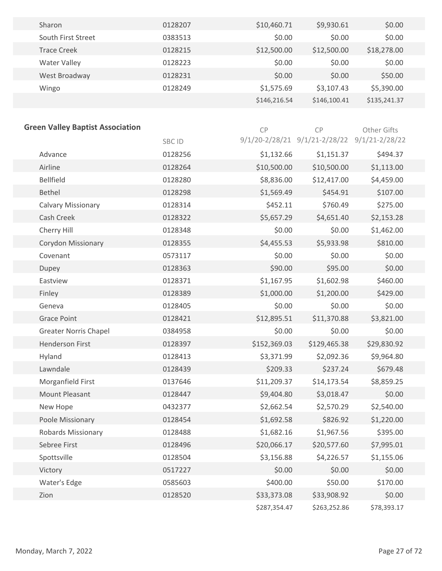| Sharon              | 0128207 | \$10,460.71  | \$9,930.61   | \$0.00       |  |
|---------------------|---------|--------------|--------------|--------------|--|
| South First Street  | 0383513 | \$0.00       | \$0.00       | \$0.00       |  |
| Trace Creek         | 0128215 | \$12,500.00  | \$12,500.00  | \$18,278.00  |  |
| <b>Water Valley</b> | 0128223 | \$0.00       | \$0.00       | \$0.00       |  |
| West Broadway       | 0128231 | \$0.00       | \$0.00       | \$50.00      |  |
| Wingo               | 0128249 | \$1,575.69   | \$3,107.43   | \$5,390.00   |  |
|                     |         | \$146,216.54 | \$146,100.41 | \$135,241.37 |  |

| <b>Green Valley Baptist Association</b> |         | CP           | CP                                           | Other Gifts |
|-----------------------------------------|---------|--------------|----------------------------------------------|-------------|
|                                         | SBC ID  |              | 9/1/20-2/28/21 9/1/21-2/28/22 9/1/21-2/28/22 |             |
| Advance                                 | 0128256 | \$1,132.66   | \$1,151.37                                   | \$494.37    |
| Airline                                 | 0128264 | \$10,500.00  | \$10,500.00                                  | \$1,113.00  |
| <b>Bellfield</b>                        | 0128280 | \$8,836.00   | \$12,417.00                                  | \$4,459.00  |
| Bethel                                  | 0128298 | \$1,569.49   | \$454.91                                     | \$107.00    |
| <b>Calvary Missionary</b>               | 0128314 | \$452.11     | \$760.49                                     | \$275.00    |
| Cash Creek                              | 0128322 | \$5,657.29   | \$4,651.40                                   | \$2,153.28  |
| Cherry Hill                             | 0128348 | \$0.00       | \$0.00                                       | \$1,462.00  |
| Corydon Missionary                      | 0128355 | \$4,455.53   | \$5,933.98                                   | \$810.00    |
| Covenant                                | 0573117 | \$0.00       | \$0.00                                       | \$0.00      |
| Dupey                                   | 0128363 | \$90.00      | \$95.00                                      | \$0.00      |
| Eastview                                | 0128371 | \$1,167.95   | \$1,602.98                                   | \$460.00    |
| Finley                                  | 0128389 | \$1,000.00   | \$1,200.00                                   | \$429.00    |
| Geneva                                  | 0128405 | \$0.00       | \$0.00                                       | \$0.00      |
| <b>Grace Point</b>                      | 0128421 | \$12,895.51  | \$11,370.88                                  | \$3,821.00  |
| <b>Greater Norris Chapel</b>            | 0384958 | \$0.00       | \$0.00                                       | \$0.00      |
| <b>Henderson First</b>                  | 0128397 | \$152,369.03 | \$129,465.38                                 | \$29,830.92 |
| Hyland                                  | 0128413 | \$3,371.99   | \$2,092.36                                   | \$9,964.80  |
| Lawndale                                | 0128439 | \$209.33     | \$237.24                                     | \$679.48    |
| Morganfield First                       | 0137646 | \$11,209.37  | \$14,173.54                                  | \$8,859.25  |
| Mount Pleasant                          | 0128447 | \$9,404.80   | \$3,018.47                                   | \$0.00      |
| New Hope                                | 0432377 | \$2,662.54   | \$2,570.29                                   | \$2,540.00  |
| Poole Missionary                        | 0128454 | \$1,692.58   | \$826.92                                     | \$1,220.00  |
| <b>Robards Missionary</b>               | 0128488 | \$1,682.16   | \$1,967.56                                   | \$395.00    |
| Sebree First                            | 0128496 | \$20,066.17  | \$20,577.60                                  | \$7,995.01  |
| Spottsville                             | 0128504 | \$3,156.88   | \$4,226.57                                   | \$1,155.06  |
| Victory                                 | 0517227 | \$0.00       | \$0.00                                       | \$0.00      |
| Water's Edge                            | 0585603 | \$400.00     | \$50.00                                      | \$170.00    |
| Zion                                    | 0128520 | \$33,373.08  | \$33,908.92                                  | \$0.00      |
|                                         |         | \$287,354.47 | \$263,252.86                                 | \$78,393.17 |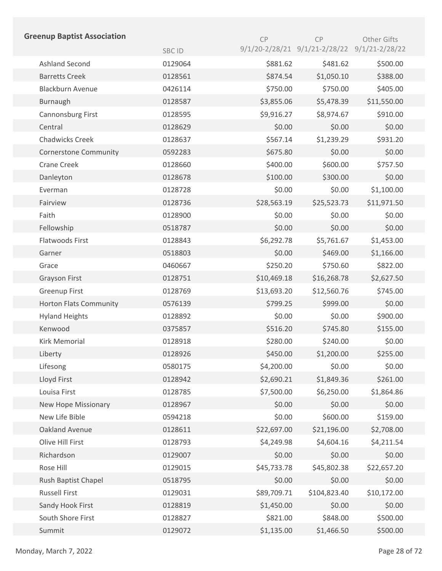| <b>Greenup Baptist Association</b> |              | CP          | CP                            | Other Gifts        |
|------------------------------------|--------------|-------------|-------------------------------|--------------------|
|                                    | <b>SBCID</b> |             | 9/1/20-2/28/21 9/1/21-2/28/22 | $9/1/21 - 2/28/22$ |
| <b>Ashland Second</b>              | 0129064      | \$881.62    | \$481.62                      | \$500.00           |
| <b>Barretts Creek</b>              | 0128561      | \$874.54    | \$1,050.10                    | \$388.00           |
| <b>Blackburn Avenue</b>            | 0426114      | \$750.00    | \$750.00                      | \$405.00           |
| Burnaugh                           | 0128587      | \$3,855.06  | \$5,478.39                    | \$11,550.00        |
| Cannonsburg First                  | 0128595      | \$9,916.27  | \$8,974.67                    | \$910.00           |
| Central                            | 0128629      | \$0.00      | \$0.00                        | \$0.00             |
| <b>Chadwicks Creek</b>             | 0128637      | \$567.14    | \$1,239.29                    | \$931.20           |
| <b>Cornerstone Community</b>       | 0592283      | \$675.80    | \$0.00                        | \$0.00             |
| <b>Crane Creek</b>                 | 0128660      | \$400.00    | \$600.00                      | \$757.50           |
| Danleyton                          | 0128678      | \$100.00    | \$300.00                      | \$0.00             |
| Everman                            | 0128728      | \$0.00      | \$0.00                        | \$1,100.00         |
| Fairview                           | 0128736      | \$28,563.19 | \$25,523.73                   | \$11,971.50        |
| Faith                              | 0128900      | \$0.00      | \$0.00                        | \$0.00             |
| Fellowship                         | 0518787      | \$0.00      | \$0.00                        | \$0.00             |
| Flatwoods First                    | 0128843      | \$6,292.78  | \$5,761.67                    | \$1,453.00         |
| Garner                             | 0518803      | \$0.00      | \$469.00                      | \$1,166.00         |
| Grace                              | 0460667      | \$250.20    | \$750.60                      | \$822.00           |
| Grayson First                      | 0128751      | \$10,469.18 | \$16,268.78                   | \$2,627.50         |
| <b>Greenup First</b>               | 0128769      | \$13,693.20 | \$12,560.76                   | \$745.00           |
| <b>Horton Flats Community</b>      | 0576139      | \$799.25    | \$999.00                      | \$0.00             |
| <b>Hyland Heights</b>              | 0128892      | \$0.00      | \$0.00                        | \$900.00           |
| Kenwood                            | 0375857      | \$516.20    | \$745.80                      | \$155.00           |
| <b>Kirk Memorial</b>               | 0128918      | \$280.00    | \$240.00                      | \$0.00             |
| Liberty                            | 0128926      | \$450.00    | \$1,200.00                    | \$255.00           |
| Lifesong                           | 0580175      | \$4,200.00  | \$0.00                        | \$0.00             |
| Lloyd First                        | 0128942      | \$2,690.21  | \$1,849.36                    | \$261.00           |
| Louisa First                       | 0128785      | \$7,500.00  | \$6,250.00                    | \$1,864.86         |
| New Hope Missionary                | 0128967      | \$0.00      | \$0.00                        | \$0.00             |
| New Life Bible                     | 0594218      | \$0.00      | \$600.00                      | \$159.00           |
| Oakland Avenue                     | 0128611      | \$22,697.00 | \$21,196.00                   | \$2,708.00         |
| Olive Hill First                   | 0128793      | \$4,249.98  | \$4,604.16                    | \$4,211.54         |
| Richardson                         | 0129007      | \$0.00      | \$0.00                        | \$0.00             |
| Rose Hill                          | 0129015      | \$45,733.78 | \$45,802.38                   | \$22,657.20        |
| Rush Baptist Chapel                | 0518795      | \$0.00      | \$0.00                        | \$0.00             |
| <b>Russell First</b>               | 0129031      | \$89,709.71 | \$104,823.40                  | \$10,172.00        |
| Sandy Hook First                   | 0128819      | \$1,450.00  | \$0.00                        | \$0.00             |
| South Shore First                  | 0128827      | \$821.00    | \$848.00                      | \$500.00           |
| Summit                             | 0129072      | \$1,135.00  | \$1,466.50                    | \$500.00           |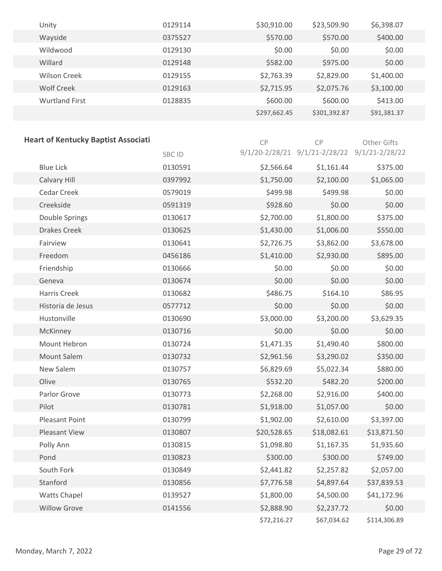| Unity                 | 0129114 | \$30,910.00  | \$23,509.90  | \$6,398.07  |
|-----------------------|---------|--------------|--------------|-------------|
| Wayside               | 0375527 | \$570.00     | \$570.00     | \$400.00    |
| Wildwood              | 0129130 | \$0.00       | \$0.00       | \$0.00      |
| Willard               | 0129148 | \$582.00     | \$975.00     | \$0.00      |
| <b>Wilson Creek</b>   | 0129155 | \$2,763.39   | \$2,829.00   | \$1,400.00  |
| Wolf Creek            | 0129163 | \$2,715.95   | \$2,075.76   | \$3,100.00  |
| <b>Wurtland First</b> | 0128835 | \$600.00     | \$600.00     | \$413.00    |
|                       |         | \$297,662.45 | \$301,392.87 | \$91,381.37 |

| <b>Heart of Kentucky Baptist Associati</b> |         | CP          | CP                                           | Other Gifts  |
|--------------------------------------------|---------|-------------|----------------------------------------------|--------------|
|                                            | SBC ID  |             | 9/1/20-2/28/21 9/1/21-2/28/22 9/1/21-2/28/22 |              |
| <b>Blue Lick</b>                           | 0130591 | \$2,566.64  | \$1,161.44                                   | \$375.00     |
| Calvary Hill                               | 0397992 | \$1,750.00  | \$2,100.00                                   | \$1,065.00   |
| Cedar Creek                                | 0579019 | \$499.98    | \$499.98                                     | \$0.00       |
| Creekside                                  | 0591319 | \$928.60    | \$0.00                                       | \$0.00       |
| Double Springs                             | 0130617 | \$2,700.00  | \$1,800.00                                   | \$375.00     |
| <b>Drakes Creek</b>                        | 0130625 | \$1,430.00  | \$1,006.00                                   | \$550.00     |
| Fairview                                   | 0130641 | \$2,726.75  | \$3,862.00                                   | \$3,678.00   |
| Freedom                                    | 0456186 | \$1,410.00  | \$2,930.00                                   | \$895.00     |
| Friendship                                 | 0130666 | \$0.00      | \$0.00                                       | \$0.00       |
| Geneva                                     | 0130674 | \$0.00      | \$0.00                                       | \$0.00       |
| Harris Creek                               | 0130682 | \$486.75    | \$164.10                                     | \$86.95      |
| Historia de Jesus                          | 0577712 | \$0.00      | \$0.00                                       | \$0.00       |
| Hustonville                                | 0130690 | \$3,000.00  | \$3,200.00                                   | \$3,629.35   |
| McKinney                                   | 0130716 | \$0.00      | \$0.00                                       | \$0.00       |
| Mount Hebron                               | 0130724 | \$1,471.35  | \$1,490.40                                   | \$800.00     |
| <b>Mount Salem</b>                         | 0130732 | \$2,961.56  | \$3,290.02                                   | \$350.00     |
| New Salem                                  | 0130757 | \$6,829.69  | \$5,022.34                                   | \$880.00     |
| Olive                                      | 0130765 | \$532.20    | \$482.20                                     | \$200.00     |
| Parlor Grove                               | 0130773 | \$2,268.00  | \$2,916.00                                   | \$400.00     |
| Pilot                                      | 0130781 | \$1,918.00  | \$1,057.00                                   | \$0.00       |
| <b>Pleasant Point</b>                      | 0130799 | \$1,902.00  | \$2,610.00                                   | \$3,397.00   |
| <b>Pleasant View</b>                       | 0130807 | \$20,528.65 | \$18,082.61                                  | \$13,871.50  |
| Polly Ann                                  | 0130815 | \$1,098.80  | \$1,167.35                                   | \$1,935.60   |
| Pond                                       | 0130823 | \$300.00    | \$300.00                                     | \$749.00     |
| South Fork                                 | 0130849 | \$2,441.82  | \$2,257.82                                   | \$2,057.00   |
| Stanford                                   | 0130856 | \$7,776.58  | \$4,897.64                                   | \$37,839.53  |
| <b>Watts Chapel</b>                        | 0139527 | \$1,800.00  | \$4,500.00                                   | \$41,172.96  |
| <b>Willow Grove</b>                        | 0141556 | \$2,888.90  | \$2,237.72                                   | \$0.00       |
|                                            |         | \$72,216.27 | \$67,034.62                                  | \$114,306.89 |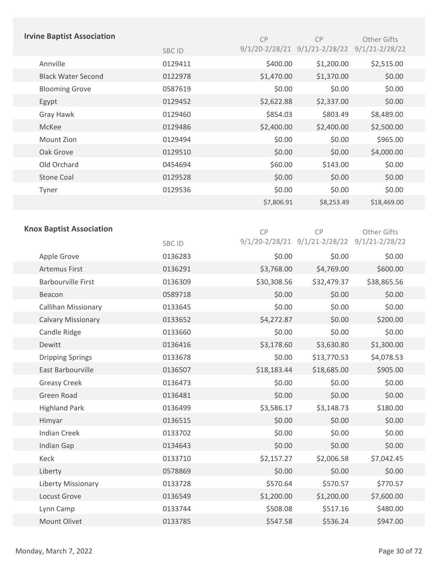|                      | <b>Irvine Baptist Association</b> |         | CP          | CP                                           | Other Gifts        |
|----------------------|-----------------------------------|---------|-------------|----------------------------------------------|--------------------|
|                      |                                   | SBC ID  |             | 9/1/20-2/28/21 9/1/21-2/28/22 9/1/21-2/28/22 |                    |
| Annville             |                                   | 0129411 | \$400.00    | \$1,200.00                                   | \$2,515.00         |
|                      | <b>Black Water Second</b>         | 0122978 | \$1,470.00  | \$1,370.00                                   | \$0.00             |
|                      | <b>Blooming Grove</b>             | 0587619 | \$0.00      | \$0.00                                       | \$0.00             |
| Egypt                |                                   | 0129452 | \$2,622.88  | \$2,337.00                                   | \$0.00             |
| Gray Hawk            |                                   | 0129460 | \$854.03    | \$803.49                                     | \$8,489.00         |
| McKee                |                                   | 0129486 | \$2,400.00  | \$2,400.00                                   | \$2,500.00         |
| Mount Zion           |                                   | 0129494 | \$0.00      | \$0.00                                       | \$965.00           |
| Oak Grove            |                                   | 0129510 | \$0.00      | \$0.00                                       | \$4,000.00         |
| Old Orchard          |                                   | 0454694 | \$60.00     | \$143.00                                     | \$0.00             |
| <b>Stone Coal</b>    |                                   | 0129528 | \$0.00      | \$0.00                                       | \$0.00             |
| Tyner                |                                   | 0129536 | \$0.00      | \$0.00                                       | \$0.00             |
|                      |                                   |         | \$7,806.91  | \$8,253.49                                   | \$18,469.00        |
|                      |                                   |         |             |                                              |                    |
|                      | <b>Knox Baptist Association</b>   |         | CP          | CP                                           | Other Gifts        |
|                      |                                   | SBC ID  |             | 9/1/20-2/28/21 9/1/21-2/28/22                | $9/1/21 - 2/28/22$ |
| Apple Grove          |                                   | 0136283 | \$0.00      | \$0.00                                       | \$0.00             |
| <b>Artemus First</b> |                                   | 0136291 | \$3,768.00  | \$4,769.00                                   | \$600.00           |
|                      | <b>Barbourville First</b>         | 0136309 | \$30,308.56 | \$32,479.37                                  | \$38,865.56        |
| Beacon               |                                   | 0589718 | \$0.00      | \$0.00                                       | \$0.00             |
|                      | Callihan Missionary               | 0133645 | \$0.00      | \$0.00                                       | \$0.00             |
|                      | <b>Calvary Missionary</b>         | 0133652 | \$4,272.87  | \$0.00                                       | \$200.00           |
| Candle Ridge         |                                   | 0133660 | \$0.00      | \$0.00                                       | \$0.00             |
| Dewitt               |                                   | 0136416 | \$3,178.60  | \$3,630.80                                   | \$1,300.00         |
|                      | <b>Dripping Springs</b>           | 0133678 | \$0.00      | \$13,770.53                                  | \$4,078.53         |
|                      | East Barbourville                 | 0136507 | \$18,183.44 | \$18,685.00                                  | \$905.00           |
| <b>Greasy Creek</b>  |                                   | 0136473 | \$0.00      | \$0.00                                       | \$0.00             |
| Green Road           |                                   | 0136481 | \$0.00      | \$0.00                                       | \$0.00             |
|                      | <b>Highland Park</b>              | 0136499 | \$3,586.17  | \$3,148.73                                   | \$180.00           |
| Himyar               |                                   | 0136515 | \$0.00      | \$0.00                                       | \$0.00             |
| <b>Indian Creek</b>  |                                   | 0133702 | \$0.00      | \$0.00                                       | \$0.00             |
| <b>Indian Gap</b>    |                                   | 0134643 | \$0.00      | \$0.00                                       | \$0.00             |
| Keck                 |                                   | 0133710 | \$2,157.27  | \$2,006.58                                   | \$7,042.45         |
| Liberty              |                                   | 0578869 | \$0.00      | \$0.00                                       | \$0.00             |
|                      | Liberty Missionary                | 0133728 | \$570.64    | \$570.57                                     | \$770.57           |
| Locust Grove         |                                   | 0136549 | \$1,200.00  | \$1,200.00                                   | \$7,600.00         |
| Lynn Camp            |                                   | 0133744 | \$508.08    | \$517.16                                     | \$480.00           |
|                      | Mount Olivet                      | 0133785 | \$547.58    | \$536.24                                     | \$947.00           |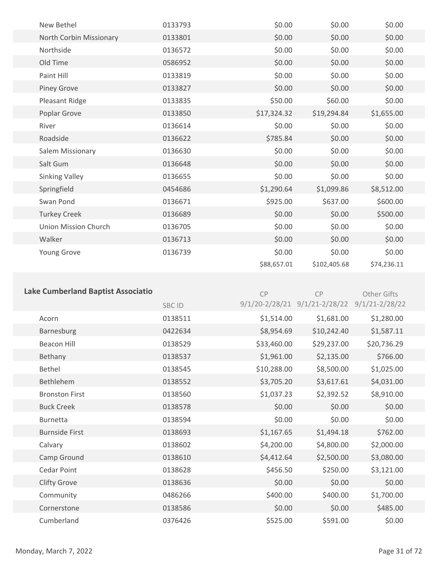| New Bethel                  | 0133793 | \$0.00      | \$0.00       | \$0.00      |  |
|-----------------------------|---------|-------------|--------------|-------------|--|
| North Corbin Missionary     | 0133801 | \$0.00      | \$0.00       | \$0.00      |  |
| Northside                   | 0136572 | \$0.00      | \$0.00       | \$0.00      |  |
| Old Time                    | 0586952 | \$0.00      | \$0.00       | \$0.00      |  |
| Paint Hill                  | 0133819 | \$0.00      | \$0.00       | \$0.00      |  |
| <b>Piney Grove</b>          | 0133827 | \$0.00      | \$0.00       | \$0.00      |  |
| Pleasant Ridge              | 0133835 | \$50.00     | \$60.00      | \$0.00      |  |
| Poplar Grove                | 0133850 | \$17,324.32 | \$19,294.84  | \$1,655.00  |  |
| River                       | 0136614 | \$0.00      | \$0.00       | \$0.00      |  |
| Roadside                    | 0136622 | \$785.84    | \$0.00       | \$0.00      |  |
| Salem Missionary            | 0136630 | \$0.00      | \$0.00       | \$0.00      |  |
| Salt Gum                    | 0136648 | \$0.00      | \$0.00       | \$0.00      |  |
| <b>Sinking Valley</b>       | 0136655 | \$0.00      | \$0.00       | \$0.00      |  |
| Springfield                 | 0454686 | \$1,290.64  | \$1,099.86   | \$8,512.00  |  |
| Swan Pond                   | 0136671 | \$925.00    | \$637.00     | \$600.00    |  |
| <b>Turkey Creek</b>         | 0136689 | \$0.00      | \$0.00       | \$500.00    |  |
| <b>Union Mission Church</b> | 0136705 | \$0.00      | \$0.00       | \$0.00      |  |
| Walker                      | 0136713 | \$0.00      | \$0.00       | \$0.00      |  |
| Young Grove                 | 0136739 | \$0.00      | \$0.00       | \$0.00      |  |
|                             |         | \$88,657.01 | \$102,405.68 | \$74,236.11 |  |
|                             |         |             |              |             |  |

| <b>Lake Cumberland Baptist Associatio</b> |               | CP                 | CP                 | Other Gifts        |
|-------------------------------------------|---------------|--------------------|--------------------|--------------------|
|                                           | <b>SBC ID</b> | $9/1/20 - 2/28/21$ | $9/1/21 - 2/28/22$ | $9/1/21 - 2/28/22$ |
| Acorn                                     | 0138511       | \$1,514.00         | \$1,681.00         | \$1,280.00         |
| Barnesburg                                | 0422634       | \$8,954.69         | \$10,242.40        | \$1,587.11         |
| <b>Beacon Hill</b>                        | 0138529       | \$33,460.00        | \$29,237.00        | \$20,736.29        |
| Bethany                                   | 0138537       | \$1,961.00         | \$2,135.00         | \$766.00           |
| <b>Bethel</b>                             | 0138545       | \$10,288.00        | \$8,500.00         | \$1,025.00         |
| <b>Bethlehem</b>                          | 0138552       | \$3,705.20         | \$3,617.61         | \$4,031.00         |
| <b>Bronston First</b>                     | 0138560       | \$1,037.23         | \$2,392.52         | \$8,910.00         |
| <b>Buck Creek</b>                         | 0138578       | \$0.00             | \$0.00             | \$0.00             |
| <b>Burnetta</b>                           | 0138594       | \$0.00             | \$0.00             | \$0.00             |
| <b>Burnside First</b>                     | 0138693       | \$1,167.65         | \$1,494.18         | \$762.00           |
| Calvary                                   | 0138602       | \$4,200.00         | \$4,800.00         | \$2,000.00         |
| Camp Ground                               | 0138610       | \$4,412.64         | \$2,500.00         | \$3,080.00         |
| Cedar Point                               | 0138628       | \$456.50           | \$250.00           | \$3,121.00         |
| <b>Clifty Grove</b>                       | 0138636       | \$0.00             | \$0.00             | \$0.00             |
| Community                                 | 0486266       | \$400.00           | \$400.00           | \$1,700.00         |
| Cornerstone                               | 0138586       | \$0.00             | \$0.00             | \$485.00           |
| Cumberland                                | 0376426       | \$525.00           | \$591.00           | \$0.00             |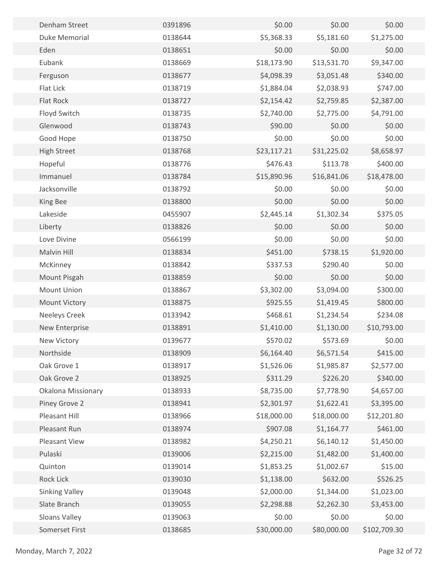| Denham Street         | 0391896 | \$0.00      | \$0.00      | \$0.00       |  |
|-----------------------|---------|-------------|-------------|--------------|--|
| Duke Memorial         | 0138644 | \$5,368.33  | \$5,181.60  | \$1,275.00   |  |
| Eden                  | 0138651 | \$0.00      | \$0.00      | \$0.00       |  |
| Eubank                | 0138669 | \$18,173.90 | \$13,531.70 | \$9,347.00   |  |
| Ferguson              | 0138677 | \$4,098.39  | \$3,051.48  | \$340.00     |  |
| Flat Lick             | 0138719 | \$1,884.04  | \$2,038.93  | \$747.00     |  |
| <b>Flat Rock</b>      | 0138727 | \$2,154.42  | \$2,759.85  | \$2,387.00   |  |
| Floyd Switch          | 0138735 | \$2,740.00  | \$2,775.00  | \$4,791.00   |  |
| Glenwood              | 0138743 | \$90.00     | \$0.00      | \$0.00       |  |
| Good Hope             | 0138750 | \$0.00      | \$0.00      | \$0.00       |  |
| <b>High Street</b>    | 0138768 | \$23,117.21 | \$31,225.02 | \$8,658.97   |  |
| Hopeful               | 0138776 | \$476.43    | \$113.78    | \$400.00     |  |
| Immanuel              | 0138784 | \$15,890.96 | \$16,841.06 | \$18,478.00  |  |
| Jacksonville          | 0138792 | \$0.00      | \$0.00      | \$0.00       |  |
| King Bee              | 0138800 | \$0.00      | \$0.00      | \$0.00       |  |
| Lakeside              | 0455907 | \$2,445.14  | \$1,302.34  | \$375.05     |  |
| Liberty               | 0138826 | \$0.00      | \$0.00      | \$0.00       |  |
| Love Divine           | 0566199 | \$0.00      | \$0.00      | \$0.00       |  |
| Malvin Hill           | 0138834 | \$451.00    | \$738.15    | \$1,920.00   |  |
| McKinney              | 0138842 | \$337.53    | \$290.40    | \$0.00       |  |
| Mount Pisgah          | 0138859 | \$0.00      | \$0.00      | \$0.00       |  |
| Mount Union           | 0138867 | \$3,302.00  | \$3,094.00  | \$300.00     |  |
| <b>Mount Victory</b>  | 0138875 | \$925.55    | \$1,419.45  | \$800.00     |  |
| <b>Neeleys Creek</b>  | 0133942 | \$468.61    | \$1,234.54  | \$234.08     |  |
| New Enterprise        | 0138891 | \$1,410.00  | \$1,130.00  | \$10,793.00  |  |
| New Victory           | 0139677 | \$570.02    | \$573.69    | \$0.00       |  |
| Northside             | 0138909 | \$6,164.40  | \$6,571.54  | \$415.00     |  |
| Oak Grove 1           | 0138917 | \$1,526.06  | \$1,985.87  | \$2,577.00   |  |
| Oak Grove 2           | 0138925 | \$311.29    | \$226.20    | \$340.00     |  |
| Okalona Missionary    | 0138933 | \$8,735.00  | \$7,778.90  | \$4,657.00   |  |
| Piney Grove 2         | 0138941 | \$2,301.97  | \$1,622.41  | \$3,395.00   |  |
| Pleasant Hill         | 0138966 | \$18,000.00 | \$18,000.00 | \$12,201.80  |  |
| Pleasant Run          | 0138974 | \$907.08    | \$1,164.77  | \$461.00     |  |
| Pleasant View         | 0138982 | \$4,250.21  | \$6,140.12  | \$1,450.00   |  |
| Pulaski               | 0139006 | \$2,215.00  | \$1,482.00  | \$1,400.00   |  |
| Quinton               | 0139014 | \$1,853.25  | \$1,002.67  | \$15.00      |  |
| Rock Lick             | 0139030 | \$1,138.00  | \$632.00    | \$526.25     |  |
| <b>Sinking Valley</b> | 0139048 | \$2,000.00  | \$1,344.00  | \$1,023.00   |  |
| Slate Branch          | 0139055 | \$2,298.88  | \$2,262.30  | \$3,453.00   |  |
| Sloans Valley         | 0139063 | \$0.00      | \$0.00      | \$0.00       |  |
| Somerset First        | 0138685 | \$30,000.00 | \$80,000.00 | \$102,709.30 |  |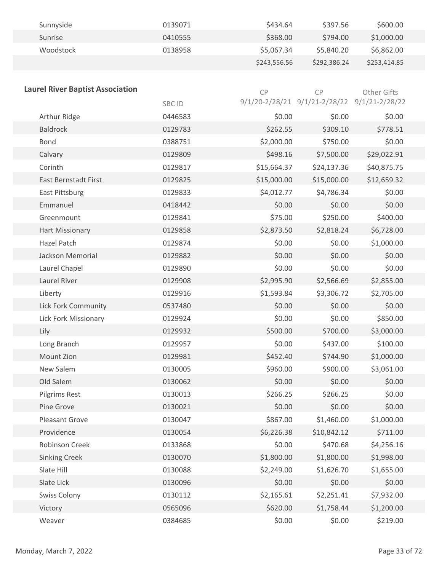| Sunnyside | 0139071 | \$434.64     | \$397.56     | \$600.00     |
|-----------|---------|--------------|--------------|--------------|
| Sunrise   | 0410555 | \$368.00     | \$794.00     | \$1,000.00   |
| Woodstock | 0138958 | \$5,067.34   | \$5,840.20   | \$6,862.00   |
|           |         | \$243,556.56 | \$292.386.24 | \$253,414.85 |

| <b>Laurel River Baptist Association</b> |         | CP          | CP                                           | Other Gifts |
|-----------------------------------------|---------|-------------|----------------------------------------------|-------------|
|                                         | SBC ID  |             | 9/1/20-2/28/21 9/1/21-2/28/22 9/1/21-2/28/22 |             |
| Arthur Ridge                            | 0446583 | \$0.00      | \$0.00                                       | \$0.00      |
| <b>Baldrock</b>                         | 0129783 | \$262.55    | \$309.10                                     | \$778.51    |
| <b>Bond</b>                             | 0388751 | \$2,000.00  | \$750.00                                     | \$0.00      |
| Calvary                                 | 0129809 | \$498.16    | \$7,500.00                                   | \$29,022.91 |
| Corinth                                 | 0129817 | \$15,664.37 | \$24,137.36                                  | \$40,875.75 |
| <b>East Bernstadt First</b>             | 0129825 | \$15,000.00 | \$15,000.00                                  | \$12,659.32 |
| East Pittsburg                          | 0129833 | \$4,012.77  | \$4,786.34                                   | \$0.00      |
| Emmanuel                                | 0418442 | \$0.00      | \$0.00                                       | \$0.00      |
| Greenmount                              | 0129841 | \$75.00     | \$250.00                                     | \$400.00    |
| <b>Hart Missionary</b>                  | 0129858 | \$2,873.50  | \$2,818.24                                   | \$6,728.00  |
| <b>Hazel Patch</b>                      | 0129874 | \$0.00      | \$0.00                                       | \$1,000.00  |
| Jackson Memorial                        | 0129882 | \$0.00      | \$0.00                                       | \$0.00      |
| Laurel Chapel                           | 0129890 | \$0.00      | \$0.00                                       | \$0.00      |
| Laurel River                            | 0129908 | \$2,995.90  | \$2,566.69                                   | \$2,855.00  |
| Liberty                                 | 0129916 | \$1,593.84  | \$3,306.72                                   | \$2,705.00  |
| <b>Lick Fork Community</b>              | 0537480 | \$0.00      | \$0.00                                       | \$0.00      |
| Lick Fork Missionary                    | 0129924 | \$0.00      | \$0.00                                       | \$850.00    |
| Lily                                    | 0129932 | \$500.00    | \$700.00                                     | \$3,000.00  |
| Long Branch                             | 0129957 | \$0.00      | \$437.00                                     | \$100.00    |
| <b>Mount Zion</b>                       | 0129981 | \$452.40    | \$744.90                                     | \$1,000.00  |
| New Salem                               | 0130005 | \$960.00    | \$900.00                                     | \$3,061.00  |
| Old Salem                               | 0130062 | \$0.00      | \$0.00                                       | \$0.00      |
| Pilgrims Rest                           | 0130013 | \$266.25    | \$266.25                                     | \$0.00      |
| Pine Grove                              | 0130021 | \$0.00      | \$0.00                                       | \$0.00      |
| Pleasant Grove                          | 0130047 | \$867.00    | \$1,460.00                                   | \$1,000.00  |
| Providence                              | 0130054 | \$6,226.38  | \$10,842.12                                  | \$711.00    |
| Robinson Creek                          | 0133868 | \$0.00      | \$470.68                                     | \$4,256.16  |
| <b>Sinking Creek</b>                    | 0130070 | \$1,800.00  | \$1,800.00                                   | \$1,998.00  |
| Slate Hill                              | 0130088 | \$2,249.00  | \$1,626.70                                   | \$1,655.00  |
| Slate Lick                              | 0130096 | \$0.00      | \$0.00                                       | \$0.00      |
| <b>Swiss Colony</b>                     | 0130112 | \$2,165.61  | \$2,251.41                                   | \$7,932.00  |
| Victory                                 | 0565096 | \$620.00    | \$1,758.44                                   | \$1,200.00  |
| Weaver                                  | 0384685 | \$0.00      | \$0.00                                       | \$219.00    |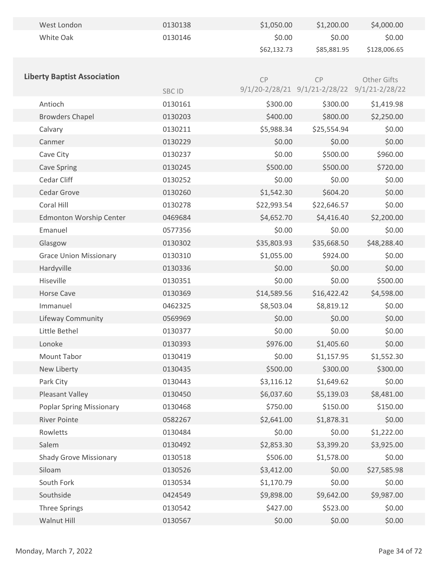| West London                        | 0130138      | \$1,050.00  | \$1,200.00                                   | \$4,000.00   |
|------------------------------------|--------------|-------------|----------------------------------------------|--------------|
| White Oak                          | 0130146      | \$0.00      | \$0.00                                       | \$0.00       |
|                                    |              | \$62,132.73 | \$85,881.95                                  | \$128,006.65 |
|                                    |              |             |                                              |              |
| <b>Liberty Baptist Association</b> |              | CP          | CP                                           | Other Gifts  |
|                                    | <b>SBCID</b> |             | 9/1/20-2/28/21 9/1/21-2/28/22 9/1/21-2/28/22 |              |
| Antioch                            | 0130161      | \$300.00    | \$300.00                                     | \$1,419.98   |
| <b>Browders Chapel</b>             | 0130203      | \$400.00    | \$800.00                                     | \$2,250.00   |
| Calvary                            | 0130211      | \$5,988.34  | \$25,554.94                                  | \$0.00       |
| Canmer                             | 0130229      | \$0.00      | \$0.00                                       | \$0.00       |
| Cave City                          | 0130237      | \$0.00      | \$500.00                                     | \$960.00     |
| <b>Cave Spring</b>                 | 0130245      | \$500.00    | \$500.00                                     | \$720.00     |
| Cedar Cliff                        | 0130252      | \$0.00      | \$0.00                                       | \$0.00       |
| Cedar Grove                        | 0130260      | \$1,542.30  | \$604.20                                     | \$0.00       |
| Coral Hill                         | 0130278      | \$22,993.54 | \$22,646.57                                  | \$0.00       |
| <b>Edmonton Worship Center</b>     | 0469684      | \$4,652.70  | \$4,416.40                                   | \$2,200.00   |
| Emanuel                            | 0577356      | \$0.00      | \$0.00                                       | \$0.00       |
| Glasgow                            | 0130302      | \$35,803.93 | \$35,668.50                                  | \$48,288.40  |
| <b>Grace Union Missionary</b>      | 0130310      | \$1,055.00  | \$924.00                                     | \$0.00       |
| Hardyville                         | 0130336      | \$0.00      | \$0.00                                       | \$0.00       |
| Hiseville                          | 0130351      | \$0.00      | \$0.00                                       | \$500.00     |
| <b>Horse Cave</b>                  | 0130369      | \$14,589.56 | \$16,422.42                                  | \$4,598.00   |
| Immanuel                           | 0462325      | \$8,503.04  | \$8,819.12                                   | \$0.00       |
| Lifeway Community                  | 0569969      | \$0.00      | \$0.00                                       | \$0.00       |
| Little Bethel                      | 0130377      | \$0.00      | \$0.00                                       | \$0.00       |
| Lonoke                             | 0130393      | \$976.00    | \$1,405.60                                   | \$0.00       |
| Mount Tabor                        | 0130419      | \$0.00      | \$1,157.95                                   | \$1,552.30   |
| New Liberty                        | 0130435      | \$500.00    | \$300.00                                     | \$300.00     |
| Park City                          | 0130443      | \$3,116.12  | \$1,649.62                                   | \$0.00       |
| Pleasant Valley                    | 0130450      | \$6,037.60  | \$5,139.03                                   | \$8,481.00   |
| <b>Poplar Spring Missionary</b>    | 0130468      | \$750.00    | \$150.00                                     | \$150.00     |
| <b>River Pointe</b>                | 0582267      | \$2,641.00  | \$1,878.31                                   | \$0.00       |
| Rowletts                           | 0130484      | \$0.00      | \$0.00                                       | \$1,222.00   |
| Salem                              | 0130492      | \$2,853.30  | \$3,399.20                                   | \$3,925.00   |
| <b>Shady Grove Missionary</b>      | 0130518      | \$506.00    | \$1,578.00                                   | \$0.00       |
| Siloam                             | 0130526      | \$3,412.00  | \$0.00                                       | \$27,585.98  |
| South Fork                         | 0130534      | \$1,170.79  | \$0.00                                       | \$0.00       |
| Southside                          | 0424549      | \$9,898.00  | \$9,642.00                                   | \$9,987.00   |
| <b>Three Springs</b>               | 0130542      | \$427.00    | \$523.00                                     | \$0.00       |
| Walnut Hill                        | 0130567      | \$0.00      | \$0.00                                       | \$0.00       |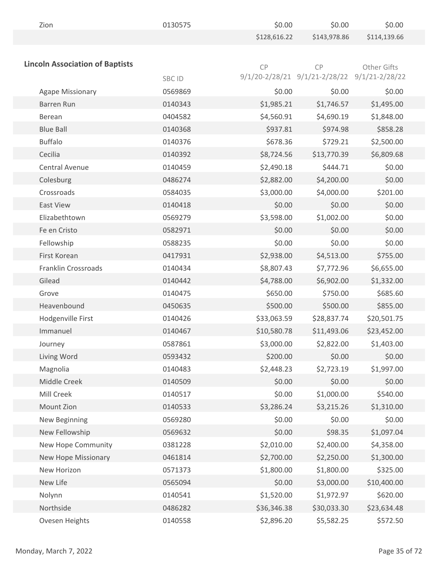| Zion                                   | 0130575 | \$0.00       | \$0.00                                       | \$0.00       |
|----------------------------------------|---------|--------------|----------------------------------------------|--------------|
|                                        |         | \$128,616.22 | \$143,978.86                                 | \$114,139.66 |
|                                        |         |              |                                              |              |
| <b>Lincoln Association of Baptists</b> |         | CP           | CP                                           | Other Gifts  |
|                                        | SBC ID  |              | 9/1/20-2/28/21 9/1/21-2/28/22 9/1/21-2/28/22 |              |
| <b>Agape Missionary</b>                | 0569869 | \$0.00       | \$0.00                                       | \$0.00       |
| <b>Barren Run</b>                      | 0140343 | \$1,985.21   | \$1,746.57                                   | \$1,495.00   |
| Berean                                 | 0404582 | \$4,560.91   | \$4,690.19                                   | \$1,848.00   |
| <b>Blue Ball</b>                       | 0140368 | \$937.81     | \$974.98                                     | \$858.28     |
| <b>Buffalo</b>                         | 0140376 | \$678.36     | \$729.21                                     | \$2,500.00   |
| Cecilia                                | 0140392 | \$8,724.56   | \$13,770.39                                  | \$6,809.68   |
| Central Avenue                         | 0140459 | \$2,490.18   | \$444.71                                     | \$0.00       |
| Colesburg                              | 0486274 | \$2,882.00   | \$4,200.00                                   | \$0.00       |
| Crossroads                             | 0584035 | \$3,000.00   | \$4,000.00                                   | \$201.00     |
| <b>East View</b>                       | 0140418 | \$0.00       | \$0.00                                       | \$0.00       |
| Elizabethtown                          | 0569279 | \$3,598.00   | \$1,002.00                                   | \$0.00       |
| Fe en Cristo                           | 0582971 | \$0.00       | \$0.00                                       | \$0.00       |
| Fellowship                             | 0588235 | \$0.00       | \$0.00                                       | \$0.00       |
| First Korean                           | 0417931 | \$2,938.00   | \$4,513.00                                   | \$755.00     |
| Franklin Crossroads                    | 0140434 | \$8,807.43   | \$7,772.96                                   | \$6,655.00   |
| Gilead                                 | 0140442 | \$4,788.00   | \$6,902.00                                   | \$1,332.00   |
| Grove                                  | 0140475 | \$650.00     | \$750.00                                     | \$685.60     |
| Heavenbound                            | 0450635 | \$500.00     | \$500.00                                     | \$855.00     |
| Hodgenville First                      | 0140426 | \$33,063.59  | \$28,837.74                                  | \$20,501.75  |
| Immanuel                               | 0140467 | \$10,580.78  | \$11,493.06                                  | \$23,452.00  |
| Journey                                | 0587861 | \$3,000.00   | \$2,822.00                                   | \$1,403.00   |
| Living Word                            | 0593432 | \$200.00     | \$0.00                                       | \$0.00       |
| Magnolia                               | 0140483 | \$2,448.23   | \$2,723.19                                   | \$1,997.00   |
| Middle Creek                           | 0140509 | \$0.00       | \$0.00                                       | \$0.00       |
| Mill Creek                             | 0140517 | \$0.00       | \$1,000.00                                   | \$540.00     |
| Mount Zion                             | 0140533 | \$3,286.24   | \$3,215.26                                   | \$1,310.00   |
| New Beginning                          | 0569280 | \$0.00       | \$0.00                                       | \$0.00       |
| New Fellowship                         | 0569632 | \$0.00       | \$98.35                                      | \$1,097.04   |
| New Hope Community                     | 0381228 | \$2,010.00   | \$2,400.00                                   | \$4,358.00   |
| New Hope Missionary                    | 0461814 | \$2,700.00   | \$2,250.00                                   | \$1,300.00   |
| New Horizon                            | 0571373 | \$1,800.00   | \$1,800.00                                   | \$325.00     |
| New Life                               | 0565094 | \$0.00       | \$3,000.00                                   | \$10,400.00  |
| Nolynn                                 | 0140541 | \$1,520.00   | \$1,972.97                                   | \$620.00     |
| Northside                              | 0486282 | \$36,346.38  | \$30,033.30                                  | \$23,634.48  |
| Ovesen Heights                         | 0140558 | \$2,896.20   | \$5,582.25                                   | \$572.50     |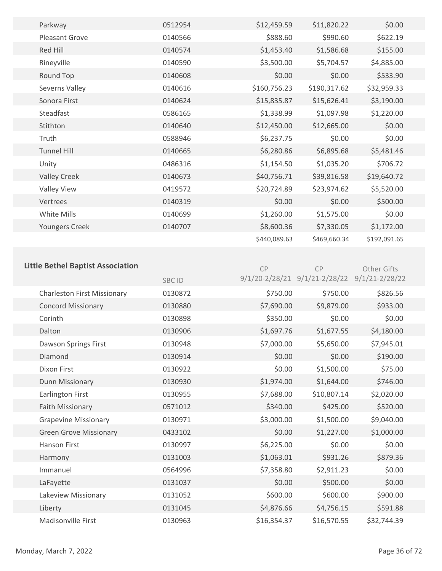| Parkway               | 0512954 | \$12,459.59  | \$11,820.22  | \$0.00       |
|-----------------------|---------|--------------|--------------|--------------|
| <b>Pleasant Grove</b> | 0140566 | \$888.60     | \$990.60     | \$622.19     |
| Red Hill              | 0140574 | \$1,453.40   | \$1,586.68   | \$155.00     |
| Rineyville            | 0140590 | \$3,500.00   | \$5,704.57   | \$4,885.00   |
| Round Top             | 0140608 | \$0.00       | \$0.00       | \$533.90     |
| Severns Valley        | 0140616 | \$160,756.23 | \$190,317.62 | \$32,959.33  |
| Sonora First          | 0140624 | \$15,835.87  | \$15,626.41  | \$3,190.00   |
| Steadfast             | 0586165 | \$1,338.99   | \$1,097.98   | \$1,220.00   |
| Stithton              | 0140640 | \$12,450.00  | \$12,665.00  | \$0.00       |
| Truth                 | 0588946 | \$6,237.75   | \$0.00       | \$0.00       |
| <b>Tunnel Hill</b>    | 0140665 | \$6,280.86   | \$6,895.68   | \$5,481.46   |
| Unity                 | 0486316 | \$1,154.50   | \$1,035.20   | \$706.72     |
| <b>Valley Creek</b>   | 0140673 | \$40,756.71  | \$39,816.58  | \$19,640.72  |
| <b>Valley View</b>    | 0419572 | \$20,724.89  | \$23,974.62  | \$5,520.00   |
| Vertrees              | 0140319 | \$0.00       | \$0.00       | \$500.00     |
| White Mills           | 0140699 | \$1,260.00   | \$1,575.00   | \$0.00       |
| Youngers Creek        | 0140707 | \$8,600.36   | \$7,330.05   | \$1,172.00   |
|                       |         | \$440,089.63 | \$469,660.34 | \$192,091.65 |

## **Little Bethel Baptist Association**

CP

**CP** 

|                                    | <b>SBCID</b> |             | 9/1/20-2/28/21 9/1/21-2/28/22 9/1/21-2/28/22 |             |  |
|------------------------------------|--------------|-------------|----------------------------------------------|-------------|--|
| <b>Charleston First Missionary</b> | 0130872      | \$750.00    | \$750.00                                     | \$826.56    |  |
| <b>Concord Missionary</b>          | 0130880      | \$7,690.00  | \$9,879.00                                   | \$933.00    |  |
| Corinth                            | 0130898      | \$350.00    | \$0.00                                       | \$0.00      |  |
| Dalton                             | 0130906      | \$1,697.76  | \$1,677.55                                   | \$4,180.00  |  |
| Dawson Springs First               | 0130948      | \$7,000.00  | \$5,650.00                                   | \$7,945.01  |  |
| Diamond                            | 0130914      | \$0.00      | \$0.00                                       | \$190.00    |  |
| Dixon First                        | 0130922      | \$0.00      | \$1,500.00                                   | \$75.00     |  |
| Dunn Missionary                    | 0130930      | \$1,974.00  | \$1,644.00                                   | \$746.00    |  |
| Earlington First                   | 0130955      | \$7,688.00  | \$10,807.14                                  | \$2,020.00  |  |
| Faith Missionary                   | 0571012      | \$340.00    | \$425.00                                     | \$520.00    |  |
| <b>Grapevine Missionary</b>        | 0130971      | \$3,000.00  | \$1,500.00                                   | \$9,040.00  |  |
| <b>Green Grove Missionary</b>      | 0433102      | \$0.00      | \$1,227.00                                   | \$1,000.00  |  |
| Hanson First                       | 0130997      | \$6,225.00  | \$0.00                                       | \$0.00      |  |
| Harmony                            | 0131003      | \$1,063.01  | \$931.26                                     | \$879.36    |  |
| Immanuel                           | 0564996      | \$7,358.80  | \$2,911.23                                   | \$0.00      |  |
| LaFayette                          | 0131037      | \$0.00      | \$500.00                                     | \$0.00      |  |
| Lakeview Missionary                | 0131052      | \$600.00    | \$600.00                                     | \$900.00    |  |
| Liberty                            | 0131045      | \$4,876.66  | \$4,756.15                                   | \$591.88    |  |
| <b>Madisonville First</b>          | 0130963      | \$16,354.37 | \$16,570.55                                  | \$32,744.39 |  |

Other Gifts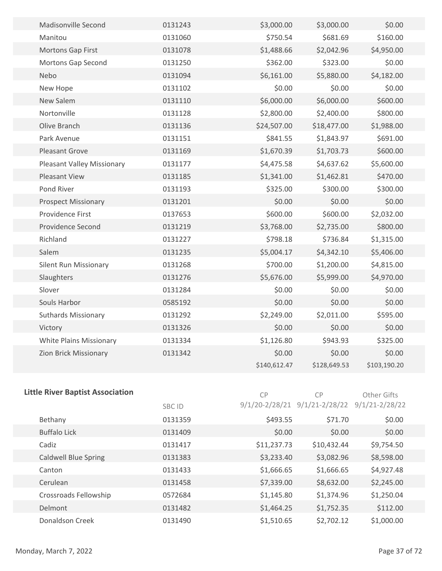| <b>Madisonville Second</b>        | 0131243 | \$3,000.00   | \$3,000.00   | \$0.00       |  |
|-----------------------------------|---------|--------------|--------------|--------------|--|
| Manitou                           | 0131060 | \$750.54     | \$681.69     | \$160.00     |  |
| <b>Mortons Gap First</b>          | 0131078 | \$1,488.66   | \$2,042.96   | \$4,950.00   |  |
| <b>Mortons Gap Second</b>         | 0131250 | \$362.00     | \$323.00     | \$0.00       |  |
| Nebo                              | 0131094 | \$6,161.00   | \$5,880.00   | \$4,182.00   |  |
| New Hope                          | 0131102 | \$0.00       | \$0.00       | \$0.00       |  |
| New Salem                         | 0131110 | \$6,000.00   | \$6,000.00   | \$600.00     |  |
| Nortonville                       | 0131128 | \$2,800.00   | \$2,400.00   | \$800.00     |  |
| Olive Branch                      | 0131136 | \$24,507.00  | \$18,477.00  | \$1,988.00   |  |
| Park Avenue                       | 0131151 | \$841.55     | \$1,843.97   | \$691.00     |  |
| Pleasant Grove                    | 0131169 | \$1,670.39   | \$1,703.73   | \$600.00     |  |
| <b>Pleasant Valley Missionary</b> | 0131177 | \$4,475.58   | \$4,637.62   | \$5,600.00   |  |
| <b>Pleasant View</b>              | 0131185 | \$1,341.00   | \$1,462.81   | \$470.00     |  |
| Pond River                        | 0131193 | \$325.00     | \$300.00     | \$300.00     |  |
| <b>Prospect Missionary</b>        | 0131201 | \$0.00       | \$0.00       | \$0.00       |  |
| Providence First                  | 0137653 | \$600.00     | \$600.00     | \$2,032.00   |  |
| Providence Second                 | 0131219 | \$3,768.00   | \$2,735.00   | \$800.00     |  |
| Richland                          | 0131227 | \$798.18     | \$736.84     | \$1,315.00   |  |
| Salem                             | 0131235 | \$5,004.17   | \$4,342.10   | \$5,406.00   |  |
| Silent Run Missionary             | 0131268 | \$700.00     | \$1,200.00   | \$4,815.00   |  |
| Slaughters                        | 0131276 | \$5,676.00   | \$5,999.00   | \$4,970.00   |  |
| Slover                            | 0131284 | \$0.00       | \$0.00       | \$0.00       |  |
| Souls Harbor                      | 0585192 | \$0.00       | \$0.00       | \$0.00       |  |
| <b>Suthards Missionary</b>        | 0131292 | \$2,249.00   | \$2,011.00   | \$595.00     |  |
| Victory                           | 0131326 | \$0.00       | \$0.00       | \$0.00       |  |
| White Plains Missionary           | 0131334 | \$1,126.80   | \$943.93     | \$325.00     |  |
| Zion Brick Missionary             | 0131342 | \$0.00       | \$0.00       | \$0.00       |  |
|                                   |         | \$140,612.47 | \$128,649.53 | \$103,190.20 |  |
|                                   |         |              |              |              |  |

| <b>Little River Baptist Association</b> |         | <b>CP</b>          | CP                 | Other Gifts        |
|-----------------------------------------|---------|--------------------|--------------------|--------------------|
|                                         | SBC ID  | $9/1/20 - 2/28/21$ | $9/1/21 - 2/28/22$ | $9/1/21 - 2/28/22$ |
| Bethany                                 | 0131359 | \$493.55           | \$71.70            | \$0.00             |
| <b>Buffalo Lick</b>                     | 0131409 | \$0.00             | \$0.00             | \$0.00             |
| Cadiz                                   | 0131417 | \$11,237.73        | \$10,432.44        | \$9,754.50         |
| <b>Caldwell Blue Spring</b>             | 0131383 | \$3,233.40         | \$3,082.96         | \$8,598.00         |
| Canton                                  | 0131433 | \$1,666.65         | \$1,666.65         | \$4,927.48         |
| Cerulean                                | 0131458 | \$7,339.00         | \$8,632.00         | \$2,245.00         |
| Crossroads Fellowship                   | 0572684 | \$1,145.80         | \$1,374.96         | \$1,250.04         |
| Delmont                                 | 0131482 | \$1,464.25         | \$1,752.35         | \$112.00           |
| Donaldson Creek                         | 0131490 | \$1,510.65         | \$2,702.12         | \$1,000.00         |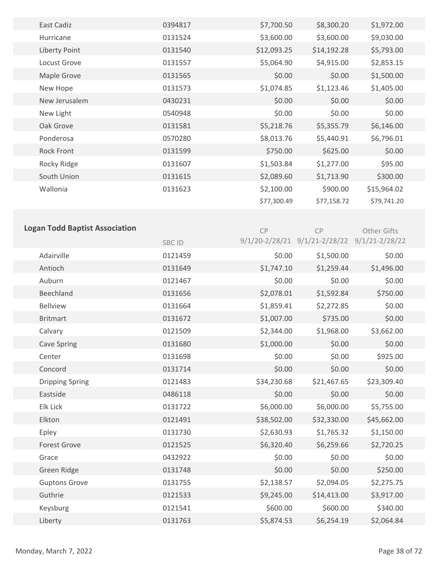| East Cadiz                            | 0394817      | \$7,700.50  | \$8,300.20                                   | \$1,972.00  |  |
|---------------------------------------|--------------|-------------|----------------------------------------------|-------------|--|
| Hurricane                             | 0131524      | \$3,600.00  | \$3,600.00                                   | \$9,030.00  |  |
| Liberty Point                         | 0131540      | \$12,093.25 | \$14,192.28                                  | \$5,793.00  |  |
| Locust Grove                          | 0131557      | \$5,064.90  | \$4,915.00                                   | \$2,853.15  |  |
| Maple Grove                           | 0131565      | \$0.00      | \$0.00                                       | \$1,500.00  |  |
| New Hope                              | 0131573      | \$1,074.85  | \$1,123.46                                   | \$1,405.00  |  |
| New Jerusalem                         | 0430231      | \$0.00      | \$0.00                                       | \$0.00      |  |
| New Light                             | 0540948      | \$0.00      | \$0.00                                       | \$0.00      |  |
| Oak Grove                             | 0131581      | \$5,218.76  | \$5,355.79                                   | \$6,146.00  |  |
| Ponderosa                             | 0570280      | \$8,013.76  | \$5,440.91                                   | \$6,796.01  |  |
| <b>Rock Front</b>                     | 0131599      | \$750.00    | \$625.00                                     | \$0.00      |  |
| Rocky Ridge                           | 0131607      | \$1,503.84  | \$1,277.00                                   | \$95.00     |  |
| South Union                           | 0131615      | \$2,089.60  | \$1,713.90                                   | \$300.00    |  |
| Wallonia                              | 0131623      | \$2,100.00  | \$900.00                                     | \$15,964.02 |  |
|                                       |              | \$77,300.49 | \$77,158.72                                  | \$79,741.20 |  |
|                                       |              |             |                                              |             |  |
| <b>Logan Todd Baptist Association</b> |              | CP          | CP                                           | Other Gifts |  |
|                                       | <b>SBCID</b> |             | 9/1/20-2/28/21 9/1/21-2/28/22 9/1/21-2/28/22 |             |  |
| Adairville                            | 0121459      | \$0.00      | \$1,500.00                                   | \$0.00      |  |
| Antioch                               | 0131649      | \$1,747.10  | \$1,259.44                                   | \$1,496.00  |  |
| Auburn                                | 0121467      | \$0.00      | \$0.00                                       | \$0.00      |  |
| Beechland                             | 0131656      | \$2,078.01  | \$1,592.84                                   | \$750.00    |  |
| <b>Bellview</b>                       | 0131664      | \$1,859.41  | \$2,272.85                                   | \$0.00      |  |
| <b>Britmart</b>                       | 0131672      | \$1,007.00  | \$735.00                                     | \$0.00      |  |
| Calvary                               | 0121509      | \$2,344.00  | \$1,968.00                                   | \$3,662.00  |  |
| <b>Cave Spring</b>                    | 0131680      | \$1,000.00  | \$0.00                                       | \$0.00      |  |
| Center                                | 0131698      | \$0.00      | \$0.00                                       | \$925.00    |  |
| Concord                               | 0131714      | \$0.00      | \$0.00                                       | \$0.00      |  |
| <b>Dripping Spring</b>                | 0121483      | \$34,230.68 | \$21,467.65                                  | \$23,309.40 |  |
| Eastside                              | 0486118      | \$0.00      | \$0.00                                       | \$0.00      |  |
| Elk Lick                              | 0131722      | \$6,000.00  | \$6,000.00                                   | \$5,755.00  |  |
| Elkton                                | 0121491      | \$38,502.00 | \$32,330.00                                  | \$45,662.00 |  |
| Epley                                 | 0131730      | \$2,630.93  | \$1,765.32                                   | \$1,150.00  |  |
| <b>Forest Grove</b>                   | 0121525      | \$6,320.40  | \$6,259.66                                   | \$2,720.25  |  |
| Grace                                 | 0432922      | \$0.00      | \$0.00                                       | \$0.00      |  |
| Green Ridge                           | 0131748      | \$0.00      | \$0.00                                       | \$250.00    |  |
| <b>Guptons Grove</b>                  | 0131755      | \$2,138.57  | \$2,094.05                                   | \$2,275.75  |  |
| Guthrie                               | 0121533      | \$9,245.00  | \$14,413.00                                  | \$3,917.00  |  |
| Keysburg                              | 0121541      | \$600.00    | \$600.00                                     | \$340.00    |  |
| Liberty                               | 0131763      | \$5,874.53  | \$6,254.19                                   | \$2,064.84  |  |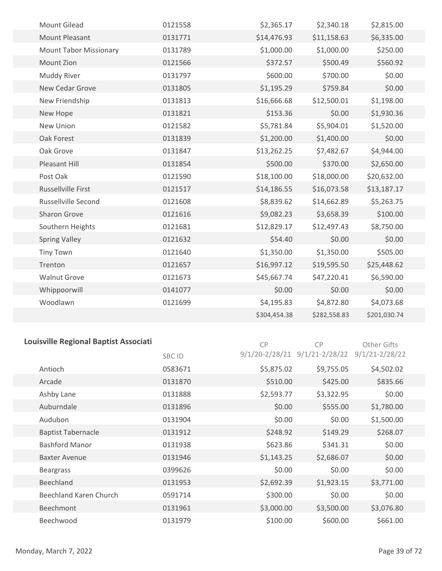|                  | <b>Mount Gilead</b>           | 0121558 | \$2,365.17   | \$2,340.18   | \$2,815.00   |
|------------------|-------------------------------|---------|--------------|--------------|--------------|
|                  | <b>Mount Pleasant</b>         | 0131771 | \$14,476.93  | \$11,158.63  | \$6,335.00   |
|                  | <b>Mount Tabor Missionary</b> | 0131789 | \$1,000.00   | \$1,000.00   | \$250.00     |
|                  | Mount Zion                    | 0121566 | \$372.57     | \$500.49     | \$560.92     |
|                  | Muddy River                   | 0131797 | \$600.00     | \$700.00     | \$0.00       |
|                  | New Cedar Grove               | 0131805 | \$1,195.29   | \$759.84     | \$0.00       |
|                  | New Friendship                | 0131813 | \$16,666.68  | \$12,500.01  | \$1,198.00   |
| New Hope         |                               | 0131821 | \$153.36     | \$0.00       | \$1,930.36   |
|                  | New Union                     | 0121582 | \$5,781.84   | \$5,904.01   | \$1,520.00   |
|                  | Oak Forest                    | 0131839 | \$1,200.00   | \$1,400.00   | \$0.00       |
| Oak Grove        |                               | 0131847 | \$13,262.25  | \$7,482.67   | \$4,944.00   |
|                  | Pleasant Hill                 | 0131854 | \$500.00     | \$370.00     | \$2,650.00   |
| Post Oak         |                               | 0121590 | \$18,100.00  | \$18,000.00  | \$20,632.00  |
|                  | Russellville First            | 0121517 | \$14,186.55  | \$16,073.58  | \$13,187.17  |
|                  | <b>Russellville Second</b>    | 0121608 | \$8,839.62   | \$14,662.89  | \$5,263.75   |
|                  | Sharon Grove                  | 0121616 | \$9,082.23   | \$3,658.39   | \$100.00     |
|                  | Southern Heights              | 0121681 | \$12,829.17  | \$12,497.43  | \$8,750.00   |
|                  | <b>Spring Valley</b>          | 0121632 | \$54.40      | \$0.00       | \$0.00       |
| <b>Tiny Town</b> |                               | 0121640 | \$1,350.00   | \$1,350.00   | \$505.00     |
| Trenton          |                               | 0121657 | \$16,997.12  | \$19,595.50  | \$25,448.62  |
|                  | <b>Walnut Grove</b>           | 0121673 | \$45,667.74  | \$47,220.41  | \$6,590.00   |
|                  | Whippoorwill                  | 0141077 | \$0.00       | \$0.00       | \$0.00       |
|                  | Woodlawn                      | 0121699 | \$4,195.83   | \$4,872.80   | \$4,073.68   |
|                  |                               |         | \$304,454.38 | \$282,558.83 | \$201,030.74 |
|                  |                               |         |              |              |              |

# **Louisville Regional Baptist Associati**

CP Other Gifts

|                           | <b>SBCID</b> |            | 9/1/20-2/28/21 9/1/21-2/28/22 9/1/21-2/28/22 |            |
|---------------------------|--------------|------------|----------------------------------------------|------------|
| Antioch                   | 0583671      | \$5,875.02 | \$9,755.05                                   | \$4,502.02 |
| Arcade                    | 0131870      | \$510.00   | \$425.00                                     | \$835.66   |
| Ashby Lane                | 0131888      | \$2,593.77 | \$3,322.95                                   | \$0.00     |
| Auburndale                | 0131896      | \$0.00     | \$555.00                                     | \$1,780.00 |
| Audubon                   | 0131904      | \$0.00     | \$0.00                                       | \$1,500.00 |
| <b>Baptist Tabernacle</b> | 0131912      | \$248.92   | \$149.29                                     | \$268.07   |
| <b>Bashford Manor</b>     | 0131938      | \$623.86   | \$341.31                                     | \$0.00     |
| <b>Baxter Avenue</b>      | 0131946      | \$1,143.25 | \$2,686.07                                   | \$0.00     |
| <b>Beargrass</b>          | 0399626      | \$0.00     | \$0.00                                       | \$0.00     |
| Beechland                 | 0131953      | \$2,692.39 | \$1,923.15                                   | \$3,771.00 |
| Beechland Karen Church    | 0591714      | \$300.00   | \$0.00                                       | \$0.00     |
| <b>Beechmont</b>          | 0131961      | \$3,000.00 | \$3,500.00                                   | \$3,076.80 |
| Beechwood                 | 0131979      | \$100.00   | \$600.00                                     | \$661.00   |

CP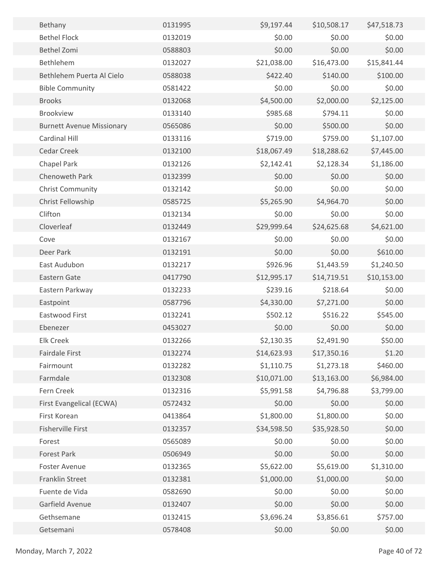| Bethany                          | 0131995 | \$9,197.44  | \$10,508.17 | \$47,518.73 |  |
|----------------------------------|---------|-------------|-------------|-------------|--|
| <b>Bethel Flock</b>              | 0132019 | \$0.00      | \$0.00      | \$0.00      |  |
| <b>Bethel Zomi</b>               | 0588803 | \$0.00      | \$0.00      | \$0.00      |  |
| Bethlehem                        | 0132027 | \$21,038.00 | \$16,473.00 | \$15,841.44 |  |
| Bethlehem Puerta Al Cielo        | 0588038 | \$422.40    | \$140.00    | \$100.00    |  |
| <b>Bible Community</b>           | 0581422 | \$0.00      | \$0.00      | \$0.00      |  |
| <b>Brooks</b>                    | 0132068 | \$4,500.00  | \$2,000.00  | \$2,125.00  |  |
| <b>Brookview</b>                 | 0133140 | \$985.68    | \$794.11    | \$0.00      |  |
| <b>Burnett Avenue Missionary</b> | 0565086 | \$0.00      | \$500.00    | \$0.00      |  |
| Cardinal Hill                    | 0133116 | \$719.00    | \$759.00    | \$1,107.00  |  |
| Cedar Creek                      | 0132100 | \$18,067.49 | \$18,288.62 | \$7,445.00  |  |
| Chapel Park                      | 0132126 | \$2,142.41  | \$2,128.34  | \$1,186.00  |  |
| Chenoweth Park                   | 0132399 | \$0.00      | \$0.00      | \$0.00      |  |
| <b>Christ Community</b>          | 0132142 | \$0.00      | \$0.00      | \$0.00      |  |
| Christ Fellowship                | 0585725 | \$5,265.90  | \$4,964.70  | \$0.00      |  |
| Clifton                          | 0132134 | \$0.00      | \$0.00      | \$0.00      |  |
| Cloverleaf                       | 0132449 | \$29,999.64 | \$24,625.68 | \$4,621.00  |  |
| Cove                             | 0132167 | \$0.00      | \$0.00      | \$0.00      |  |
| Deer Park                        | 0132191 | \$0.00      | \$0.00      | \$610.00    |  |
| East Audubon                     | 0132217 | \$926.96    | \$1,443.59  | \$1,240.50  |  |
| Eastern Gate                     | 0417790 | \$12,995.17 | \$14,719.51 | \$10,153.00 |  |
| Eastern Parkway                  | 0132233 | \$239.16    | \$218.64    | \$0.00      |  |
| Eastpoint                        | 0587796 | \$4,330.00  | \$7,271.00  | \$0.00      |  |
| Eastwood First                   | 0132241 | \$502.12    | \$516.22    | \$545.00    |  |
| Ebenezer                         | 0453027 | \$0.00      | \$0.00      | \$0.00      |  |
| <b>Elk Creek</b>                 | 0132266 | \$2,130.35  | \$2,491.90  | \$50.00     |  |
| <b>Fairdale First</b>            | 0132274 | \$14,623.93 | \$17,350.16 | \$1.20      |  |
| Fairmount                        | 0132282 | \$1,110.75  | \$1,273.18  | \$460.00    |  |
| Farmdale                         | 0132308 | \$10,071.00 | \$13,163.00 | \$6,984.00  |  |
| Fern Creek                       | 0132316 | \$5,991.58  | \$4,796.88  | \$3,799.00  |  |
| First Evangelical (ECWA)         | 0572432 | \$0.00      | \$0.00      | \$0.00      |  |
| First Korean                     | 0413864 | \$1,800.00  | \$1,800.00  | \$0.00      |  |
| <b>Fisherville First</b>         | 0132357 | \$34,598.50 | \$35,928.50 | \$0.00      |  |
| Forest                           | 0565089 | \$0.00      | \$0.00      | \$0.00      |  |
| Forest Park                      | 0506949 | \$0.00      | \$0.00      | \$0.00      |  |
| Foster Avenue                    | 0132365 | \$5,622.00  | \$5,619.00  | \$1,310.00  |  |
| Franklin Street                  | 0132381 | \$1,000.00  | \$1,000.00  | \$0.00      |  |
| Fuente de Vida                   | 0582690 | \$0.00      | \$0.00      | \$0.00      |  |
| Garfield Avenue                  | 0132407 | \$0.00      | \$0.00      | \$0.00      |  |
| Gethsemane                       | 0132415 | \$3,696.24  | \$3,856.61  | \$757.00    |  |
| Getsemani                        | 0578408 | \$0.00      | \$0.00      | \$0.00      |  |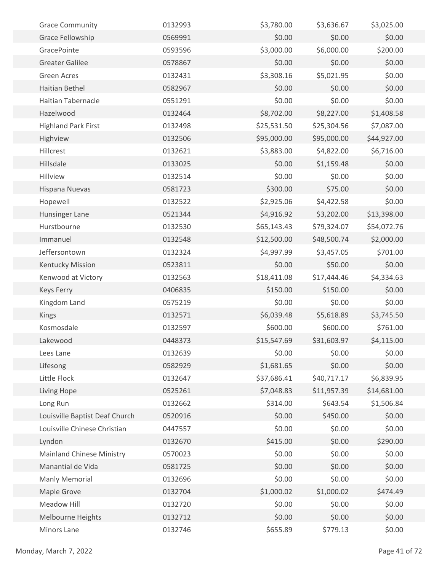| <b>Grace Community</b>           | 0132993 | \$3,780.00  | \$3,636.67  | \$3,025.00  |  |
|----------------------------------|---------|-------------|-------------|-------------|--|
| Grace Fellowship                 | 0569991 | \$0.00      | \$0.00      | \$0.00      |  |
| GracePointe                      | 0593596 | \$3,000.00  | \$6,000.00  | \$200.00    |  |
| <b>Greater Galilee</b>           | 0578867 | \$0.00      | \$0.00      | \$0.00      |  |
| <b>Green Acres</b>               | 0132431 | \$3,308.16  | \$5,021.95  | \$0.00      |  |
| Haitian Bethel                   | 0582967 | \$0.00      | \$0.00      | \$0.00      |  |
| <b>Haitian Tabernacle</b>        | 0551291 | \$0.00      | \$0.00      | \$0.00      |  |
| Hazelwood                        | 0132464 | \$8,702.00  | \$8,227.00  | \$1,408.58  |  |
| <b>Highland Park First</b>       | 0132498 | \$25,531.50 | \$25,304.56 | \$7,087.00  |  |
| Highview                         | 0132506 | \$95,000.00 | \$95,000.00 | \$44,927.00 |  |
| Hillcrest                        | 0132621 | \$3,883.00  | \$4,822.00  | \$6,716.00  |  |
| Hillsdale                        | 0133025 | \$0.00      | \$1,159.48  | \$0.00      |  |
| Hillview                         | 0132514 | \$0.00      | \$0.00      | \$0.00      |  |
| Hispana Nuevas                   | 0581723 | \$300.00    | \$75.00     | \$0.00      |  |
| Hopewell                         | 0132522 | \$2,925.06  | \$4,422.58  | \$0.00      |  |
| Hunsinger Lane                   | 0521344 | \$4,916.92  | \$3,202.00  | \$13,398.00 |  |
| Hurstbourne                      | 0132530 | \$65,143.43 | \$79,324.07 | \$54,072.76 |  |
| Immanuel                         | 0132548 | \$12,500.00 | \$48,500.74 | \$2,000.00  |  |
| Jeffersontown                    | 0132324 | \$4,997.99  | \$3,457.05  | \$701.00    |  |
| Kentucky Mission                 | 0523811 | \$0.00      | \$50.00     | \$0.00      |  |
| Kenwood at Victory               | 0132563 | \$18,411.08 | \$17,444.46 | \$4,334.63  |  |
| <b>Keys Ferry</b>                | 0406835 | \$150.00    | \$150.00    | \$0.00      |  |
| Kingdom Land                     | 0575219 | \$0.00      | \$0.00      | \$0.00      |  |
| Kings                            | 0132571 | \$6,039.48  | \$5,618.89  | \$3,745.50  |  |
| Kosmosdale                       | 0132597 | \$600.00    | \$600.00    | \$761.00    |  |
| Lakewood                         | 0448373 | \$15,547.69 | \$31,603.97 | \$4,115.00  |  |
| Lees Lane                        | 0132639 | \$0.00      | \$0.00      | \$0.00      |  |
| Lifesong                         | 0582929 | \$1,681.65  | \$0.00      | \$0.00      |  |
| Little Flock                     | 0132647 | \$37,686.41 | \$40,717.17 | \$6,839.95  |  |
| Living Hope                      | 0525261 | \$7,048.83  | \$11,957.39 | \$14,681.00 |  |
| Long Run                         | 0132662 | \$314.00    | \$643.54    | \$1,506.84  |  |
| Louisville Baptist Deaf Church   | 0520916 | \$0.00      | \$450.00    | \$0.00      |  |
| Louisville Chinese Christian     | 0447557 | \$0.00      | \$0.00      | \$0.00      |  |
| Lyndon                           | 0132670 | \$415.00    | \$0.00      | \$290.00    |  |
| <b>Mainland Chinese Ministry</b> | 0570023 | \$0.00      | \$0.00      | \$0.00      |  |
| Manantial de Vida                | 0581725 | \$0.00      | \$0.00      | \$0.00      |  |
| Manly Memorial                   | 0132696 | \$0.00      | \$0.00      | \$0.00      |  |
| Maple Grove                      | 0132704 | \$1,000.02  | \$1,000.02  | \$474.49    |  |
| <b>Meadow Hill</b>               | 0132720 | \$0.00      | \$0.00      | \$0.00      |  |
| Melbourne Heights                | 0132712 | \$0.00      | \$0.00      | \$0.00      |  |
| Minors Lane                      | 0132746 | \$655.89    | \$779.13    | \$0.00      |  |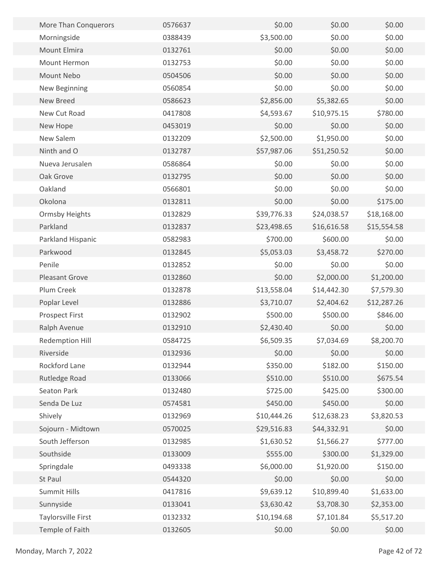| More Than Conquerors      | 0576637 | \$0.00      | \$0.00      | \$0.00      |  |
|---------------------------|---------|-------------|-------------|-------------|--|
| Morningside               | 0388439 | \$3,500.00  | \$0.00      | \$0.00      |  |
| Mount Elmira              | 0132761 | \$0.00      | \$0.00      | \$0.00      |  |
| Mount Hermon              | 0132753 | \$0.00      | \$0.00      | \$0.00      |  |
| Mount Nebo                | 0504506 | \$0.00      | \$0.00      | \$0.00      |  |
| New Beginning             | 0560854 | \$0.00      | \$0.00      | \$0.00      |  |
| New Breed                 | 0586623 | \$2,856.00  | \$5,382.65  | \$0.00      |  |
| New Cut Road              | 0417808 | \$4,593.67  | \$10,975.15 | \$780.00    |  |
| New Hope                  | 0453019 | \$0.00      | \$0.00      | \$0.00      |  |
| New Salem                 | 0132209 | \$2,500.00  | \$1,950.00  | \$0.00      |  |
| Ninth and O               | 0132787 | \$57,987.06 | \$51,250.52 | \$0.00      |  |
| Nueva Jerusalen           | 0586864 | \$0.00      | \$0.00      | \$0.00      |  |
| Oak Grove                 | 0132795 | \$0.00      | \$0.00      | \$0.00      |  |
| Oakland                   | 0566801 | \$0.00      | \$0.00      | \$0.00      |  |
| Okolona                   | 0132811 | \$0.00      | \$0.00      | \$175.00    |  |
| <b>Ormsby Heights</b>     | 0132829 | \$39,776.33 | \$24,038.57 | \$18,168.00 |  |
| Parkland                  | 0132837 | \$23,498.65 | \$16,616.58 | \$15,554.58 |  |
| Parkland Hispanic         | 0582983 | \$700.00    | \$600.00    | \$0.00      |  |
| Parkwood                  | 0132845 | \$5,053.03  | \$3,458.72  | \$270.00    |  |
| Penile                    | 0132852 | \$0.00      | \$0.00      | \$0.00      |  |
| <b>Pleasant Grove</b>     | 0132860 | \$0.00      | \$2,000.00  | \$1,200.00  |  |
| Plum Creek                | 0132878 | \$13,558.04 | \$14,442.30 | \$7,579.30  |  |
| Poplar Level              | 0132886 | \$3,710.07  | \$2,404.62  | \$12,287.26 |  |
| <b>Prospect First</b>     | 0132902 | \$500.00    | \$500.00    | \$846.00    |  |
| Ralph Avenue              | 0132910 | \$2,430.40  | \$0.00      | \$0.00      |  |
| Redemption Hill           | 0584725 | \$6,509.35  | \$7,034.69  | \$8,200.70  |  |
| Riverside                 | 0132936 | \$0.00      | \$0.00      | \$0.00      |  |
| Rockford Lane             | 0132944 | \$350.00    | \$182.00    | \$150.00    |  |
| Rutledge Road             | 0133066 | \$510.00    | \$510.00    | \$675.54    |  |
| Seaton Park               | 0132480 | \$725.00    | \$425.00    | \$300.00    |  |
| Senda De Luz              | 0574581 | \$450.00    | \$450.00    | \$0.00      |  |
| Shively                   | 0132969 | \$10,444.26 | \$12,638.23 | \$3,820.53  |  |
| Sojourn - Midtown         | 0570025 | \$29,516.83 | \$44,332.91 | \$0.00      |  |
| South Jefferson           | 0132985 | \$1,630.52  | \$1,566.27  | \$777.00    |  |
| Southside                 | 0133009 | \$555.00    | \$300.00    | \$1,329.00  |  |
| Springdale                | 0493338 | \$6,000.00  | \$1,920.00  | \$150.00    |  |
| St Paul                   | 0544320 | \$0.00      | \$0.00      | \$0.00      |  |
| <b>Summit Hills</b>       | 0417816 | \$9,639.12  | \$10,899.40 | \$1,633.00  |  |
| Sunnyside                 | 0133041 | \$3,630.42  | \$3,708.30  | \$2,353.00  |  |
| <b>Taylorsville First</b> | 0132332 | \$10,194.68 | \$7,101.84  | \$5,517.20  |  |
| Temple of Faith           | 0132605 | \$0.00      | \$0.00      | \$0.00      |  |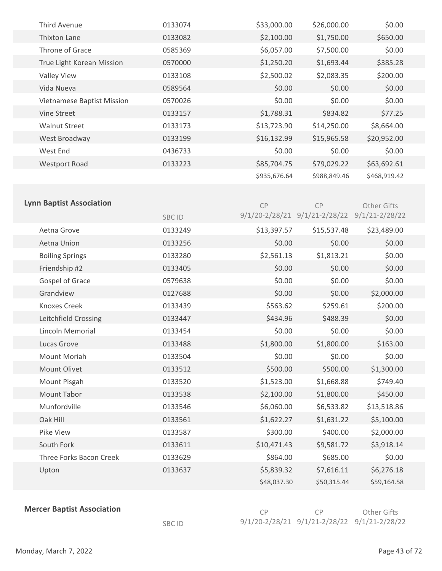| <b>Third Avenue</b>        | 0133074 | \$33,000.00  | \$26,000.00  | \$0.00       |  |
|----------------------------|---------|--------------|--------------|--------------|--|
| <b>Thixton Lane</b>        | 0133082 | \$2,100.00   | \$1,750.00   | \$650.00     |  |
| Throne of Grace            | 0585369 | \$6,057.00   | \$7,500.00   | \$0.00       |  |
| True Light Korean Mission  | 0570000 | \$1,250.20   | \$1,693.44   | \$385.28     |  |
| <b>Valley View</b>         | 0133108 | \$2,500.02   | \$2,083.35   | \$200.00     |  |
| Vida Nueva                 | 0589564 | \$0.00       | \$0.00       | \$0.00       |  |
| Vietnamese Baptist Mission | 0570026 | \$0.00       | \$0.00       | \$0.00       |  |
| <b>Vine Street</b>         | 0133157 | \$1,788.31   | \$834.82     | \$77.25      |  |
| <b>Walnut Street</b>       | 0133173 | \$13,723.90  | \$14,250.00  | \$8,664.00   |  |
| West Broadway              | 0133199 | \$16,132.99  | \$15,965.58  | \$20,952.00  |  |
| West End                   | 0436733 | \$0.00       | \$0.00       | \$0.00       |  |
| <b>Westport Road</b>       | 0133223 | \$85,704.75  | \$79,029.22  | \$63,692.61  |  |
|                            |         | \$935,676.64 | \$988,849.46 | \$468,919.42 |  |

| <b>Lynn Baptist Association</b> |              | CP                 | CP          | Other Gifts                           |  |
|---------------------------------|--------------|--------------------|-------------|---------------------------------------|--|
|                                 | <b>SBCID</b> | $9/1/20 - 2/28/21$ |             | $9/1/21 - 2/28/22$ $9/1/21 - 2/28/22$ |  |
| Aetna Grove                     | 0133249      | \$13,397.57        | \$15,537.48 | \$23,489.00                           |  |
| Aetna Union                     | 0133256      | \$0.00             | \$0.00      | \$0.00                                |  |
| <b>Boiling Springs</b>          | 0133280      | \$2,561.13         | \$1,813.21  | \$0.00                                |  |
| Friendship #2                   | 0133405      | \$0.00             | \$0.00      | \$0.00                                |  |
| Gospel of Grace                 | 0579638      | \$0.00             | \$0.00      | \$0.00                                |  |
| Grandview                       | 0127688      | \$0.00             | \$0.00      | \$2,000.00                            |  |
| <b>Knoxes Creek</b>             | 0133439      | \$563.62           | \$259.61    | \$200.00                              |  |
| Leitchfield Crossing            | 0133447      | \$434.96           | \$488.39    | \$0.00                                |  |
| <b>Lincoln Memorial</b>         | 0133454      | \$0.00             | \$0.00      | \$0.00                                |  |
| Lucas Grove                     | 0133488      | \$1,800.00         | \$1,800.00  | \$163.00                              |  |
| Mount Moriah                    | 0133504      | \$0.00             | \$0.00      | \$0.00                                |  |
| Mount Olivet                    | 0133512      | \$500.00           | \$500.00    | \$1,300.00                            |  |
| Mount Pisgah                    | 0133520      | \$1,523.00         | \$1,668.88  | \$749.40                              |  |
| <b>Mount Tabor</b>              | 0133538      | \$2,100.00         | \$1,800.00  | \$450.00                              |  |
| Munfordville                    | 0133546      | \$6,060.00         | \$6,533.82  | \$13,518.86                           |  |
| Oak Hill                        | 0133561      | \$1,622.27         | \$1,631.22  | \$5,100.00                            |  |
| Pike View                       | 0133587      | \$300.00           | \$400.00    | \$2,000.00                            |  |
| South Fork                      | 0133611      | \$10,471.43        | \$9,581.72  | \$3,918.14                            |  |
| Three Forks Bacon Creek         | 0133629      | \$864.00           | \$685.00    | \$0.00                                |  |
| Upton                           | 0133637      | \$5,839.32         | \$7,616.11  | \$6,276.18                            |  |
|                                 |              | \$48,037.30        | \$50,315.44 | \$59,164.58                           |  |
|                                 |              |                    |             |                                       |  |

**Mercer Baptist Association** 

| C <sub>P</sub> | - CP                                                     | Other Gifts |
|----------------|----------------------------------------------------------|-------------|
|                | $9/1/20 - 2/28/21$ $9/1/21 - 2/28/22$ $9/1/21 - 2/28/22$ |             |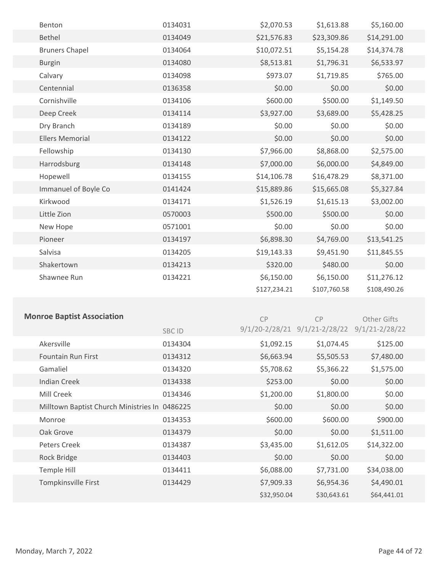| Benton                 | 0134031 | \$2,070.53   | \$1,613.88   | \$5,160.00   |
|------------------------|---------|--------------|--------------|--------------|
| Bethel                 | 0134049 | \$21,576.83  | \$23,309.86  | \$14,291.00  |
| <b>Bruners Chapel</b>  | 0134064 | \$10,072.51  | \$5,154.28   | \$14,374.78  |
| <b>Burgin</b>          | 0134080 | \$8,513.81   | \$1,796.31   | \$6,533.97   |
| Calvary                | 0134098 | \$973.07     | \$1,719.85   | \$765.00     |
| Centennial             | 0136358 | \$0.00       | \$0.00       | \$0.00       |
| Cornishville           | 0134106 | \$600.00     | \$500.00     | \$1,149.50   |
| Deep Creek             | 0134114 | \$3,927.00   | \$3,689.00   | \$5,428.25   |
| Dry Branch             | 0134189 | \$0.00       | \$0.00       | \$0.00       |
| <b>Ellers Memorial</b> | 0134122 | \$0.00       | \$0.00       | \$0.00       |
| Fellowship             | 0134130 | \$7,966.00   | \$8,868.00   | \$2,575.00   |
| Harrodsburg            | 0134148 | \$7,000.00   | \$6,000.00   | \$4,849.00   |
| Hopewell               | 0134155 | \$14,106.78  | \$16,478.29  | \$8,371.00   |
| Immanuel of Boyle Co   | 0141424 | \$15,889.86  | \$15,665.08  | \$5,327.84   |
| Kirkwood               | 0134171 | \$1,526.19   | \$1,615.13   | \$3,002.00   |
| Little Zion            | 0570003 | \$500.00     | \$500.00     | \$0.00       |
| New Hope               | 0571001 | \$0.00       | \$0.00       | \$0.00       |
| Pioneer                | 0134197 | \$6,898.30   | \$4,769.00   | \$13,541.25  |
| Salvisa                | 0134205 | \$19,143.33  | \$9,451.90   | \$11,845.55  |
| Shakertown             | 0134213 | \$320.00     | \$480.00     | \$0.00       |
| Shawnee Run            | 0134221 | \$6,150.00   | \$6,150.00   | \$11,276.12  |
|                        |         | \$127,234.21 | \$107,760.58 | \$108,490.26 |
|                        |         |              |              |              |

## **Monroe Baptist Association**

CP

CP

Other Gifts

|                                               | SBC ID  |             | 9/1/20-2/28/21 9/1/21-2/28/22 9/1/21-2/28/22 |             |  |
|-----------------------------------------------|---------|-------------|----------------------------------------------|-------------|--|
| Akersville                                    | 0134304 | \$1,092.15  | \$1,074.45                                   | \$125.00    |  |
| <b>Fountain Run First</b>                     | 0134312 | \$6,663.94  | \$5,505.53                                   | \$7,480.00  |  |
| Gamaliel                                      | 0134320 | \$5,708.62  | \$5,366.22                                   | \$1,575.00  |  |
| <b>Indian Creek</b>                           | 0134338 | \$253.00    | \$0.00                                       | \$0.00      |  |
| Mill Creek                                    | 0134346 | \$1,200.00  | \$1,800.00                                   | \$0.00      |  |
| Milltown Baptist Church Ministries In 0486225 |         | \$0.00      | \$0.00                                       | \$0.00      |  |
| Monroe                                        | 0134353 | \$600.00    | \$600.00                                     | \$900.00    |  |
| Oak Grove                                     | 0134379 | \$0.00      | \$0.00                                       | \$1,511.00  |  |
| Peters Creek                                  | 0134387 | \$3,435.00  | \$1,612.05                                   | \$14,322.00 |  |
| Rock Bridge                                   | 0134403 | \$0.00      | \$0.00                                       | \$0.00      |  |
| Temple Hill                                   | 0134411 | \$6,088.00  | \$7,731.00                                   | \$34,038.00 |  |
| Tompkinsville First                           | 0134429 | \$7,909.33  | \$6,954.36                                   | \$4,490.01  |  |
|                                               |         | \$32,950.04 | \$30,643.61                                  | \$64,441.01 |  |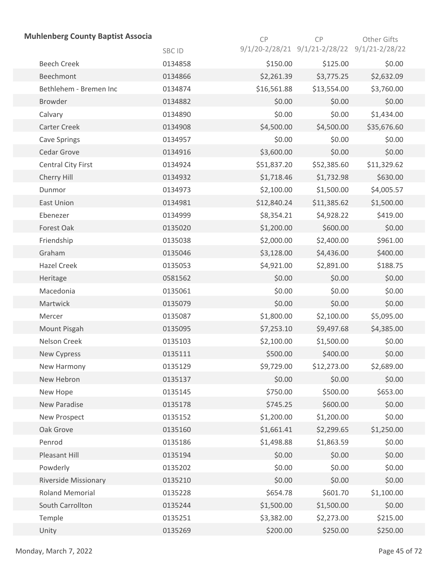| <b>Muhlenberg County Baptist Associa</b> |         | CP          | CP                                           | Other Gifts |
|------------------------------------------|---------|-------------|----------------------------------------------|-------------|
|                                          | SBC ID  |             | 9/1/20-2/28/21 9/1/21-2/28/22 9/1/21-2/28/22 |             |
| <b>Beech Creek</b>                       | 0134858 | \$150.00    | \$125.00                                     | \$0.00      |
| Beechmont                                | 0134866 | \$2,261.39  | \$3,775.25                                   | \$2,632.09  |
| Bethlehem - Bremen Inc                   | 0134874 | \$16,561.88 | \$13,554.00                                  | \$3,760.00  |
| Browder                                  | 0134882 | \$0.00      | \$0.00                                       | \$0.00      |
| Calvary                                  | 0134890 | \$0.00      | \$0.00                                       | \$1,434.00  |
| <b>Carter Creek</b>                      | 0134908 | \$4,500.00  | \$4,500.00                                   | \$35,676.60 |
| <b>Cave Springs</b>                      | 0134957 | \$0.00      | \$0.00                                       | \$0.00      |
| Cedar Grove                              | 0134916 | \$3,600.00  | \$0.00                                       | \$0.00      |
| <b>Central City First</b>                | 0134924 | \$51,837.20 | \$52,385.60                                  | \$11,329.62 |
| Cherry Hill                              | 0134932 | \$1,718.46  | \$1,732.98                                   | \$630.00    |
| Dunmor                                   | 0134973 | \$2,100.00  | \$1,500.00                                   | \$4,005.57  |
| East Union                               | 0134981 | \$12,840.24 | \$11,385.62                                  | \$1,500.00  |
| Ebenezer                                 | 0134999 | \$8,354.21  | \$4,928.22                                   | \$419.00    |
| Forest Oak                               | 0135020 | \$1,200.00  | \$600.00                                     | \$0.00      |
| Friendship                               | 0135038 | \$2,000.00  | \$2,400.00                                   | \$961.00    |
| Graham                                   | 0135046 | \$3,128.00  | \$4,436.00                                   | \$400.00    |
| <b>Hazel Creek</b>                       | 0135053 | \$4,921.00  | \$2,891.00                                   | \$188.75    |
| Heritage                                 | 0581562 | \$0.00      | \$0.00                                       | \$0.00      |
| Macedonia                                | 0135061 | \$0.00      | \$0.00                                       | \$0.00      |
| Martwick                                 | 0135079 | \$0.00      | \$0.00                                       | \$0.00      |
| Mercer                                   | 0135087 | \$1,800.00  | \$2,100.00                                   | \$5,095.00  |
| Mount Pisgah                             | 0135095 | \$7,253.10  | \$9,497.68                                   | \$4,385.00  |
| Nelson Creek                             | 0135103 | \$2,100.00  | \$1,500.00                                   | \$0.00      |
| New Cypress                              | 0135111 | \$500.00    | \$400.00                                     | \$0.00      |
| New Harmony                              | 0135129 | \$9,729.00  | \$12,273.00                                  | \$2,689.00  |
| New Hebron                               | 0135137 | \$0.00      | \$0.00                                       | \$0.00      |
| New Hope                                 | 0135145 | \$750.00    | \$500.00                                     | \$653.00    |
| New Paradise                             | 0135178 | \$745.25    | \$600.00                                     | \$0.00      |
| New Prospect                             | 0135152 | \$1,200.00  | \$1,200.00                                   | \$0.00      |
| Oak Grove                                | 0135160 | \$1,661.41  | \$2,299.65                                   | \$1,250.00  |
| Penrod                                   | 0135186 | \$1,498.88  | \$1,863.59                                   | \$0.00      |
| Pleasant Hill                            | 0135194 | \$0.00      | \$0.00                                       | \$0.00      |
| Powderly                                 | 0135202 | \$0.00      | \$0.00                                       | \$0.00      |
| <b>Riverside Missionary</b>              | 0135210 | \$0.00      | \$0.00                                       | \$0.00      |
| <b>Roland Memorial</b>                   | 0135228 | \$654.78    | \$601.70                                     | \$1,100.00  |
| South Carrollton                         | 0135244 | \$1,500.00  | \$1,500.00                                   | \$0.00      |
| Temple                                   | 0135251 | \$3,382.00  | \$2,273.00                                   | \$215.00    |
| Unity                                    | 0135269 | \$200.00    | \$250.00                                     | \$250.00    |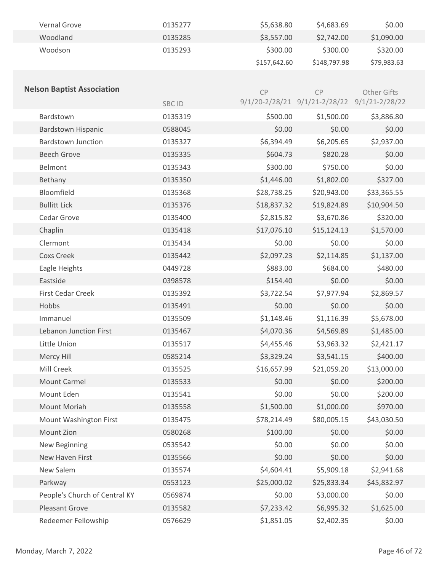| Vernal Grove | 0135277 | \$5,638.80   | \$4,683.69   | \$0.00      |
|--------------|---------|--------------|--------------|-------------|
| Woodland     | 0135285 | \$3,557.00   | \$2,742.00   | \$1,090.00  |
| Woodson      | 0135293 | \$300.00     | \$300.00     | \$320.00    |
|              |         | \$157,642.60 | \$148,797.98 | \$79,983.63 |

| <b>Nelson Baptist Association</b> |         | CP          | CP                                           | Other Gifts |
|-----------------------------------|---------|-------------|----------------------------------------------|-------------|
|                                   | SBC ID  |             | 9/1/20-2/28/21 9/1/21-2/28/22 9/1/21-2/28/22 |             |
| Bardstown                         | 0135319 | \$500.00    | \$1,500.00                                   | \$3,886.80  |
| Bardstown Hispanic                | 0588045 | \$0.00      | \$0.00                                       | \$0.00      |
| <b>Bardstown Junction</b>         | 0135327 | \$6,394.49  | \$6,205.65                                   | \$2,937.00  |
| <b>Beech Grove</b>                | 0135335 | \$604.73    | \$820.28                                     | \$0.00      |
| Belmont                           | 0135343 | \$300.00    | \$750.00                                     | \$0.00      |
| Bethany                           | 0135350 | \$1,446.00  | \$1,802.00                                   | \$327.00    |
| Bloomfield                        | 0135368 | \$28,738.25 | \$20,943.00                                  | \$33,365.55 |
| <b>Bullitt Lick</b>               | 0135376 | \$18,837.32 | \$19,824.89                                  | \$10,904.50 |
| Cedar Grove                       | 0135400 | \$2,815.82  | \$3,670.86                                   | \$320.00    |
| Chaplin                           | 0135418 | \$17,076.10 | \$15,124.13                                  | \$1,570.00  |
| Clermont                          | 0135434 | \$0.00      | \$0.00                                       | \$0.00      |
| <b>Coxs Creek</b>                 | 0135442 | \$2,097.23  | \$2,114.85                                   | \$1,137.00  |
| Eagle Heights                     | 0449728 | \$883.00    | \$684.00                                     | \$480.00    |
| Eastside                          | 0398578 | \$154.40    | \$0.00                                       | \$0.00      |
| <b>First Cedar Creek</b>          | 0135392 | \$3,722.54  | \$7,977.94                                   | \$2,869.57  |
| Hobbs                             | 0135491 | \$0.00      | \$0.00                                       | \$0.00      |
| Immanuel                          | 0135509 | \$1,148.46  | \$1,116.39                                   | \$5,678.00  |
| Lebanon Junction First            | 0135467 | \$4,070.36  | \$4,569.89                                   | \$1,485.00  |
| Little Union                      | 0135517 | \$4,455.46  | \$3,963.32                                   | \$2,421.17  |
| Mercy Hill                        | 0585214 | \$3,329.24  | \$3,541.15                                   | \$400.00    |
| Mill Creek                        | 0135525 | \$16,657.99 | \$21,059.20                                  | \$13,000.00 |
| <b>Mount Carmel</b>               | 0135533 | \$0.00      | \$0.00                                       | \$200.00    |
| Mount Eden                        | 0135541 | \$0.00      | \$0.00                                       | \$200.00    |
| Mount Moriah                      | 0135558 | \$1,500.00  | \$1,000.00                                   | \$970.00    |
| Mount Washington First            | 0135475 | \$78,214.49 | \$80,005.15                                  | \$43,030.50 |
| Mount Zion                        | 0580268 | \$100.00    | \$0.00                                       | \$0.00      |
| New Beginning                     | 0535542 | \$0.00      | \$0.00                                       | \$0.00      |
| New Haven First                   | 0135566 | \$0.00      | \$0.00                                       | \$0.00      |
| New Salem                         | 0135574 | \$4,604.41  | \$5,909.18                                   | \$2,941.68  |
| Parkway                           | 0553123 | \$25,000.02 | \$25,833.34                                  | \$45,832.97 |
| People's Church of Central KY     | 0569874 | \$0.00      | \$3,000.00                                   | \$0.00      |
| Pleasant Grove                    | 0135582 | \$7,233.42  | \$6,995.32                                   | \$1,625.00  |
| Redeemer Fellowship               | 0576629 | \$1,851.05  | \$2,402.35                                   | \$0.00      |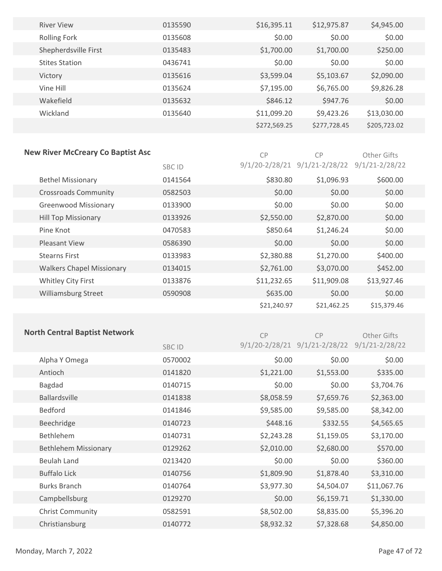| <b>River View</b>     | 0135590 | \$16,395.11  | \$12,975.87  | \$4,945.00   |
|-----------------------|---------|--------------|--------------|--------------|
| <b>Rolling Fork</b>   | 0135608 | \$0.00       | \$0.00       | \$0.00       |
| Shepherdsville First  | 0135483 | \$1,700.00   | \$1,700.00   | \$250.00     |
| <b>Stites Station</b> | 0436741 | \$0.00       | \$0.00       | \$0.00       |
| Victory               | 0135616 | \$3,599.04   | \$5,103.67   | \$2,090.00   |
| Vine Hill             | 0135624 | \$7,195.00   | \$6,765.00   | \$9,826.28   |
| Wakefield             | 0135632 | \$846.12     | \$947.76     | \$0.00       |
| Wickland              | 0135640 | \$11,099.20  | \$9,423.26   | \$13,030.00  |
|                       |         | \$272,569.25 | \$277,728.45 | \$205,723.02 |
|                       |         |              |              |              |

### **New River McCreary Co Baptist Asc**

CP CP Other Gifts

|                                  | SBC ID  |             | $9/1/20 - 2/28/21$ $9/1/21 - 2/28/22$ $9/1/21 - 2/28/22$ |             |  |
|----------------------------------|---------|-------------|----------------------------------------------------------|-------------|--|
| <b>Bethel Missionary</b>         | 0141564 | \$830.80    | \$1,096.93                                               | \$600.00    |  |
| <b>Crossroads Community</b>      | 0582503 | \$0.00      | \$0.00                                                   | \$0.00      |  |
| <b>Greenwood Missionary</b>      | 0133900 | \$0.00      | \$0.00                                                   | \$0.00      |  |
| <b>Hill Top Missionary</b>       | 0133926 | \$2,550.00  | \$2,870.00                                               | \$0.00      |  |
| Pine Knot                        | 0470583 | \$850.64    | \$1,246.24                                               | \$0.00      |  |
| <b>Pleasant View</b>             | 0586390 | \$0.00      | \$0.00                                                   | \$0.00      |  |
| <b>Stearns First</b>             | 0133983 | \$2,380.88  | \$1,270.00                                               | \$400.00    |  |
| <b>Walkers Chapel Missionary</b> | 0134015 | \$2,761.00  | \$3,070.00                                               | \$452.00    |  |
| Whitley City First               | 0133876 | \$11,232.65 | \$11,909.08                                              | \$13,927.46 |  |
| Williamsburg Street              | 0590908 | \$635.00    | \$0.00                                                   | \$0.00      |  |
|                                  |         | \$21,240.97 | \$21,462.25                                              | \$15,379.46 |  |

## **North Central Baptist Network**

| C <sub>P</sub> | C <sub>P</sub>                                           | Other Gifts |
|----------------|----------------------------------------------------------|-------------|
|                | $9/1/20 - 2/28/21$ $9/1/21 - 2/28/22$ $9/1/21 - 2/28/22$ |             |

|                             | <b>SBC ID</b> |            | $9/1/20 - 2/28/21$ $9/1/21 - 2/28/22$ $9/1/21 - 2/28/22$ |             |  |
|-----------------------------|---------------|------------|----------------------------------------------------------|-------------|--|
| Alpha Y Omega               | 0570002       | \$0.00     | \$0.00                                                   | \$0.00      |  |
| Antioch                     | 0141820       | \$1,221.00 | \$1,553.00                                               | \$335.00    |  |
| Bagdad                      | 0140715       | \$0.00     | \$0.00                                                   | \$3,704.76  |  |
| <b>Ballardsville</b>        | 0141838       | \$8,058.59 | \$7,659.76                                               | \$2,363.00  |  |
| Bedford                     | 0141846       | \$9,585.00 | \$9,585.00                                               | \$8,342.00  |  |
| Beechridge                  | 0140723       | \$448.16   | \$332.55                                                 | \$4,565.65  |  |
| <b>Bethlehem</b>            | 0140731       | \$2,243.28 | \$1,159.05                                               | \$3,170.00  |  |
| <b>Bethlehem Missionary</b> | 0129262       | \$2,010.00 | \$2,680.00                                               | \$570.00    |  |
| <b>Beulah Land</b>          | 0213420       | \$0.00     | \$0.00                                                   | \$360.00    |  |
| <b>Buffalo Lick</b>         | 0140756       | \$1,809.90 | \$1,878.40                                               | \$3,310.00  |  |
| <b>Burks Branch</b>         | 0140764       | \$3,977.30 | \$4,504.07                                               | \$11,067.76 |  |
| Campbellsburg               | 0129270       | \$0.00     | \$6,159.71                                               | \$1,330.00  |  |
| <b>Christ Community</b>     | 0582591       | \$8,502.00 | \$8,835.00                                               | \$5,396.20  |  |
| Christiansburg              | 0140772       | \$8,932.32 | \$7,328.68                                               | \$4,850.00  |  |
|                             |               |            |                                                          |             |  |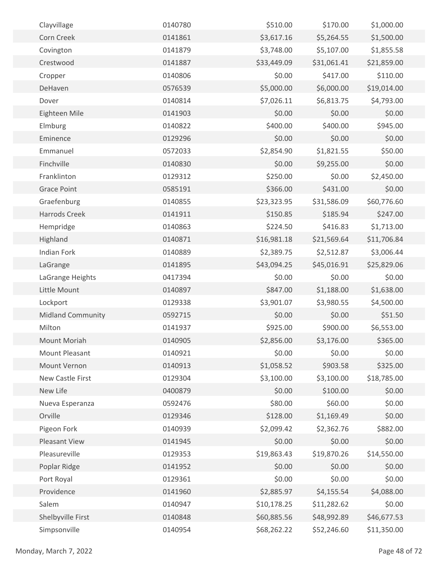| Clayvillage           | 0140780 | \$510.00    | \$170.00    | \$1,000.00  |  |
|-----------------------|---------|-------------|-------------|-------------|--|
| Corn Creek            | 0141861 | \$3,617.16  | \$5,264.55  | \$1,500.00  |  |
| Covington             | 0141879 | \$3,748.00  | \$5,107.00  | \$1,855.58  |  |
| Crestwood             | 0141887 | \$33,449.09 | \$31,061.41 | \$21,859.00 |  |
| Cropper               | 0140806 | \$0.00      | \$417.00    | \$110.00    |  |
| DeHaven               | 0576539 | \$5,000.00  | \$6,000.00  | \$19,014.00 |  |
| Dover                 | 0140814 | \$7,026.11  | \$6,813.75  | \$4,793.00  |  |
| Eighteen Mile         | 0141903 | \$0.00      | \$0.00      | \$0.00      |  |
| Elmburg               | 0140822 | \$400.00    | \$400.00    | \$945.00    |  |
| Eminence              | 0129296 | \$0.00      | \$0.00      | \$0.00      |  |
| Emmanuel              | 0572033 | \$2,854.90  | \$1,821.55  | \$50.00     |  |
| Finchville            | 0140830 | \$0.00      | \$9,255.00  | \$0.00      |  |
| Franklinton           | 0129312 | \$250.00    | \$0.00      | \$2,450.00  |  |
| <b>Grace Point</b>    | 0585191 | \$366.00    | \$431.00    | \$0.00      |  |
| Graefenburg           | 0140855 | \$23,323.95 | \$31,586.09 | \$60,776.60 |  |
| <b>Harrods Creek</b>  | 0141911 | \$150.85    | \$185.94    | \$247.00    |  |
| Hempridge             | 0140863 | \$224.50    | \$416.83    | \$1,713.00  |  |
| Highland              | 0140871 | \$16,981.18 | \$21,569.64 | \$11,706.84 |  |
| <b>Indian Fork</b>    | 0140889 | \$2,389.75  | \$2,512.87  | \$3,006.44  |  |
| LaGrange              | 0141895 | \$43,094.25 | \$45,016.91 | \$25,829.06 |  |
| LaGrange Heights      | 0417394 | \$0.00      | \$0.00      | \$0.00      |  |
| Little Mount          | 0140897 | \$847.00    | \$1,188.00  | \$1,638.00  |  |
| Lockport              | 0129338 | \$3,901.07  | \$3,980.55  | \$4,500.00  |  |
| Midland Community     | 0592715 | \$0.00      | \$0.00      | \$51.50     |  |
| Milton                | 0141937 | \$925.00    | \$900.00    | \$6,553.00  |  |
| Mount Moriah          | 0140905 | \$2,856.00  | \$3,176.00  | \$365.00    |  |
| <b>Mount Pleasant</b> | 0140921 | \$0.00      | \$0.00      | \$0.00      |  |
| Mount Vernon          | 0140913 | \$1,058.52  | \$903.58    | \$325.00    |  |
| New Castle First      | 0129304 | \$3,100.00  | \$3,100.00  | \$18,785.00 |  |
| New Life              | 0400879 | \$0.00      | \$100.00    | \$0.00      |  |
| Nueva Esperanza       | 0592476 | \$80.00     | \$60.00     | \$0.00      |  |
| Orville               | 0129346 | \$128.00    | \$1,169.49  | \$0.00      |  |
| Pigeon Fork           | 0140939 | \$2,099.42  | \$2,362.76  | \$882.00    |  |
| Pleasant View         | 0141945 | \$0.00      | \$0.00      | \$0.00      |  |
| Pleasureville         | 0129353 | \$19,863.43 | \$19,870.26 | \$14,550.00 |  |
| Poplar Ridge          | 0141952 | \$0.00      | \$0.00      | \$0.00      |  |
| Port Royal            | 0129361 | \$0.00      | \$0.00      | \$0.00      |  |
| Providence            | 0141960 | \$2,885.97  | \$4,155.54  | \$4,088.00  |  |
| Salem                 | 0140947 | \$10,178.25 | \$11,282.62 | \$0.00      |  |
| Shelbyville First     | 0140848 | \$60,885.56 | \$48,992.89 | \$46,677.53 |  |
| Simpsonville          | 0140954 | \$68,262.22 | \$52,246.60 | \$11,350.00 |  |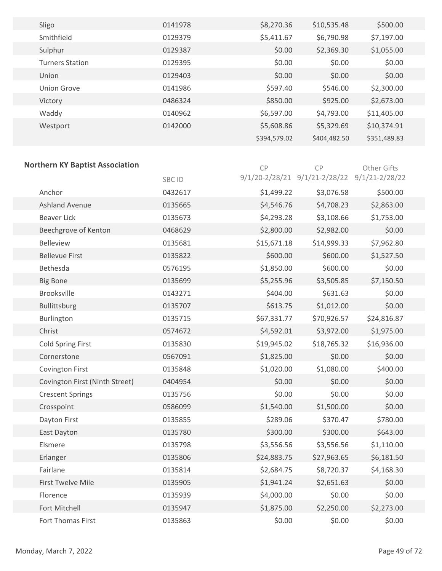| Sligo                  | 0141978 | \$8,270.36   | \$10,535.48  | \$500.00     |  |
|------------------------|---------|--------------|--------------|--------------|--|
| Smithfield             | 0129379 | \$5,411.67   | \$6,790.98   | \$7,197.00   |  |
| Sulphur                | 0129387 | \$0.00       | \$2,369.30   | \$1,055.00   |  |
| <b>Turners Station</b> | 0129395 | \$0.00       | \$0.00       | \$0.00       |  |
| Union                  | 0129403 | \$0.00       | \$0.00       | \$0.00       |  |
| <b>Union Grove</b>     | 0141986 | \$597.40     | \$546.00     | \$2,300.00   |  |
| Victory                | 0486324 | \$850.00     | \$925.00     | \$2,673.00   |  |
| Waddy                  | 0140962 | \$6,597.00   | \$4,793.00   | \$11,405.00  |  |
| Westport               | 0142000 | \$5,608.86   | \$5,329.69   | \$10,374.91  |  |
|                        |         | \$394,579.02 | \$404,482.50 | \$351,489.83 |  |

### **Northern KY Baptist Association**

| <b>Northern KY Baptist Association</b> |         | CP          | CP                                           | Other Gifts |  |
|----------------------------------------|---------|-------------|----------------------------------------------|-------------|--|
|                                        | SBC ID  |             | 9/1/20-2/28/21 9/1/21-2/28/22 9/1/21-2/28/22 |             |  |
| Anchor                                 | 0432617 | \$1,499.22  | \$3,076.58                                   | \$500.00    |  |
| <b>Ashland Avenue</b>                  | 0135665 | \$4,546.76  | \$4,708.23                                   | \$2,863.00  |  |
| <b>Beaver Lick</b>                     | 0135673 | \$4,293.28  | \$3,108.66                                   | \$1,753.00  |  |
| Beechgrove of Kenton                   | 0468629 | \$2,800.00  | \$2,982.00                                   | \$0.00      |  |
| <b>Belleview</b>                       | 0135681 | \$15,671.18 | \$14,999.33                                  | \$7,962.80  |  |
| <b>Bellevue First</b>                  | 0135822 | \$600.00    | \$600.00                                     | \$1,527.50  |  |
| Bethesda                               | 0576195 | \$1,850.00  | \$600.00                                     | \$0.00      |  |
| <b>Big Bone</b>                        | 0135699 | \$5,255.96  | \$3,505.85                                   | \$7,150.50  |  |
| <b>Brooksville</b>                     | 0143271 | \$404.00    | \$631.63                                     | \$0.00      |  |
| Bullittsburg                           | 0135707 | \$613.75    | \$1,012.00                                   | \$0.00      |  |
| Burlington                             | 0135715 | \$67,331.77 | \$70,926.57                                  | \$24,816.87 |  |
| Christ                                 | 0574672 | \$4,592.01  | \$3,972.00                                   | \$1,975.00  |  |
| <b>Cold Spring First</b>               | 0135830 | \$19,945.02 | \$18,765.32                                  | \$16,936.00 |  |
| Cornerstone                            | 0567091 | \$1,825.00  | \$0.00                                       | \$0.00      |  |
| <b>Covington First</b>                 | 0135848 | \$1,020.00  | \$1,080.00                                   | \$400.00    |  |
| Covington First (Ninth Street)         | 0404954 | \$0.00      | \$0.00                                       | \$0.00      |  |
| <b>Crescent Springs</b>                | 0135756 | \$0.00      | \$0.00                                       | \$0.00      |  |
| Crosspoint                             | 0586099 | \$1,540.00  | \$1,500.00                                   | \$0.00      |  |
| Dayton First                           | 0135855 | \$289.06    | \$370.47                                     | \$780.00    |  |
| East Dayton                            | 0135780 | \$300.00    | \$300.00                                     | \$643.00    |  |
| Elsmere                                | 0135798 | \$3,556.56  | \$3,556.56                                   | \$1,110.00  |  |
| Erlanger                               | 0135806 | \$24,883.75 | \$27,963.65                                  | \$6,181.50  |  |
| Fairlane                               | 0135814 | \$2,684.75  | \$8,720.37                                   | \$4,168.30  |  |
| <b>First Twelve Mile</b>               | 0135905 | \$1,941.24  | \$2,651.63                                   | \$0.00      |  |
| Florence                               | 0135939 | \$4,000.00  | \$0.00                                       | \$0.00      |  |
| Fort Mitchell                          | 0135947 | \$1,875.00  | \$2,250.00                                   | \$2,273.00  |  |
| <b>Fort Thomas First</b>               | 0135863 | \$0.00      | \$0.00                                       | \$0.00      |  |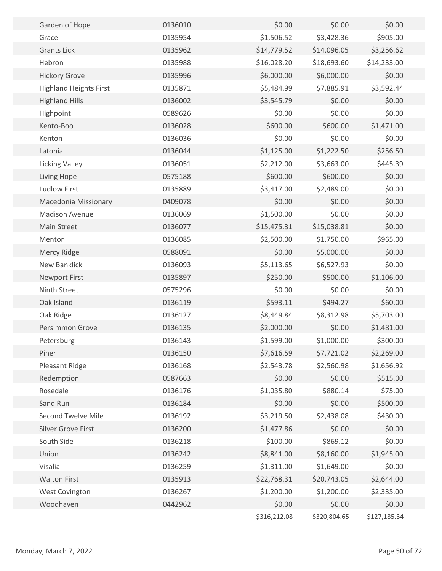| Garden of Hope                | 0136010 | \$0.00       | \$0.00                     | \$0.00                    |  |
|-------------------------------|---------|--------------|----------------------------|---------------------------|--|
| Grace                         | 0135954 | \$1,506.52   | \$3,428.36                 | \$905.00                  |  |
| <b>Grants Lick</b>            | 0135962 | \$14,779.52  |                            |                           |  |
| Hebron                        | 0135988 | \$16,028.20  | \$14,096.05<br>\$18,693.60 | \$3,256.62<br>\$14,233.00 |  |
|                               |         | \$6,000.00   |                            | \$0.00                    |  |
| <b>Hickory Grove</b>          | 0135996 | \$5,484.99   | \$6,000.00<br>\$7,885.91   |                           |  |
| <b>Highland Heights First</b> | 0135871 | \$3,545.79   | \$0.00                     | \$3,592.44                |  |
| <b>Highland Hills</b>         | 0136002 |              |                            | \$0.00                    |  |
| Highpoint                     | 0589626 | \$0.00       | \$0.00                     | \$0.00                    |  |
| Kento-Boo                     | 0136028 | \$600.00     | \$600.00                   | \$1,471.00                |  |
| Kenton                        | 0136036 | \$0.00       | \$0.00                     | \$0.00                    |  |
| Latonia                       | 0136044 | \$1,125.00   | \$1,222.50                 | \$256.50                  |  |
| <b>Licking Valley</b>         | 0136051 | \$2,212.00   | \$3,663.00                 | \$445.39                  |  |
| Living Hope                   | 0575188 | \$600.00     | \$600.00                   | \$0.00                    |  |
| <b>Ludlow First</b>           | 0135889 | \$3,417.00   | \$2,489.00                 | \$0.00                    |  |
| Macedonia Missionary          | 0409078 | \$0.00       | \$0.00                     | \$0.00                    |  |
| <b>Madison Avenue</b>         | 0136069 | \$1,500.00   | \$0.00                     | \$0.00                    |  |
| <b>Main Street</b>            | 0136077 | \$15,475.31  | \$15,038.81                | \$0.00                    |  |
| Mentor                        | 0136085 | \$2,500.00   | \$1,750.00                 | \$965.00                  |  |
| Mercy Ridge                   | 0588091 | \$0.00       | \$5,000.00                 | \$0.00                    |  |
| New Banklick                  | 0136093 | \$5,113.65   | \$6,527.93                 | \$0.00                    |  |
| <b>Newport First</b>          | 0135897 | \$250.00     | \$500.00                   | \$1,106.00                |  |
| Ninth Street                  | 0575296 | \$0.00       | \$0.00                     | \$0.00                    |  |
| Oak Island                    | 0136119 | \$593.11     | \$494.27                   | \$60.00                   |  |
| Oak Ridge                     | 0136127 | \$8,449.84   | \$8,312.98                 | \$5,703.00                |  |
| Persimmon Grove               | 0136135 | \$2,000.00   | \$0.00                     | \$1,481.00                |  |
| Petersburg                    | 0136143 | \$1,599.00   | \$1,000.00                 | \$300.00                  |  |
| Piner                         | 0136150 | \$7,616.59   | \$7,721.02                 | \$2,269.00                |  |
| Pleasant Ridge                | 0136168 | \$2,543.78   | \$2,560.98                 | \$1,656.92                |  |
| Redemption                    | 0587663 | \$0.00       | \$0.00                     | \$515.00                  |  |
| Rosedale                      | 0136176 | \$1,035.80   | \$880.14                   | \$75.00                   |  |
| Sand Run                      | 0136184 | \$0.00       | \$0.00                     | \$500.00                  |  |
| <b>Second Twelve Mile</b>     | 0136192 | \$3,219.50   | \$2,438.08                 | \$430.00                  |  |
| <b>Silver Grove First</b>     | 0136200 | \$1,477.86   | \$0.00                     | \$0.00                    |  |
| South Side                    | 0136218 | \$100.00     | \$869.12                   | \$0.00                    |  |
| Union                         | 0136242 | \$8,841.00   | \$8,160.00                 | \$1,945.00                |  |
| Visalia                       | 0136259 | \$1,311.00   | \$1,649.00                 | \$0.00                    |  |
| <b>Walton First</b>           | 0135913 | \$22,768.31  | \$20,743.05                | \$2,644.00                |  |
| West Covington                | 0136267 | \$1,200.00   | \$1,200.00                 | \$2,335.00                |  |
| Woodhaven                     | 0442962 | \$0.00       | \$0.00                     | \$0.00                    |  |
|                               |         | \$316,212.08 | \$320,804.65               | \$127,185.34              |  |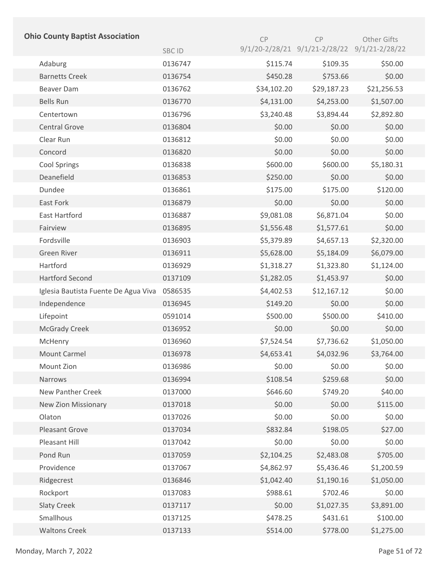| <b>Ohio County Baptist Association</b> |         | CP          | CP                                           | Other Gifts |
|----------------------------------------|---------|-------------|----------------------------------------------|-------------|
|                                        | SBC ID  |             | 9/1/20-2/28/21 9/1/21-2/28/22 9/1/21-2/28/22 |             |
| Adaburg                                | 0136747 | \$115.74    | \$109.35                                     | \$50.00     |
| <b>Barnetts Creek</b>                  | 0136754 | \$450.28    | \$753.66                                     | \$0.00      |
| <b>Beaver Dam</b>                      | 0136762 | \$34,102.20 | \$29,187.23                                  | \$21,256.53 |
| <b>Bells Run</b>                       | 0136770 | \$4,131.00  | \$4,253.00                                   | \$1,507.00  |
| Centertown                             | 0136796 | \$3,240.48  | \$3,894.44                                   | \$2,892.80  |
| <b>Central Grove</b>                   | 0136804 | \$0.00      | \$0.00                                       | \$0.00      |
| Clear Run                              | 0136812 | \$0.00      | \$0.00                                       | \$0.00      |
| Concord                                | 0136820 | \$0.00      | \$0.00                                       | \$0.00      |
| <b>Cool Springs</b>                    | 0136838 | \$600.00    | \$600.00                                     | \$5,180.31  |
| Deanefield                             | 0136853 | \$250.00    | \$0.00                                       | \$0.00      |
| Dundee                                 | 0136861 | \$175.00    | \$175.00                                     | \$120.00    |
| East Fork                              | 0136879 | \$0.00      | \$0.00                                       | \$0.00      |
| East Hartford                          | 0136887 | \$9,081.08  | \$6,871.04                                   | \$0.00      |
| Fairview                               | 0136895 | \$1,556.48  | \$1,577.61                                   | \$0.00      |
| Fordsville                             | 0136903 | \$5,379.89  | \$4,657.13                                   | \$2,320.00  |
| <b>Green River</b>                     | 0136911 | \$5,628.00  | \$5,184.09                                   | \$6,079.00  |
| Hartford                               | 0136929 | \$1,318.27  | \$1,323.80                                   | \$1,124.00  |
| <b>Hartford Second</b>                 | 0137109 | \$1,282.05  | \$1,453.97                                   | \$0.00      |
| Iglesia Bautista Fuente De Agua Viva   | 0586535 | \$4,402.53  | \$12,167.12                                  | \$0.00      |
| Independence                           | 0136945 | \$149.20    | \$0.00                                       | \$0.00      |
| Lifepoint                              | 0591014 | \$500.00    | \$500.00                                     | \$410.00    |
| <b>McGrady Creek</b>                   | 0136952 | \$0.00      | \$0.00                                       | \$0.00      |
| McHenry                                | 0136960 | \$7,524.54  | \$7,736.62                                   | \$1,050.00  |
| Mount Carmel                           | 0136978 | \$4,653.41  | \$4,032.96                                   | \$3,764.00  |
| Mount Zion                             | 0136986 | \$0.00      | \$0.00                                       | \$0.00      |
| Narrows                                | 0136994 | \$108.54    | \$259.68                                     | \$0.00      |
| <b>New Panther Creek</b>               | 0137000 | \$646.60    | \$749.20                                     | \$40.00     |
| <b>New Zion Missionary</b>             | 0137018 | \$0.00      | \$0.00                                       | \$115.00    |
| Olaton                                 | 0137026 | \$0.00      | \$0.00                                       | \$0.00      |
| <b>Pleasant Grove</b>                  | 0137034 | \$832.84    | \$198.05                                     | \$27.00     |
| Pleasant Hill                          | 0137042 | \$0.00      | \$0.00                                       | \$0.00      |
| Pond Run                               | 0137059 | \$2,104.25  | \$2,483.08                                   | \$705.00    |
| Providence                             | 0137067 | \$4,862.97  | \$5,436.46                                   | \$1,200.59  |
| Ridgecrest                             | 0136846 | \$1,042.40  | \$1,190.16                                   | \$1,050.00  |
| Rockport                               | 0137083 | \$988.61    | \$702.46                                     | \$0.00      |
| <b>Slaty Creek</b>                     | 0137117 | \$0.00      | \$1,027.35                                   | \$3,891.00  |
| Smallhous                              | 0137125 | \$478.25    | \$431.61                                     | \$100.00    |
| <b>Waltons Creek</b>                   | 0137133 | \$514.00    | \$778.00                                     | \$1,275.00  |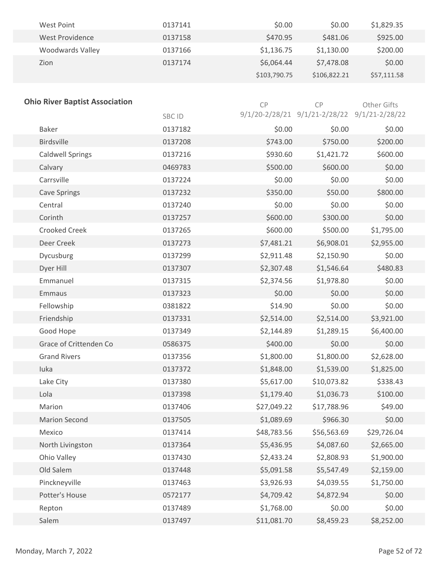| West Point       | 0137141 | \$0.00       | \$0.00       | \$1,829.35  |
|------------------|---------|--------------|--------------|-------------|
| West Providence  | 0137158 | \$470.95     | \$481.06     | \$925.00    |
| Woodwards Valley | 0137166 | \$1,136.75   | \$1,130.00   | \$200.00    |
| Zion             | 0137174 | \$6,064.44   | \$7,478.08   | \$0.00      |
|                  |         | \$103,790.75 | \$106,822.21 | \$57,111.58 |

| <b>Ohio River Baptist Association</b> |         | CP          | CP                                           | Other Gifts |
|---------------------------------------|---------|-------------|----------------------------------------------|-------------|
|                                       | SBC ID  |             | 9/1/20-2/28/21 9/1/21-2/28/22 9/1/21-2/28/22 |             |
| <b>Baker</b>                          | 0137182 | \$0.00      | \$0.00                                       | \$0.00      |
| <b>Birdsville</b>                     | 0137208 | \$743.00    | \$750.00                                     | \$200.00    |
| <b>Caldwell Springs</b>               | 0137216 | \$930.60    | \$1,421.72                                   | \$600.00    |
| Calvary                               | 0469783 | \$500.00    | \$600.00                                     | \$0.00      |
| Carrsville                            | 0137224 | \$0.00      | \$0.00                                       | \$0.00      |
| <b>Cave Springs</b>                   | 0137232 | \$350.00    | \$50.00                                      | \$800.00    |
| Central                               | 0137240 | \$0.00      | \$0.00                                       | \$0.00      |
| Corinth                               | 0137257 | \$600.00    | \$300.00                                     | \$0.00      |
| <b>Crooked Creek</b>                  | 0137265 | \$600.00    | \$500.00                                     | \$1,795.00  |
| Deer Creek                            | 0137273 | \$7,481.21  | \$6,908.01                                   | \$2,955.00  |
| Dycusburg                             | 0137299 | \$2,911.48  | \$2,150.90                                   | \$0.00      |
| Dyer Hill                             | 0137307 | \$2,307.48  | \$1,546.64                                   | \$480.83    |
| Emmanuel                              | 0137315 | \$2,374.56  | \$1,978.80                                   | \$0.00      |
| Emmaus                                | 0137323 | \$0.00      | \$0.00                                       | \$0.00      |
| Fellowship                            | 0381822 | \$14.90     | \$0.00                                       | \$0.00      |
| Friendship                            | 0137331 | \$2,514.00  | \$2,514.00                                   | \$3,921.00  |
| Good Hope                             | 0137349 | \$2,144.89  | \$1,289.15                                   | \$6,400.00  |
| Grace of Crittenden Co                | 0586375 | \$400.00    | \$0.00                                       | \$0.00      |
| <b>Grand Rivers</b>                   | 0137356 | \$1,800.00  | \$1,800.00                                   | \$2,628.00  |
| luka                                  | 0137372 | \$1,848.00  | \$1,539.00                                   | \$1,825.00  |
| Lake City                             | 0137380 | \$5,617.00  | \$10,073.82                                  | \$338.43    |
| Lola                                  | 0137398 | \$1,179.40  | \$1,036.73                                   | \$100.00    |
| Marion                                | 0137406 | \$27,049.22 | \$17,788.96                                  | \$49.00     |
| <b>Marion Second</b>                  | 0137505 | \$1,089.69  | \$966.30                                     | \$0.00      |
| Mexico                                | 0137414 | \$48,783.56 | \$56,563.69                                  | \$29,726.04 |
| North Livingston                      | 0137364 | \$5,436.95  | \$4,087.60                                   | \$2,665.00  |
| Ohio Valley                           | 0137430 | \$2,433.24  | \$2,808.93                                   | \$1,900.00  |
| Old Salem                             | 0137448 | \$5,091.58  | \$5,547.49                                   | \$2,159.00  |
| Pinckneyville                         | 0137463 | \$3,926.93  | \$4,039.55                                   | \$1,750.00  |
| Potter's House                        | 0572177 | \$4,709.42  | \$4,872.94                                   | \$0.00      |
| Repton                                | 0137489 | \$1,768.00  | \$0.00                                       | \$0.00      |
| Salem                                 | 0137497 | \$11,081.70 | \$8,459.23                                   | \$8,252.00  |
|                                       |         |             |                                              |             |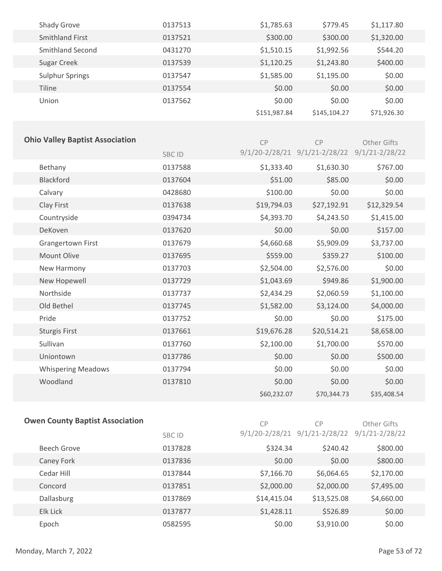| Shady Grove            | 0137513 | \$1,785.63   | \$779.45     | \$1,117.80  |
|------------------------|---------|--------------|--------------|-------------|
| Smithland First        | 0137521 | \$300.00     | \$300.00     | \$1,320.00  |
| Smithland Second       | 0431270 | \$1,510.15   | \$1,992.56   | \$544.20    |
| Sugar Creek            | 0137539 | \$1,120.25   | \$1,243.80   | \$400.00    |
| <b>Sulphur Springs</b> | 0137547 | \$1,585.00   | \$1,195.00   | \$0.00      |
| <b>Tiline</b>          | 0137554 | \$0.00       | \$0.00       | \$0.00      |
| Union                  | 0137562 | \$0.00       | \$0.00       | \$0.00      |
|                        |         | \$151,987.84 | \$145,104.27 | \$71,926.30 |

| <b>Ohio Valley Baptist Association</b> |         | CP                 | CP                 | Other Gifts        |
|----------------------------------------|---------|--------------------|--------------------|--------------------|
|                                        | SBC ID  | $9/1/20 - 2/28/21$ | $9/1/21 - 2/28/22$ | $9/1/21 - 2/28/22$ |
| Bethany                                | 0137588 | \$1,333.40         | \$1,630.30         | \$767.00           |
| <b>Blackford</b>                       | 0137604 | \$51.00            | \$85.00            | \$0.00             |
| Calvary                                | 0428680 | \$100.00           | \$0.00             | \$0.00             |
| Clay First                             | 0137638 | \$19,794.03        | \$27,192.91        | \$12,329.54        |
| Countryside                            | 0394734 | \$4,393.70         | \$4,243.50         | \$1,415.00         |
| DeKoven                                | 0137620 | \$0.00             | \$0.00             | \$157.00           |
| Grangertown First                      | 0137679 | \$4,660.68         | \$5,909.09         | \$3,737.00         |
| Mount Olive                            | 0137695 | \$559.00           | \$359.27           | \$100.00           |
| New Harmony                            | 0137703 | \$2,504.00         | \$2,576.00         | \$0.00             |
| New Hopewell                           | 0137729 | \$1,043.69         | \$949.86           | \$1,900.00         |
| Northside                              | 0137737 | \$2,434.29         | \$2,060.59         | \$1,100.00         |
| Old Bethel                             | 0137745 | \$1,582.00         | \$3,124.00         | \$4,000.00         |
| Pride                                  | 0137752 | \$0.00             | \$0.00             | \$175.00           |
| <b>Sturgis First</b>                   | 0137661 | \$19,676.28        | \$20,514.21        | \$8,658.00         |
| Sullivan                               | 0137760 | \$2,100.00         | \$1,700.00         | \$570.00           |
| Uniontown                              | 0137786 | \$0.00             | \$0.00             | \$500.00           |
| <b>Whispering Meadows</b>              | 0137794 | \$0.00             | \$0.00             | \$0.00             |
| Woodland                               | 0137810 | \$0.00             | \$0.00             | \$0.00             |
|                                        |         | \$60,232.07        | \$70,344.73        | \$35,408.54        |

|  |  |  | <b>Owen County Baptist Association</b> |
|--|--|--|----------------------------------------|
|--|--|--|----------------------------------------|

CP CP

| CP. | C <sub>P</sub>                                           | Other Gifts |
|-----|----------------------------------------------------------|-------------|
|     | $9/1/20 - 2/28/21$ $9/1/21 - 2/28/22$ $9/1/21 - 2/28/22$ |             |

| Beech Grove | 0137828 | \$324.34    | \$240.42    | \$800.00   |
|-------------|---------|-------------|-------------|------------|
| Caney Fork  | 0137836 | \$0.00      | \$0.00      | \$800.00   |
| Cedar Hill  | 0137844 | \$7,166.70  | \$6,064.65  | \$2,170.00 |
| Concord     | 0137851 | \$2,000.00  | \$2,000.00  | \$7,495.00 |
| Dallasburg  | 0137869 | \$14,415.04 | \$13,525.08 | \$4,660.00 |
| Elk Lick    | 0137877 | \$1,428.11  | \$526.89    | \$0.00     |
| Epoch       | 0582595 | \$0.00      | \$3,910.00  | \$0.00     |

SBC ID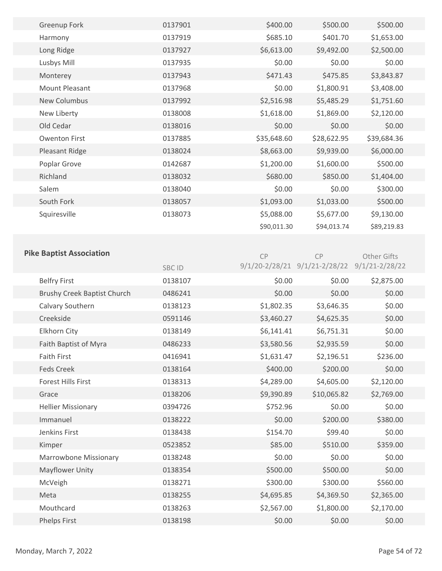| <b>Greenup Fork</b>  | 0137901 | \$400.00    | \$500.00    | \$500.00    |  |
|----------------------|---------|-------------|-------------|-------------|--|
| Harmony              | 0137919 | \$685.10    | \$401.70    | \$1,653.00  |  |
| Long Ridge           | 0137927 | \$6,613.00  | \$9,492.00  | \$2,500.00  |  |
| Lusbys Mill          | 0137935 | \$0.00      | \$0.00      | \$0.00      |  |
| Monterey             | 0137943 | \$471.43    | \$475.85    | \$3,843.87  |  |
| Mount Pleasant       | 0137968 | \$0.00      | \$1,800.91  | \$3,408.00  |  |
| <b>New Columbus</b>  | 0137992 | \$2,516.98  | \$5,485.29  | \$1,751.60  |  |
| New Liberty          | 0138008 | \$1,618.00  | \$1,869.00  | \$2,120.00  |  |
| Old Cedar            | 0138016 | \$0.00      | \$0.00      | \$0.00      |  |
| <b>Owenton First</b> | 0137885 | \$35,648.60 | \$28,622.95 | \$39,684.36 |  |
| Pleasant Ridge       | 0138024 | \$8,663.00  | \$9,939.00  | \$6,000.00  |  |
| Poplar Grove         | 0142687 | \$1,200.00  | \$1,600.00  | \$500.00    |  |
| Richland             | 0138032 | \$680.00    | \$850.00    | \$1,404.00  |  |
| Salem                | 0138040 | \$0.00      | \$0.00      | \$300.00    |  |
| South Fork           | 0138057 | \$1,093.00  | \$1,033.00  | \$500.00    |  |
| Squiresville         | 0138073 | \$5,088.00  | \$5,677.00  | \$9,130.00  |  |
|                      |         | \$90,011.30 | \$94,013.74 | \$89,219.83 |  |
|                      |         |             |             |             |  |

CP

# **Pike Baptist Association**

CP Other Gifts

|                                    | SBC ID  |            | 9/1/20-2/28/21 9/1/21-2/28/22 9/1/21-2/28/22 |            |
|------------------------------------|---------|------------|----------------------------------------------|------------|
| <b>Belfry First</b>                | 0138107 | \$0.00     | \$0.00                                       | \$2,875.00 |
| <b>Brushy Creek Baptist Church</b> | 0486241 | \$0.00     | \$0.00                                       | \$0.00     |
| Calvary Southern                   | 0138123 | \$1,802.35 | \$3,646.35                                   | \$0.00     |
| Creekside                          | 0591146 | \$3,460.27 | \$4,625.35                                   | \$0.00     |
| Elkhorn City                       | 0138149 | \$6,141.41 | \$6,751.31                                   | \$0.00     |
| Faith Baptist of Myra              | 0486233 | \$3,580.56 | \$2,935.59                                   | \$0.00     |
| <b>Faith First</b>                 | 0416941 | \$1,631.47 | \$2,196.51                                   | \$236.00   |
| <b>Feds Creek</b>                  | 0138164 | \$400.00   | \$200.00                                     | \$0.00     |
| <b>Forest Hills First</b>          | 0138313 | \$4,289.00 | \$4,605.00                                   | \$2,120.00 |
| Grace                              | 0138206 | \$9,390.89 | \$10,065.82                                  | \$2,769.00 |
| <b>Hellier Missionary</b>          | 0394726 | \$752.96   | \$0.00                                       | \$0.00     |
| Immanuel                           | 0138222 | \$0.00     | \$200.00                                     | \$380.00   |
| Jenkins First                      | 0138438 | \$154.70   | \$99.40                                      | \$0.00     |
| Kimper                             | 0523852 | \$85.00    | \$510.00                                     | \$359.00   |
| Marrowbone Missionary              | 0138248 | \$0.00     | \$0.00                                       | \$0.00     |
| <b>Mayflower Unity</b>             | 0138354 | \$500.00   | \$500.00                                     | \$0.00     |
| McVeigh                            | 0138271 | \$300.00   | \$300.00                                     | \$560.00   |
| Meta                               | 0138255 | \$4,695.85 | \$4,369.50                                   | \$2,365.00 |
| Mouthcard                          | 0138263 | \$2,567.00 | \$1,800.00                                   | \$2,170.00 |
| Phelps First                       | 0138198 | \$0.00     | \$0.00                                       | \$0.00     |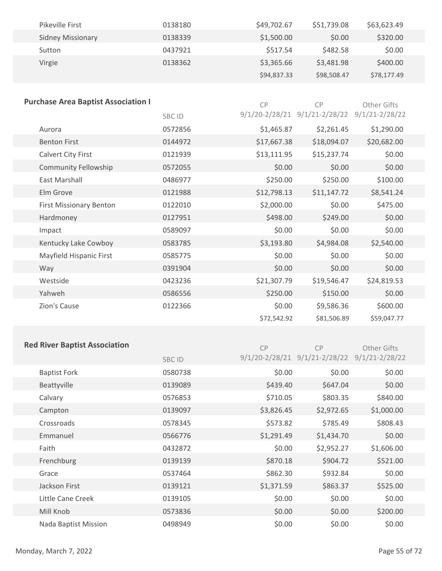| Pikeville First          | 0138180 | \$49,702.67 | \$51,739.08 | \$63,623.49 |
|--------------------------|---------|-------------|-------------|-------------|
| <b>Sidney Missionary</b> | 0138339 | \$1,500.00  | \$0.00      | \$320.00    |
| Sutton                   | 0437921 | \$517.54    | \$482.58    | \$0.00      |
| Virgie                   | 0138362 | \$3,365.66  | \$3,481.98  | \$400.00    |
|                          |         | \$94,837.33 | \$98,508.47 | \$78,177.49 |

| <b>Purchase Area Baptist Association I</b> |         | CP             | CP                 | Other Gifts        |
|--------------------------------------------|---------|----------------|--------------------|--------------------|
|                                            | SBC ID  | 9/1/20-2/28/21 | $9/1/21 - 2/28/22$ | $9/1/21 - 2/28/22$ |
| Aurora                                     | 0572856 | \$1,465.87     | \$2,261.45         | \$1,290.00         |
| <b>Benton First</b>                        | 0144972 | \$17,667.38    | \$18,094.07        | \$20,682.00        |
| Calvert City First                         | 0121939 | \$13,111.95    | \$15,237.74        | \$0.00             |
| <b>Community Fellowship</b>                | 0572055 | \$0.00         | \$0.00             | \$0.00             |
| <b>East Marshall</b>                       | 0486977 | \$250.00       | \$250.00           | \$100.00           |
| Elm Grove                                  | 0121988 | \$12,798.13    | \$11,147.72        | \$8,541.24         |
| <b>First Missionary Benton</b>             | 0122010 | \$2,000.00     | \$0.00             | \$475.00           |
| Hardmoney                                  | 0127951 | \$498.00       | \$249.00           | \$0.00             |
| Impact                                     | 0589097 | \$0.00         | \$0.00             | \$0.00             |
| Kentucky Lake Cowboy                       | 0583785 | \$3,193.80     | \$4,984.08         | \$2,540.00         |
| Mayfield Hispanic First                    | 0585775 | \$0.00         | \$0.00             | \$0.00             |
| Way                                        | 0391904 | \$0.00         | \$0.00             | \$0.00             |
| Westside                                   | 0423236 | \$21,307.79    | \$19,546.47        | \$24,819.53        |
| Yahweh                                     | 0586556 | \$250.00       | \$150.00           | \$0.00             |
| Zion's Cause                               | 0122366 | \$0.00         | \$9,586.36         | \$600.00           |
|                                            |         | \$72,542.92    | \$81,506.89        | \$59,047.77        |

#### **Red River Baptist Association**

SBC ID CP 9/1/20-2/28/21 9/1/21-2/28/22 9/1/21-2/28/22 CP Other Gifts Baptist Fork 0580738 \$0.00 \$0.00 \$0.00 Beattyville 0139089 \$439.40 \$647.04 \$0.00 Calvary 0576853 \$710.05 \$803.35 \$840.00 Campton 0139097 \$3,826.45 \$2,972.65 \$1,000.00 Crossroads 0578345 \$573.82 \$785.49 \$808.43 Emmanuel 0566776 \$1,291.49 \$1,434.70 \$0.00 Faith 0432872 \$0.00 \$2,952.27 \$1,606.00 Frenchburg 0139139 \$870.18 \$904.72 \$521.00 Grace 0537464 \$862.30 \$932.84 \$0.00 Jackson First 0139121 \$1,371.59 \$863.37 \$525.00 Little Cane Creek 0139105 \$0.00 \$0.00 \$0.00 Mill Knob 0573836 \$0.00 \$0.00 \$200.00 Nada Baptist Mission 0498949 \$0.00 \$0.00 \$0.00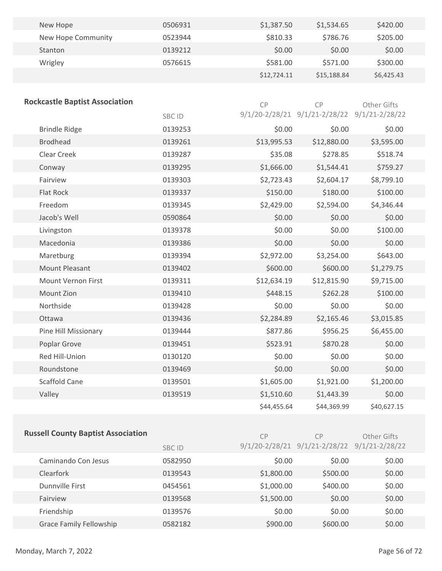| New Hope           | 0506931 | \$1,387.50  | \$1,534.65  | \$420.00   |  |
|--------------------|---------|-------------|-------------|------------|--|
| New Hope Community | 0523944 | \$810.33    | \$786.76    | \$205.00   |  |
| Stanton            | 0139212 | \$0.00      | \$0.00      | \$0.00     |  |
| Wrigley            | 0576615 | \$581.00    | \$571.00    | \$300.00   |  |
|                    |         | \$12,724.11 | \$15,188.84 | \$6,425.43 |  |

| <b>Rockcastle Baptist Association</b> |         | CP          | CP                                           | Other Gifts |
|---------------------------------------|---------|-------------|----------------------------------------------|-------------|
|                                       | SBC ID  |             | 9/1/20-2/28/21 9/1/21-2/28/22 9/1/21-2/28/22 |             |
| <b>Brindle Ridge</b>                  | 0139253 | \$0.00      | \$0.00                                       | \$0.00      |
| <b>Brodhead</b>                       | 0139261 | \$13,995.53 | \$12,880.00                                  | \$3,595.00  |
| Clear Creek                           | 0139287 | \$35.08     | \$278.85                                     | \$518.74    |
| Conway                                | 0139295 | \$1,666.00  | \$1,544.41                                   | \$759.27    |
| Fairview                              | 0139303 | \$2,723.43  | \$2,604.17                                   | \$8,799.10  |
| <b>Flat Rock</b>                      | 0139337 | \$150.00    | \$180.00                                     | \$100.00    |
| Freedom                               | 0139345 | \$2,429.00  | \$2,594.00                                   | \$4,346.44  |
| Jacob's Well                          | 0590864 | \$0.00      | \$0.00                                       | \$0.00      |
| Livingston                            | 0139378 | \$0.00      | \$0.00                                       | \$100.00    |
| Macedonia                             | 0139386 | \$0.00      | \$0.00                                       | \$0.00      |
| Maretburg                             | 0139394 | \$2,972.00  | \$3,254.00                                   | \$643.00    |
| <b>Mount Pleasant</b>                 | 0139402 | \$600.00    | \$600.00                                     | \$1,279.75  |
| <b>Mount Vernon First</b>             | 0139311 | \$12,634.19 | \$12,815.90                                  | \$9,715.00  |
| Mount Zion                            | 0139410 | \$448.15    | \$262.28                                     | \$100.00    |
| Northside                             | 0139428 | \$0.00      | \$0.00                                       | \$0.00      |
| Ottawa                                | 0139436 | \$2,284.89  | \$2,165.46                                   | \$3,015.85  |
| Pine Hill Missionary                  | 0139444 | \$877.86    | \$956.25                                     | \$6,455.00  |
| Poplar Grove                          | 0139451 | \$523.91    | \$870.28                                     | \$0.00      |
| Red Hill-Union                        | 0130120 | \$0.00      | \$0.00                                       | \$0.00      |
| Roundstone                            | 0139469 | \$0.00      | \$0.00                                       | \$0.00      |
| <b>Scaffold Cane</b>                  | 0139501 | \$1,605.00  | \$1,921.00                                   | \$1,200.00  |
| Valley                                | 0139519 | \$1,510.60  | \$1,443.39                                   | \$0.00      |
|                                       |         | \$44,455.64 | \$44,369.99                                  | \$40,627.15 |

| <b>Russell County Baptist Association</b> |               | <b>CP</b>  | CP                                           | Other Gifts |
|-------------------------------------------|---------------|------------|----------------------------------------------|-------------|
|                                           | <b>SBC ID</b> |            | 9/1/20-2/28/21 9/1/21-2/28/22 9/1/21-2/28/22 |             |
| Caminando Con Jesus                       | 0582950       | \$0.00     | \$0.00                                       | \$0.00      |
| <b>Clearfork</b>                          | 0139543       | \$1,800.00 | \$500.00                                     | \$0.00      |
| Dunnville First                           | 0454561       | \$1,000.00 | \$400.00                                     | \$0.00      |
| Fairview                                  | 0139568       | \$1,500.00 | \$0.00                                       | \$0.00      |
| Friendship                                | 0139576       | \$0.00     | \$0.00                                       | \$0.00      |
| <b>Grace Family Fellowship</b>            | 0582182       | \$900.00   | \$600.00                                     | \$0.00      |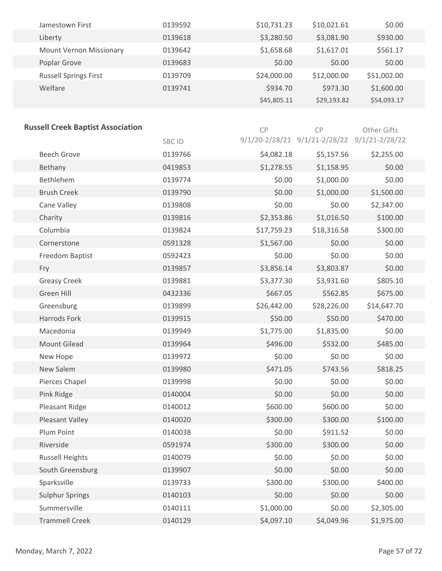| Jamestown First                | 0139592 | \$10,731.23 | \$10,021.61 | \$0.00      |
|--------------------------------|---------|-------------|-------------|-------------|
| Liberty                        | 0139618 | \$3,280.50  | \$3,081.90  | \$930.00    |
| <b>Mount Vernon Missionary</b> | 0139642 | \$1,658.68  | \$1,617.01  | \$561.17    |
| Poplar Grove                   | 0139683 | \$0.00      | \$0.00      | \$0.00      |
| <b>Russell Springs First</b>   | 0139709 | \$24,000.00 | \$12,000.00 | \$51,002.00 |
| Welfare                        | 0139741 | \$934.70    | \$973.30    | \$1,600.00  |
|                                |         | \$45,805.11 | \$29,193.82 | \$54,093.17 |

#### **Russell Creek Baptist Association**

| ussell Creek Dapust Association |         | CP          | <b>CP</b>                                                | <b>Other Gifts</b> |  |
|---------------------------------|---------|-------------|----------------------------------------------------------|--------------------|--|
|                                 | SBC ID  |             | $9/1/20 - 2/28/21$ $9/1/21 - 2/28/22$ $9/1/21 - 2/28/22$ |                    |  |
| <b>Beech Grove</b>              | 0139766 | \$4,082.18  | \$5,157.56                                               | \$2,255.00         |  |
| Bethany                         | 0419853 | \$1,278.55  | \$1,158.95                                               | \$0.00             |  |
| Bethlehem                       | 0139774 | \$0.00      | \$1,000.00                                               | \$0.00             |  |
| <b>Brush Creek</b>              | 0139790 | \$0.00      | \$1,000.00                                               | \$1,500.00         |  |
| Cane Valley                     | 0139808 | \$0.00      | \$0.00                                                   | \$2,347.00         |  |
| Charity                         | 0139816 | \$2,353.86  | \$1,016.50                                               | \$100.00           |  |
| Columbia                        | 0139824 | \$17,759.23 | \$18,316.58                                              | \$300.00           |  |
| Cornerstone                     | 0591328 | \$1,567.00  | \$0.00                                                   | \$0.00             |  |
| Freedom Baptist                 | 0592423 | \$0.00      | \$0.00                                                   | \$0.00             |  |
| Fry                             | 0139857 | \$3,856.14  | \$3,803.87                                               | \$0.00             |  |
| <b>Greasy Creek</b>             | 0139881 | \$3,377.30  | \$3,931.60                                               | \$805.10           |  |
| Green Hill                      | 0432336 | \$667.05    | \$562.85                                                 | \$675.00           |  |
| Greensburg                      | 0139899 | \$26,442.00 | \$28,226.00                                              | \$14,647.70        |  |
| Harrods Fork                    | 0139915 | \$50.00     | \$50.00                                                  | \$470.00           |  |
| Macedonia                       | 0139949 | \$1,775.00  | \$1,835.00                                               | \$0.00             |  |
| <b>Mount Gilead</b>             | 0139964 | \$496.00    | \$532.00                                                 | \$485.00           |  |
| New Hope                        | 0139972 | \$0.00      | \$0.00                                                   | \$0.00             |  |
| New Salem                       | 0139980 | \$471.05    | \$743.56                                                 | \$818.25           |  |
| Pierces Chapel                  | 0139998 | \$0.00      | \$0.00                                                   | \$0.00             |  |
| Pink Ridge                      | 0140004 | \$0.00      | \$0.00                                                   | \$0.00             |  |
| Pleasant Ridge                  | 0140012 | \$600.00    | \$600.00                                                 | \$0.00             |  |
| Pleasant Valley                 | 0140020 | \$300.00    | \$300.00                                                 | \$100.00           |  |
| Plum Point                      | 0140038 | \$0.00      | \$911.52                                                 | \$0.00             |  |
| Riverside                       | 0591974 | \$300.00    | \$300.00                                                 | \$0.00             |  |
| <b>Russell Heights</b>          | 0140079 | \$0.00      | \$0.00                                                   | \$0.00             |  |
| South Greensburg                | 0139907 | \$0.00      | \$0.00                                                   | \$0.00             |  |
| Sparksville                     | 0139733 | \$300.00    | \$300.00                                                 | \$400.00           |  |
| <b>Sulphur Springs</b>          | 0140103 | \$0.00      | \$0.00                                                   | \$0.00             |  |
| Summersville                    | 0140111 | \$1,000.00  | \$0.00                                                   | \$2,305.00         |  |
| <b>Trammell Creek</b>           | 0140129 | \$4,097.10  | \$4,049.96                                               | \$1,975.00         |  |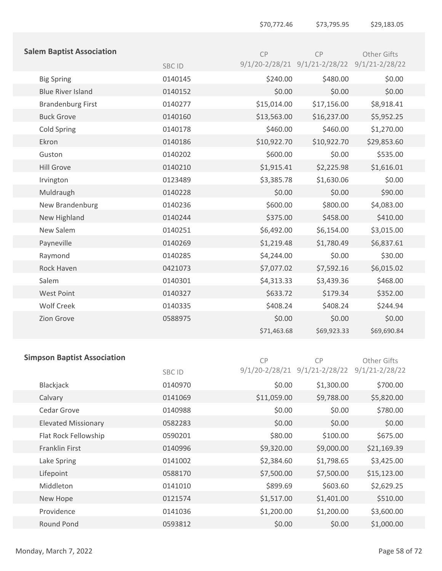| <b>Salem Baptist Association</b> |         | CP                 | CP                 | Other Gifts        |
|----------------------------------|---------|--------------------|--------------------|--------------------|
|                                  | SBC ID  | $9/1/20 - 2/28/21$ | $9/1/21 - 2/28/22$ | $9/1/21 - 2/28/22$ |
| <b>Big Spring</b>                | 0140145 | \$240.00           | \$480.00           | \$0.00             |
| <b>Blue River Island</b>         | 0140152 | \$0.00             | \$0.00             | \$0.00             |
| <b>Brandenburg First</b>         | 0140277 | \$15,014.00        | \$17,156.00        | \$8,918.41         |
| <b>Buck Grove</b>                | 0140160 | \$13,563.00        | \$16,237.00        | \$5,952.25         |
| <b>Cold Spring</b>               | 0140178 | \$460.00           | \$460.00           | \$1,270.00         |
| Ekron                            | 0140186 | \$10,922.70        | \$10,922.70        | \$29,853.60        |
| Guston                           | 0140202 | \$600.00           | \$0.00             | \$535.00           |
| <b>Hill Grove</b>                | 0140210 | \$1,915.41         | \$2,225.98         | \$1,616.01         |
| Irvington                        | 0123489 | \$3,385.78         | \$1,630.06         | \$0.00             |
| Muldraugh                        | 0140228 | \$0.00             | \$0.00             | \$90.00            |
| New Brandenburg                  | 0140236 | \$600.00           | \$800.00           | \$4,083.00         |
| New Highland                     | 0140244 | \$375.00           | \$458.00           | \$410.00           |
| New Salem                        | 0140251 | \$6,492.00         | \$6,154.00         | \$3,015.00         |
| Payneville                       | 0140269 | \$1,219.48         | \$1,780.49         | \$6,837.61         |
| Raymond                          | 0140285 | \$4,244.00         | \$0.00             | \$30.00            |
| Rock Haven                       | 0421073 | \$7,077.02         | \$7,592.16         | \$6,015.02         |
| Salem                            | 0140301 | \$4,313.33         | \$3,439.36         | \$468.00           |
| West Point                       | 0140327 | \$633.72           | \$179.34           | \$352.00           |
| <b>Wolf Creek</b>                | 0140335 | \$408.24           | \$408.24           | \$244.94           |
| Zion Grove                       | 0588975 | \$0.00             | \$0.00             | \$0.00             |
|                                  |         | \$71,463.68        | \$69,923.33        | \$69,690.84        |

## **Simp**

| <b>oson Baptist Association</b> |         | <b>CP</b>          | <b>CP</b>          | Other Gifts        |  |
|---------------------------------|---------|--------------------|--------------------|--------------------|--|
|                                 | SBC ID  | $9/1/20 - 2/28/21$ | $9/1/21 - 2/28/22$ | $9/1/21 - 2/28/22$ |  |
| Blackjack                       | 0140970 | \$0.00             | \$1,300.00         | \$700.00           |  |
| Calvary                         | 0141069 | \$11,059.00        | \$9,788.00         | \$5,820.00         |  |
| Cedar Grove                     | 0140988 | \$0.00             | \$0.00             | \$780.00           |  |
| <b>Elevated Missionary</b>      | 0582283 | \$0.00             | \$0.00             | \$0.00             |  |
| Flat Rock Fellowship            | 0590201 | \$80.00            | \$100.00           | \$675.00           |  |
| Franklin First                  | 0140996 | \$9,320.00         | \$9,000.00         | \$21,169.39        |  |
| Lake Spring                     | 0141002 | \$2,384.60         | \$1,798.65         | \$3,425.00         |  |
| Lifepoint                       | 0588170 | \$7,500.00         | \$7,500.00         | \$15,123.00        |  |
| Middleton                       | 0141010 | \$899.69           | \$603.60           | \$2,629.25         |  |
| New Hope                        | 0121574 | \$1,517.00         | \$1,401.00         | \$510.00           |  |
| Providence                      | 0141036 | \$1,200.00         | \$1,200.00         | \$3,600.00         |  |
| <b>Round Pond</b>               | 0593812 | \$0.00             | \$0.00             | \$1,000.00         |  |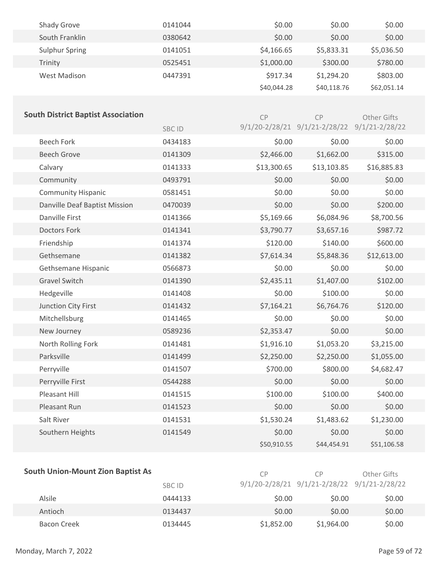| <b>Shady Grove</b> | 0141044 | \$0.00      | \$0.00      | \$0.00      |
|--------------------|---------|-------------|-------------|-------------|
| South Franklin     | 0380642 | \$0.00      | \$0.00      | \$0.00      |
| Sulphur Spring     | 0141051 | \$4,166.65  | \$5,833.31  | \$5,036.50  |
| Trinity            | 0525451 | \$1,000.00  | \$300.00    | \$780.00    |
| West Madison       | 0447391 | \$917.34    | \$1,294.20  | \$803.00    |
|                    |         | \$40,044.28 | \$40,118.76 | \$62,051.14 |
|                    |         |             |             |             |

| <b>South District Baptist Association</b> |              | CP          | <b>CP</b>                     | Other Gifts        |
|-------------------------------------------|--------------|-------------|-------------------------------|--------------------|
|                                           | <b>SBCID</b> |             | 9/1/20-2/28/21 9/1/21-2/28/22 | $9/1/21 - 2/28/22$ |
| <b>Beech Fork</b>                         | 0434183      | \$0.00      | \$0.00                        | \$0.00             |
| <b>Beech Grove</b>                        | 0141309      | \$2,466.00  | \$1,662.00                    | \$315.00           |
| Calvary                                   | 0141333      | \$13,300.65 | \$13,103.85                   | \$16,885.83        |
| Community                                 | 0493791      | \$0.00      | \$0.00                        | \$0.00             |
| <b>Community Hispanic</b>                 | 0581451      | \$0.00      | \$0.00                        | \$0.00             |
| Danville Deaf Baptist Mission             | 0470039      | \$0.00      | \$0.00                        | \$200.00           |
| Danville First                            | 0141366      | \$5,169.66  | \$6,084.96                    | \$8,700.56         |
| <b>Doctors Fork</b>                       | 0141341      | \$3,790.77  | \$3,657.16                    | \$987.72           |
| Friendship                                | 0141374      | \$120.00    | \$140.00                      | \$600.00           |
| Gethsemane                                | 0141382      | \$7,614.34  | \$5,848.36                    | \$12,613.00        |
| Gethsemane Hispanic                       | 0566873      | \$0.00      | \$0.00                        | \$0.00             |
| <b>Gravel Switch</b>                      | 0141390      | \$2,435.11  | \$1,407.00                    | \$102.00           |
| Hedgeville                                | 0141408      | \$0.00      | \$100.00                      | \$0.00             |
| Junction City First                       | 0141432      | \$7,164.21  | \$6,764.76                    | \$120.00           |
| Mitchellsburg                             | 0141465      | \$0.00      | \$0.00                        | \$0.00             |
| New Journey                               | 0589236      | \$2,353.47  | \$0.00                        | \$0.00             |
| North Rolling Fork                        | 0141481      | \$1,916.10  | \$1,053.20                    | \$3,215.00         |
| Parksville                                | 0141499      | \$2,250.00  | \$2,250.00                    | \$1,055.00         |
| Perryville                                | 0141507      | \$700.00    | \$800.00                      | \$4,682.47         |
| Perryville First                          | 0544288      | \$0.00      | \$0.00                        | \$0.00             |
| Pleasant Hill                             | 0141515      | \$100.00    | \$100.00                      | \$400.00           |
| Pleasant Run                              | 0141523      | \$0.00      | \$0.00                        | \$0.00             |
| Salt River                                | 0141531      | \$1,530.24  | \$1,483.62                    | \$1,230.00         |
| Southern Heights                          | 0141549      | \$0.00      | \$0.00                        | \$0.00             |
|                                           |              | \$50,910.55 | \$44,454.91                   | \$51,106.58        |

| <b>South Union-Mount Zion Baptist As</b> | СP      | CP.        | Other Gifts                                  |        |
|------------------------------------------|---------|------------|----------------------------------------------|--------|
|                                          | SBC ID  |            | 9/1/20-2/28/21 9/1/21-2/28/22 9/1/21-2/28/22 |        |
| Alsile                                   | 0444133 | \$0.00     | \$0.00                                       | \$0.00 |
| Antioch                                  | 0134437 | \$0.00     | \$0.00                                       | \$0.00 |
| Bacon Creek                              | 0134445 | \$1,852.00 | \$1,964.00                                   | \$0.00 |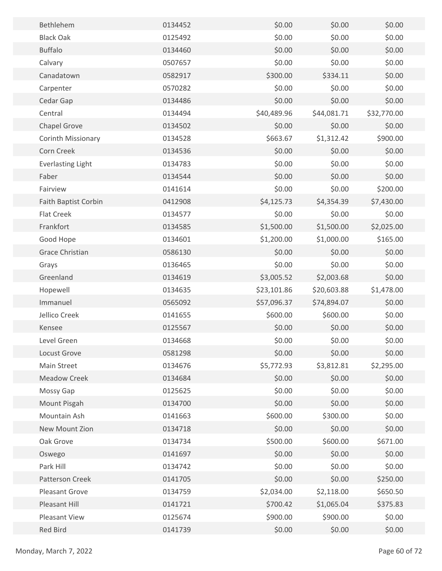| Bethlehem                   | 0134452 | \$0.00      | \$0.00      | \$0.00      |  |
|-----------------------------|---------|-------------|-------------|-------------|--|
| <b>Black Oak</b>            | 0125492 | \$0.00      | \$0.00      | \$0.00      |  |
| <b>Buffalo</b>              | 0134460 | \$0.00      | \$0.00      | \$0.00      |  |
| Calvary                     | 0507657 | \$0.00      | \$0.00      | \$0.00      |  |
| Canadatown                  | 0582917 | \$300.00    | \$334.11    | \$0.00      |  |
| Carpenter                   | 0570282 | \$0.00      | \$0.00      | \$0.00      |  |
| Cedar Gap                   | 0134486 | \$0.00      | \$0.00      | \$0.00      |  |
| Central                     | 0134494 | \$40,489.96 | \$44,081.71 | \$32,770.00 |  |
| Chapel Grove                | 0134502 | \$0.00      | \$0.00      | \$0.00      |  |
| Corinth Missionary          | 0134528 | \$663.67    | \$1,312.42  | \$900.00    |  |
| Corn Creek                  | 0134536 | \$0.00      | \$0.00      | \$0.00      |  |
| <b>Everlasting Light</b>    | 0134783 | \$0.00      | \$0.00      | \$0.00      |  |
| Faber                       | 0134544 | \$0.00      | \$0.00      | \$0.00      |  |
| Fairview                    | 0141614 | \$0.00      | \$0.00      | \$200.00    |  |
| <b>Faith Baptist Corbin</b> | 0412908 | \$4,125.73  | \$4,354.39  | \$7,430.00  |  |
| <b>Flat Creek</b>           | 0134577 | \$0.00      | \$0.00      | \$0.00      |  |
| Frankfort                   | 0134585 | \$1,500.00  | \$1,500.00  | \$2,025.00  |  |
| Good Hope                   | 0134601 | \$1,200.00  | \$1,000.00  | \$165.00    |  |
| <b>Grace Christian</b>      | 0586130 | \$0.00      | \$0.00      | \$0.00      |  |
| Grays                       | 0136465 | \$0.00      | \$0.00      | \$0.00      |  |
| Greenland                   | 0134619 | \$3,005.52  | \$2,003.68  | \$0.00      |  |
| Hopewell                    | 0134635 | \$23,101.86 | \$20,603.88 | \$1,478.00  |  |
| Immanuel                    | 0565092 | \$57,096.37 | \$74,894.07 | \$0.00      |  |
| Jellico Creek               | 0141655 | \$600.00    | \$600.00    | \$0.00      |  |
| Kensee                      | 0125567 | \$0.00      | \$0.00      | \$0.00      |  |
| Level Green                 | 0134668 | \$0.00      | \$0.00      | \$0.00      |  |
| Locust Grove                | 0581298 | \$0.00      | \$0.00      | \$0.00      |  |
| Main Street                 | 0134676 | \$5,772.93  | \$3,812.81  | \$2,295.00  |  |
| <b>Meadow Creek</b>         | 0134684 | \$0.00      | \$0.00      | \$0.00      |  |
| Mossy Gap                   | 0125625 | \$0.00      | \$0.00      | \$0.00      |  |
| Mount Pisgah                | 0134700 | \$0.00      | \$0.00      | \$0.00      |  |
| Mountain Ash                | 0141663 | \$600.00    | \$300.00    | \$0.00      |  |
| New Mount Zion              | 0134718 | \$0.00      | \$0.00      | \$0.00      |  |
| Oak Grove                   | 0134734 | \$500.00    | \$600.00    | \$671.00    |  |
| Oswego                      | 0141697 | \$0.00      | \$0.00      | \$0.00      |  |
| Park Hill                   | 0134742 | \$0.00      | \$0.00      | \$0.00      |  |
| Patterson Creek             | 0141705 | \$0.00      | \$0.00      | \$250.00    |  |
| <b>Pleasant Grove</b>       | 0134759 | \$2,034.00  | \$2,118.00  | \$650.50    |  |
| Pleasant Hill               | 0141721 | \$700.42    | \$1,065.04  | \$375.83    |  |
| Pleasant View               | 0125674 | \$900.00    | \$900.00    | \$0.00      |  |
| Red Bird                    | 0141739 | \$0.00      | \$0.00      | \$0.00      |  |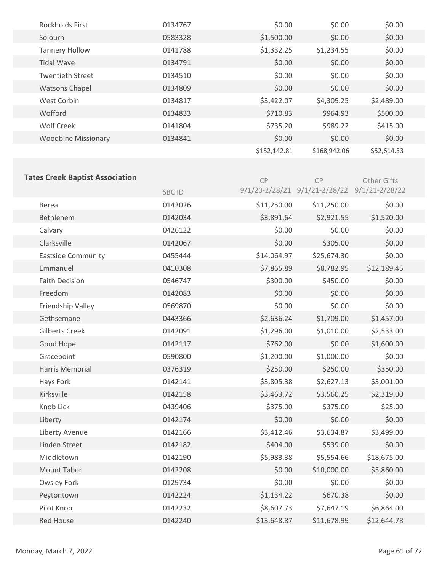| <b>Rockholds First</b>     | 0134767 | \$0.00       | \$0.00       | \$0.00      |
|----------------------------|---------|--------------|--------------|-------------|
| Sojourn                    | 0583328 | \$1,500.00   | \$0.00       | \$0.00      |
| <b>Tannery Hollow</b>      | 0141788 | \$1,332.25   | \$1,234.55   | \$0.00      |
| <b>Tidal Wave</b>          | 0134791 | \$0.00       | \$0.00       | \$0.00      |
| <b>Twentieth Street</b>    | 0134510 | \$0.00       | \$0.00       | \$0.00      |
| <b>Watsons Chapel</b>      | 0134809 | \$0.00       | \$0.00       | \$0.00      |
| West Corbin                | 0134817 | \$3,422.07   | \$4,309.25   | \$2,489.00  |
| Wofford                    | 0134833 | \$710.83     | \$964.93     | \$500.00    |
| <b>Wolf Creek</b>          | 0141804 | \$735.20     | \$989.22     | \$415.00    |
| <b>Woodbine Missionary</b> | 0134841 | \$0.00       | \$0.00       | \$0.00      |
|                            |         | \$152,142.81 | \$168,942.06 | \$52,614.33 |

# **Tates Creek Baptist Association**

| Tales Creek Dapust Association | <b>SBCID</b> | CP          | CP<br>9/1/20-2/28/21 9/1/21-2/28/22 9/1/21-2/28/22 | <b>Other Gifts</b> |
|--------------------------------|--------------|-------------|----------------------------------------------------|--------------------|
| Berea                          | 0142026      | \$11,250.00 | \$11,250.00                                        | \$0.00             |
| Bethlehem                      | 0142034      | \$3,891.64  | \$2,921.55                                         | \$1,520.00         |
| Calvary                        | 0426122      | \$0.00      | \$0.00                                             | \$0.00             |
| Clarksville                    | 0142067      | \$0.00      | \$305.00                                           | \$0.00             |
| <b>Eastside Community</b>      | 0455444      | \$14,064.97 | \$25,674.30                                        | \$0.00             |
| Emmanuel                       | 0410308      | \$7,865.89  | \$8,782.95                                         | \$12,189.45        |
| <b>Faith Decision</b>          | 0546747      | \$300.00    | \$450.00                                           | \$0.00             |
| Freedom                        | 0142083      | \$0.00      | \$0.00                                             | \$0.00             |
| Friendship Valley              | 0569870      | \$0.00      | \$0.00                                             | \$0.00             |
| Gethsemane                     | 0443366      | \$2,636.24  | \$1,709.00                                         | \$1,457.00         |
| <b>Gilberts Creek</b>          | 0142091      | \$1,296.00  | \$1,010.00                                         | \$2,533.00         |
| Good Hope                      | 0142117      | \$762.00    | \$0.00                                             | \$1,600.00         |
| Gracepoint                     | 0590800      | \$1,200.00  | \$1,000.00                                         | \$0.00             |
| Harris Memorial                | 0376319      | \$250.00    | \$250.00                                           | \$350.00           |
| Hays Fork                      | 0142141      | \$3,805.38  | \$2,627.13                                         | \$3,001.00         |
| Kirksville                     | 0142158      | \$3,463.72  | \$3,560.25                                         | \$2,319.00         |
| Knob Lick                      | 0439406      | \$375.00    | \$375.00                                           | \$25.00            |
| Liberty                        | 0142174      | \$0.00      | \$0.00                                             | \$0.00             |
| Liberty Avenue                 | 0142166      | \$3,412.46  | \$3,634.87                                         | \$3,499.00         |
| Linden Street                  | 0142182      | \$404.00    | \$539.00                                           | \$0.00             |
| Middletown                     | 0142190      | \$5,983.38  | \$5,554.66                                         | \$18,675.00        |
| <b>Mount Tabor</b>             | 0142208      | \$0.00      | \$10,000.00                                        | \$5,860.00         |
| <b>Owsley Fork</b>             | 0129734      | \$0.00      | \$0.00                                             | \$0.00             |
| Peytontown                     | 0142224      | \$1,134.22  | \$670.38                                           | \$0.00             |
| Pilot Knob                     | 0142232      | \$8,607.73  | \$7,647.19                                         | \$6,864.00         |
| <b>Red House</b>               | 0142240      | \$13,648.87 | \$11,678.99                                        | \$12,644.78        |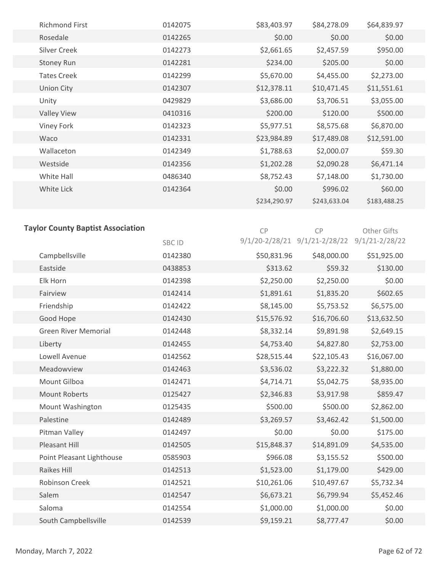| <b>Richmond First</b> | 0142075 | \$83,403.97  | \$84,278.09  | \$64,839.97  |
|-----------------------|---------|--------------|--------------|--------------|
| Rosedale              | 0142265 | \$0.00       | \$0.00       | \$0.00       |
| <b>Silver Creek</b>   | 0142273 | \$2,661.65   | \$2,457.59   | \$950.00     |
| <b>Stoney Run</b>     | 0142281 | \$234.00     | \$205.00     | \$0.00       |
| <b>Tates Creek</b>    | 0142299 | \$5,670.00   | \$4,455.00   | \$2,273.00   |
| <b>Union City</b>     | 0142307 | \$12,378.11  | \$10,471.45  | \$11,551.61  |
| Unity                 | 0429829 | \$3,686.00   | \$3,706.51   | \$3,055.00   |
| <b>Valley View</b>    | 0410316 | \$200.00     | \$120.00     | \$500.00     |
| Viney Fork            | 0142323 | \$5,977.51   | \$8,575.68   | \$6,870.00   |
| Waco                  | 0142331 | \$23,984.89  | \$17,489.08  | \$12,591.00  |
| Wallaceton            | 0142349 | \$1,788.63   | \$2,000.07   | \$59.30      |
| Westside              | 0142356 | \$1,202.28   | \$2,090.28   | \$6,471.14   |
| White Hall            | 0486340 | \$8,752.43   | \$7,148.00   | \$1,730.00   |
| White Lick            | 0142364 | \$0.00       | \$996.02     | \$60.00      |
|                       |         | \$234,290.97 | \$243,633.04 | \$183,488.25 |
|                       |         |              |              |              |

| <b>Taylor County Baptist Association</b> | CP      | <b>CP</b>   | Other Gifts                                  |             |  |
|------------------------------------------|---------|-------------|----------------------------------------------|-------------|--|
|                                          | SBC ID  |             | 9/1/20-2/28/21 9/1/21-2/28/22 9/1/21-2/28/22 |             |  |
| Campbellsville                           | 0142380 | \$50,831.96 | \$48,000.00                                  | \$51,925.00 |  |
| Eastside                                 | 0438853 | \$313.62    | \$59.32                                      | \$130.00    |  |
| Elk Horn                                 | 0142398 | \$2,250.00  | \$2,250.00                                   | \$0.00      |  |
| Fairview                                 | 0142414 | \$1,891.61  | \$1,835.20                                   | \$602.65    |  |
| Friendship                               | 0142422 | \$8,145.00  | \$5,753.52                                   | \$6,575.00  |  |
| Good Hope                                | 0142430 | \$15,576.92 | \$16,706.60                                  | \$13,632.50 |  |
| <b>Green River Memorial</b>              | 0142448 | \$8,332.14  | \$9,891.98                                   | \$2,649.15  |  |
| Liberty                                  | 0142455 | \$4,753.40  | \$4,827.80                                   | \$2,753.00  |  |
| Lowell Avenue                            | 0142562 | \$28,515.44 | \$22,105.43                                  | \$16,067.00 |  |
| Meadowview                               | 0142463 | \$3,536.02  | \$3,222.32                                   | \$1,880.00  |  |
| Mount Gilboa                             | 0142471 | \$4,714.71  | \$5,042.75                                   | \$8,935.00  |  |
| <b>Mount Roberts</b>                     | 0125427 | \$2,346.83  | \$3,917.98                                   | \$859.47    |  |
| Mount Washington                         | 0125435 | \$500.00    | \$500.00                                     | \$2,862.00  |  |
| Palestine                                | 0142489 | \$3,269.57  | \$3,462.42                                   | \$1,500.00  |  |
| Pitman Valley                            | 0142497 | \$0.00      | \$0.00                                       | \$175.00    |  |
| Pleasant Hill                            | 0142505 | \$15,848.37 | \$14,891.09                                  | \$4,535.00  |  |
| Point Pleasant Lighthouse                | 0585903 | \$966.08    | \$3,155.52                                   | \$500.00    |  |
| Raikes Hill                              | 0142513 | \$1,523.00  | \$1,179.00                                   | \$429.00    |  |
| <b>Robinson Creek</b>                    | 0142521 | \$10,261.06 | \$10,497.67                                  | \$5,732.34  |  |
| Salem                                    | 0142547 | \$6,673.21  | \$6,799.94                                   | \$5,452.46  |  |
| Saloma                                   | 0142554 | \$1,000.00  | \$1,000.00                                   | \$0.00      |  |
| South Campbellsville                     | 0142539 | \$9,159.21  | \$8,777.47                                   | \$0.00      |  |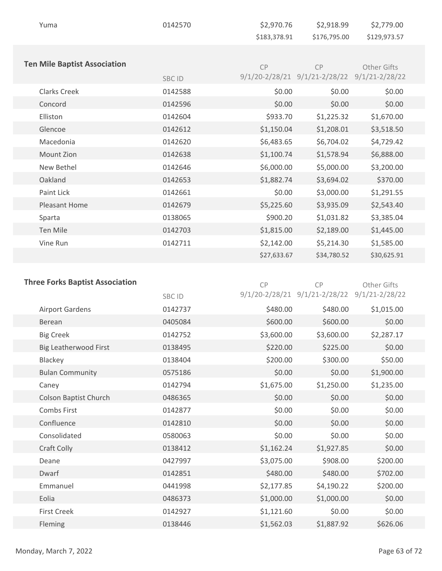| Yuma                                | 0142570      | \$2,970.76   | \$2,918.99                                   | \$2,779.00   |  |
|-------------------------------------|--------------|--------------|----------------------------------------------|--------------|--|
|                                     |              | \$183,378.91 | \$176,795.00                                 | \$129,973.57 |  |
|                                     |              |              |                                              |              |  |
| <b>Ten Mile Baptist Association</b> |              | CP           | CP                                           | Other Gifts  |  |
|                                     | <b>SBCID</b> |              | 9/1/20-2/28/21 9/1/21-2/28/22 9/1/21-2/28/22 |              |  |
| <b>Clarks Creek</b>                 | 0142588      | \$0.00       | \$0.00                                       | \$0.00       |  |
| Concord                             | 0142596      | \$0.00       | \$0.00                                       | \$0.00       |  |
| Elliston                            | 0142604      | \$933.70     | \$1,225.32                                   | \$1,670.00   |  |
| Glencoe                             | 0142612      | \$1,150.04   | \$1,208.01                                   | \$3,518.50   |  |
| Macedonia                           | 0142620      | \$6,483.65   | \$6,704.02                                   | \$4,729.42   |  |
| Mount Zion                          | 0142638      | \$1,100.74   | \$1,578.94                                   | \$6,888.00   |  |
| New Bethel                          | 0142646      | \$6,000.00   | \$5,000.00                                   | \$3,200.00   |  |
| Oakland                             | 0142653      | \$1,882.74   | \$3,694.02                                   | \$370.00     |  |
| Paint Lick                          | 0142661      | \$0.00       | \$3,000.00                                   | \$1,291.55   |  |
| Pleasant Home                       | 0142679      | \$5,225.60   | \$3,935.09                                   | \$2,543.40   |  |
| Sparta                              | 0138065      | \$900.20     | \$1,031.82                                   | \$3,385.04   |  |
| Ten Mile                            | 0142703      | \$1,815.00   | \$2,189.00                                   | \$1,445.00   |  |
| Vine Run                            | 0142711      | \$2,142.00   | \$5,214.30                                   | \$1,585.00   |  |
|                                     |              | \$27,633.67  | \$34,780.52                                  | \$30,625.91  |  |
|                                     |              |              |                                              |              |  |

| <b>Three Forks Baptist Association</b> | CP           | <b>CP</b>  | Other Gifts                                  |            |
|----------------------------------------|--------------|------------|----------------------------------------------|------------|
|                                        | <b>SBCID</b> |            | 9/1/20-2/28/21 9/1/21-2/28/22 9/1/21-2/28/22 |            |
| <b>Airport Gardens</b>                 | 0142737      | \$480.00   | \$480.00                                     | \$1,015.00 |
| <b>Berean</b>                          | 0405084      | \$600.00   | \$600.00                                     | \$0.00     |
| <b>Big Creek</b>                       | 0142752      | \$3,600.00 | \$3,600.00                                   | \$2,287.17 |
| Big Leatherwood First                  | 0138495      | \$220.00   | \$225.00                                     | \$0.00     |
| Blackey                                | 0138404      | \$200.00   | \$300.00                                     | \$50.00    |
| <b>Bulan Community</b>                 | 0575186      | \$0.00     | \$0.00                                       | \$1,900.00 |
| Caney                                  | 0142794      | \$1,675.00 | \$1,250.00                                   | \$1,235.00 |
| <b>Colson Baptist Church</b>           | 0486365      | \$0.00     | \$0.00                                       | \$0.00     |
| Combs First                            | 0142877      | \$0.00     | \$0.00                                       | \$0.00     |
| Confluence                             | 0142810      | \$0.00     | \$0.00                                       | \$0.00     |
| Consolidated                           | 0580063      | \$0.00     | \$0.00                                       | \$0.00     |
| <b>Craft Colly</b>                     | 0138412      | \$1,162.24 | \$1,927.85                                   | \$0.00     |
| Deane                                  | 0427997      | \$3,075.00 | \$908.00                                     | \$200.00   |
| Dwarf                                  | 0142851      | \$480.00   | \$480.00                                     | \$702.00   |
| Emmanuel                               | 0441998      | \$2,177.85 | \$4,190.22                                   | \$200.00   |
| Eolia                                  | 0486373      | \$1,000.00 | \$1,000.00                                   | \$0.00     |
| <b>First Creek</b>                     | 0142927      | \$1,121.60 | \$0.00                                       | \$0.00     |
| Fleming                                | 0138446      | \$1,562.03 | \$1,887.92                                   | \$626.06   |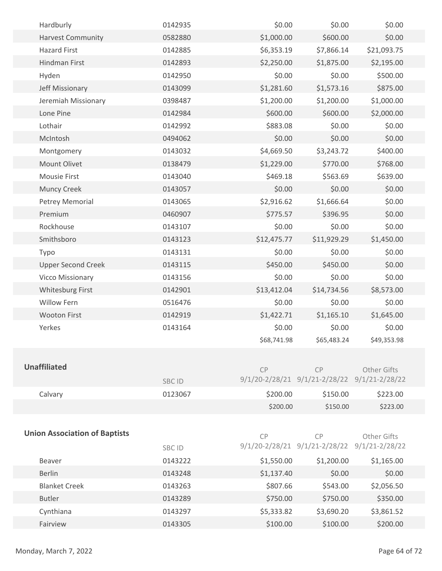| Hardburly                            | 0142935 | \$0.00      | \$0.00                                             | \$0.00      |  |
|--------------------------------------|---------|-------------|----------------------------------------------------|-------------|--|
| <b>Harvest Community</b>             | 0582880 | \$1,000.00  | \$600.00                                           | \$0.00      |  |
| <b>Hazard First</b>                  | 0142885 | \$6,353.19  | \$7,866.14                                         | \$21,093.75 |  |
| Hindman First                        | 0142893 | \$2,250.00  | \$1,875.00                                         | \$2,195.00  |  |
| Hyden                                | 0142950 | \$0.00      | \$0.00                                             | \$500.00    |  |
| Jeff Missionary                      | 0143099 | \$1,281.60  | \$1,573.16                                         | \$875.00    |  |
| Jeremiah Missionary                  | 0398487 | \$1,200.00  | \$1,200.00                                         | \$1,000.00  |  |
| Lone Pine                            | 0142984 | \$600.00    | \$600.00                                           | \$2,000.00  |  |
| Lothair                              | 0142992 | \$883.08    | \$0.00                                             | \$0.00      |  |
| McIntosh                             | 0494062 | \$0.00      | \$0.00                                             | \$0.00      |  |
| Montgomery                           | 0143032 | \$4,669.50  | \$3,243.72                                         | \$400.00    |  |
| Mount Olivet                         | 0138479 | \$1,229.00  | \$770.00                                           | \$768.00    |  |
| <b>Mousie First</b>                  | 0143040 | \$469.18    | \$563.69                                           | \$639.00    |  |
| <b>Muncy Creek</b>                   | 0143057 | \$0.00      | \$0.00                                             | \$0.00      |  |
| Petrey Memorial                      | 0143065 | \$2,916.62  | \$1,666.64                                         | \$0.00      |  |
| Premium                              | 0460907 | \$775.57    | \$396.95                                           | \$0.00      |  |
| Rockhouse                            | 0143107 | \$0.00      | \$0.00                                             | \$0.00      |  |
| Smithsboro                           | 0143123 | \$12,475.77 | \$11,929.29                                        | \$1,450.00  |  |
| Typo                                 | 0143131 | \$0.00      | \$0.00                                             | \$0.00      |  |
| <b>Upper Second Creek</b>            | 0143115 | \$450.00    | \$450.00                                           | \$0.00      |  |
| <b>Vicco Missionary</b>              | 0143156 | \$0.00      | \$0.00                                             | \$0.00      |  |
| <b>Whitesburg First</b>              | 0142901 | \$13,412.04 | \$14,734.56                                        | \$8,573.00  |  |
| <b>Willow Fern</b>                   | 0516476 | \$0.00      | \$0.00                                             | \$0.00      |  |
| <b>Wooton First</b>                  | 0142919 | \$1,422.71  | \$1,165.10                                         | \$1,645.00  |  |
| Yerkes                               | 0143164 | \$0.00      | \$0.00                                             | \$0.00      |  |
|                                      |         | \$68,741.98 | \$65,483.24                                        | \$49,353.98 |  |
|                                      |         |             |                                                    |             |  |
| <b>Unaffiliated</b>                  |         | CP          | CP                                                 | Other Gifts |  |
|                                      | SBC ID  |             | 9/1/20-2/28/21 9/1/21-2/28/22 9/1/21-2/28/22       |             |  |
| Calvary                              | 0123067 | \$200.00    | \$150.00                                           | \$223.00    |  |
|                                      |         | \$200.00    | \$150.00                                           | \$223.00    |  |
|                                      |         |             |                                                    |             |  |
| <b>Union Association of Baptists</b> |         |             |                                                    |             |  |
|                                      |         | CP          | CP<br>9/1/20-2/28/21 9/1/21-2/28/22 9/1/21-2/28/22 | Other Gifts |  |
|                                      | SBC ID  |             |                                                    |             |  |
| Beaver                               | 0143222 | \$1,550.00  | \$1,200.00                                         | \$1,165.00  |  |
| <b>Berlin</b>                        | 0143248 | \$1,137.40  | \$0.00                                             | \$0.00      |  |
| <b>Blanket Creek</b>                 | 0143263 | \$807.66    | \$543.00                                           | \$2,056.50  |  |
| <b>Butler</b>                        | 0143289 | \$750.00    | \$750.00                                           | \$350.00    |  |
| Cynthiana                            | 0143297 | \$5,333.82  | \$3,690.20                                         | \$3,861.52  |  |
| Fairview                             | 0143305 | \$100.00    | \$100.00                                           | \$200.00    |  |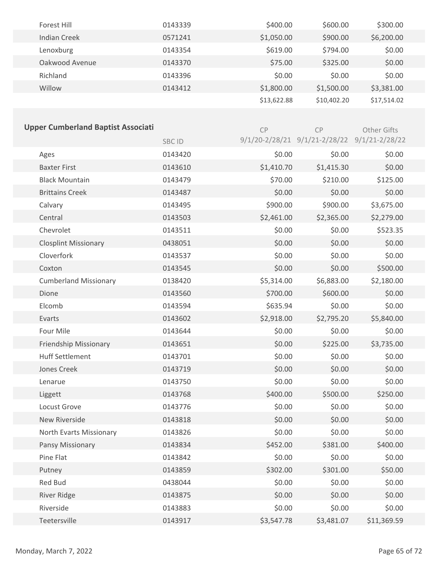| Forest Hill         | 0143339 | \$400.00    | \$600.00    | \$300.00    |
|---------------------|---------|-------------|-------------|-------------|
| <b>Indian Creek</b> | 0571241 | \$1,050.00  | \$900.00    | \$6,200.00  |
| Lenoxburg           | 0143354 | \$619.00    | \$794.00    | \$0.00      |
| Oakwood Avenue      | 0143370 | \$75.00     | \$325.00    | \$0.00      |
| Richland            | 0143396 | \$0.00      | \$0.00      | \$0.00      |
| Willow              | 0143412 | \$1,800.00  | \$1,500.00  | \$3,381.00  |
|                     |         | \$13,622.88 | \$10,402.20 | \$17,514.02 |

|         | CP         | CP         | Other Gifts                                  |
|---------|------------|------------|----------------------------------------------|
| SBC ID  |            |            |                                              |
| 0143420 | \$0.00     | \$0.00     | \$0.00                                       |
| 0143610 | \$1,410.70 | \$1,415.30 | \$0.00                                       |
| 0143479 | \$70.00    | \$210.00   | \$125.00                                     |
| 0143487 | \$0.00     | \$0.00     | \$0.00                                       |
| 0143495 | \$900.00   | \$900.00   | \$3,675.00                                   |
| 0143503 | \$2,461.00 | \$2,365.00 | \$2,279.00                                   |
| 0143511 | \$0.00     | \$0.00     | \$523.35                                     |
| 0438051 | \$0.00     | \$0.00     | \$0.00                                       |
| 0143537 | \$0.00     | \$0.00     | \$0.00                                       |
| 0143545 | \$0.00     | \$0.00     | \$500.00                                     |
| 0138420 | \$5,314.00 | \$6,883.00 | \$2,180.00                                   |
| 0143560 | \$700.00   | \$600.00   | \$0.00                                       |
| 0143594 | \$635.94   | \$0.00     | \$0.00                                       |
| 0143602 | \$2,918.00 | \$2,795.20 | \$5,840.00                                   |
| 0143644 | \$0.00     | \$0.00     | \$0.00                                       |
| 0143651 | \$0.00     | \$225.00   | \$3,735.00                                   |
| 0143701 | \$0.00     | \$0.00     | \$0.00                                       |
| 0143719 | \$0.00     | \$0.00     | \$0.00                                       |
| 0143750 | \$0.00     | \$0.00     | \$0.00                                       |
| 0143768 | \$400.00   | \$500.00   | \$250.00                                     |
| 0143776 | \$0.00     | \$0.00     | \$0.00                                       |
| 0143818 | \$0.00     | \$0.00     | \$0.00                                       |
| 0143826 | \$0.00     | \$0.00     | \$0.00                                       |
| 0143834 | \$452.00   | \$381.00   | \$400.00                                     |
| 0143842 | \$0.00     | \$0.00     | \$0.00                                       |
| 0143859 | \$302.00   | \$301.00   | \$50.00                                      |
| 0438044 | \$0.00     | \$0.00     | \$0.00                                       |
| 0143875 | \$0.00     | \$0.00     | \$0.00                                       |
| 0143883 | \$0.00     | \$0.00     | \$0.00                                       |
|         |            |            | 9/1/20-2/28/21 9/1/21-2/28/22 9/1/21-2/28/22 |

Teetersville 0143917 \$3,547.78 \$3,481.07 \$11,369.59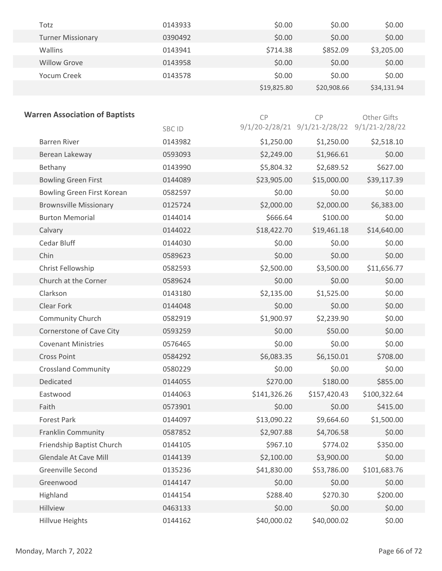| Totz                     | 0143933 | \$0.00      | \$0.00      | \$0.00      |
|--------------------------|---------|-------------|-------------|-------------|
| <b>Turner Missionary</b> | 0390492 | \$0.00      | \$0.00      | \$0.00      |
| <b>Wallins</b>           | 0143941 | \$714.38    | \$852.09    | \$3,205.00  |
| <b>Willow Grove</b>      | 0143958 | \$0.00      | \$0.00      | \$0.00      |
| Yocum Creek              | 0143578 | \$0.00      | \$0.00      | \$0.00      |
|                          |         | \$19,825.80 | \$20,908.66 | \$34,131.94 |

| <b>Warren Association of Baptists</b> |         | CP           | CP                                           | Other Gifts  |
|---------------------------------------|---------|--------------|----------------------------------------------|--------------|
|                                       | SBC ID  |              | 9/1/20-2/28/21 9/1/21-2/28/22 9/1/21-2/28/22 |              |
| <b>Barren River</b>                   | 0143982 | \$1,250.00   | \$1,250.00                                   | \$2,518.10   |
| Berean Lakeway                        | 0593093 | \$2,249.00   | \$1,966.61                                   | \$0.00       |
| Bethany                               | 0143990 | \$5,804.32   | \$2,689.52                                   | \$627.00     |
| <b>Bowling Green First</b>            | 0144089 | \$23,905.00  | \$15,000.00                                  | \$39,117.39  |
| Bowling Green First Korean            | 0582597 | \$0.00       | \$0.00                                       | \$0.00       |
| <b>Brownsville Missionary</b>         | 0125724 | \$2,000.00   | \$2,000.00                                   | \$6,383.00   |
| <b>Burton Memorial</b>                | 0144014 | \$666.64     | \$100.00                                     | \$0.00       |
| Calvary                               | 0144022 | \$18,422.70  | \$19,461.18                                  | \$14,640.00  |
| Cedar Bluff                           | 0144030 | \$0.00       | \$0.00                                       | \$0.00       |
| Chin                                  | 0589623 | \$0.00       | \$0.00                                       | \$0.00       |
| Christ Fellowship                     | 0582593 | \$2,500.00   | \$3,500.00                                   | \$11,656.77  |
| Church at the Corner                  | 0589624 | \$0.00       | \$0.00                                       | \$0.00       |
| Clarkson                              | 0143180 | \$2,135.00   | \$1,525.00                                   | \$0.00       |
| Clear Fork                            | 0144048 | \$0.00       | \$0.00                                       | \$0.00       |
| Community Church                      | 0582919 | \$1,900.97   | \$2,239.90                                   | \$0.00       |
| Cornerstone of Cave City              | 0593259 | \$0.00       | \$50.00                                      | \$0.00       |
| <b>Covenant Ministries</b>            | 0576465 | \$0.00       | \$0.00                                       | \$0.00       |
| <b>Cross Point</b>                    | 0584292 | \$6,083.35   | \$6,150.01                                   | \$708.00     |
| <b>Crossland Community</b>            | 0580229 | \$0.00       | \$0.00                                       | \$0.00       |
| Dedicated                             | 0144055 | \$270.00     | \$180.00                                     | \$855.00     |
| Eastwood                              | 0144063 | \$141,326.26 | \$157,420.43                                 | \$100,322.64 |
| Faith                                 | 0573901 | \$0.00       | \$0.00                                       | \$415.00     |
| <b>Forest Park</b>                    | 0144097 | \$13,090.22  | \$9,664.60                                   | \$1,500.00   |
| Franklin Community                    | 0587852 | \$2,907.88   | \$4,706.58                                   | \$0.00       |
| Friendship Baptist Church             | 0144105 | \$967.10     | \$774.02                                     | \$350.00     |
| <b>Glendale At Cave Mill</b>          | 0144139 | \$2,100.00   | \$3,900.00                                   | \$0.00       |
| Greenville Second                     | 0135236 | \$41,830.00  | \$53,786.00                                  | \$101,683.76 |
| Greenwood                             | 0144147 | \$0.00       | \$0.00                                       | \$0.00       |
| Highland                              | 0144154 | \$288.40     | \$270.30                                     | \$200.00     |
| Hillview                              | 0463133 | \$0.00       | \$0.00                                       | \$0.00       |
| <b>Hillvue Heights</b>                | 0144162 | \$40,000.02  | \$40,000.02                                  | \$0.00       |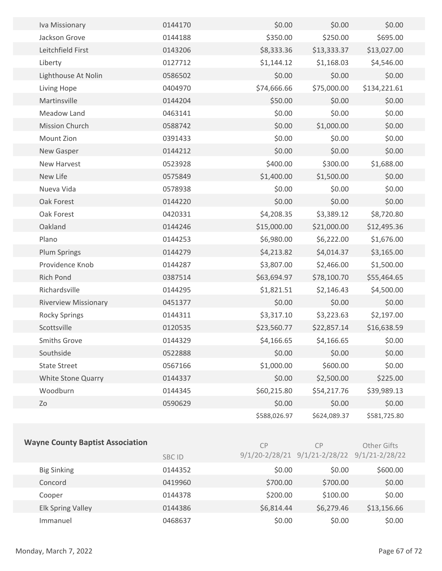| Iva Missionary              | 0144170 | \$0.00       | \$0.00       | \$0.00       |  |
|-----------------------------|---------|--------------|--------------|--------------|--|
| Jackson Grove               | 0144188 | \$350.00     | \$250.00     | \$695.00     |  |
| Leitchfield First           | 0143206 | \$8,333.36   | \$13,333.37  | \$13,027.00  |  |
| Liberty                     | 0127712 | \$1,144.12   | \$1,168.03   | \$4,546.00   |  |
| Lighthouse At Nolin         | 0586502 | \$0.00       | \$0.00       | \$0.00       |  |
| Living Hope                 | 0404970 | \$74,666.66  | \$75,000.00  | \$134,221.61 |  |
| Martinsville                | 0144204 | \$50.00      | \$0.00       | \$0.00       |  |
| Meadow Land                 | 0463141 | \$0.00       | \$0.00       | \$0.00       |  |
| Mission Church              | 0588742 | \$0.00       | \$1,000.00   | \$0.00       |  |
| Mount Zion                  | 0391433 | \$0.00       | \$0.00       | \$0.00       |  |
| New Gasper                  | 0144212 | \$0.00       | \$0.00       | \$0.00       |  |
| <b>New Harvest</b>          | 0523928 | \$400.00     | \$300.00     | \$1,688.00   |  |
| New Life                    | 0575849 | \$1,400.00   | \$1,500.00   | \$0.00       |  |
| Nueva Vida                  | 0578938 | \$0.00       | \$0.00       | \$0.00       |  |
| Oak Forest                  | 0144220 | \$0.00       | \$0.00       | \$0.00       |  |
| Oak Forest                  | 0420331 | \$4,208.35   | \$3,389.12   | \$8,720.80   |  |
| Oakland                     | 0144246 | \$15,000.00  | \$21,000.00  | \$12,495.36  |  |
| Plano                       | 0144253 | \$6,980.00   | \$6,222.00   | \$1,676.00   |  |
| <b>Plum Springs</b>         | 0144279 | \$4,213.82   | \$4,014.37   | \$3,165.00   |  |
| Providence Knob             | 0144287 | \$3,807.00   | \$2,466.00   | \$1,500.00   |  |
| <b>Rich Pond</b>            | 0387514 | \$63,694.97  | \$78,100.70  | \$55,464.65  |  |
| Richardsville               | 0144295 | \$1,821.51   | \$2,146.43   | \$4,500.00   |  |
| <b>Riverview Missionary</b> | 0451377 | \$0.00       | \$0.00       | \$0.00       |  |
| <b>Rocky Springs</b>        | 0144311 | \$3,317.10   | \$3,223.63   | \$2,197.00   |  |
| Scottsville                 | 0120535 | \$23,560.77  | \$22,857.14  | \$16,638.59  |  |
| <b>Smiths Grove</b>         | 0144329 | \$4,166.65   | \$4,166.65   | \$0.00       |  |
| Southside                   | 0522888 | \$0.00       | \$0.00       | \$0.00       |  |
| <b>State Street</b>         | 0567166 | \$1,000.00   | \$600.00     | \$0.00       |  |
| White Stone Quarry          | 0144337 | \$0.00       | \$2,500.00   | \$225.00     |  |
| Woodburn                    | 0144345 | \$60,215.80  | \$54,217.76  | \$39,989.13  |  |
| Zo                          | 0590629 | \$0.00       | \$0.00       | \$0.00       |  |
|                             |         | \$588,026.97 | \$624,089.37 | \$581,725.80 |  |
|                             |         |              |              |              |  |

| <b>Wayne County Baptist Association</b> | <b>SBC ID</b> | CP         | <b>CP</b><br>$9/1/20 - 2/28/21$ $9/1/21 - 2/28/22$ | Other Gifts<br>$9/1/21 - 2/28/22$ |  |
|-----------------------------------------|---------------|------------|----------------------------------------------------|-----------------------------------|--|
|                                         |               |            |                                                    |                                   |  |
| <b>Big Sinking</b>                      | 0144352       | \$0.00     | \$0.00                                             | \$600.00                          |  |
| Concord                                 | 0419960       | \$700.00   | \$700.00                                           | \$0.00                            |  |
| Cooper                                  | 0144378       | \$200.00   | \$100.00                                           | \$0.00                            |  |
| <b>Elk Spring Valley</b>                | 0144386       | \$6,814.44 | \$6,279.46                                         | \$13,156.66                       |  |
| Immanuel                                | 0468637       | \$0.00     | \$0.00                                             | \$0.00                            |  |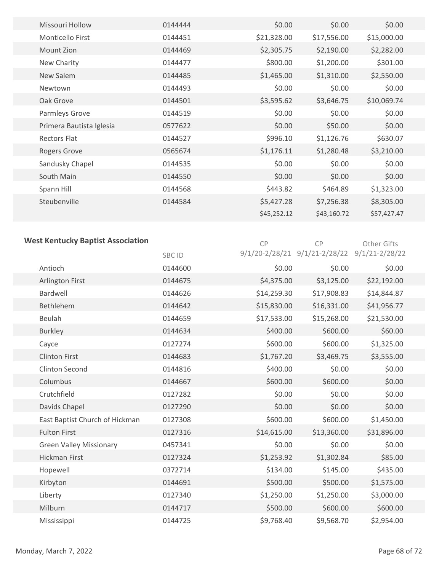| <b>Missouri Hollow</b>   | 0144444 | \$0.00      | \$0.00      | \$0.00      |
|--------------------------|---------|-------------|-------------|-------------|
| Monticello First         | 0144451 | \$21,328.00 | \$17,556.00 | \$15,000.00 |
| Mount Zion               | 0144469 | \$2,305.75  | \$2,190.00  | \$2,282.00  |
| New Charity              | 0144477 | \$800.00    | \$1,200.00  | \$301.00    |
| New Salem                | 0144485 | \$1,465.00  | \$1,310.00  | \$2,550.00  |
| Newtown                  | 0144493 | \$0.00      | \$0.00      | \$0.00      |
| Oak Grove                | 0144501 | \$3,595.62  | \$3,646.75  | \$10,069.74 |
| Parmleys Grove           | 0144519 | \$0.00      | \$0.00      | \$0.00      |
| Primera Bautista Iglesia | 0577622 | \$0.00      | \$50.00     | \$0.00      |
| <b>Rectors Flat</b>      | 0144527 | \$996.10    | \$1,126.76  | \$630.07    |
| Rogers Grove             | 0565674 | \$1,176.11  | \$1,280.48  | \$3,210.00  |
| Sandusky Chapel          | 0144535 | \$0.00      | \$0.00      | \$0.00      |
| South Main               | 0144550 | \$0.00      | \$0.00      | \$0.00      |
| Spann Hill               | 0144568 | \$443.82    | \$464.89    | \$1,323.00  |
| Steubenville             | 0144584 | \$5,427.28  | \$7,256.38  | \$8,305.00  |
|                          |         | \$45,252.12 | \$43,160.72 | \$57,427.47 |

## **West Kentucky Baptist Association**

CP CP Other Gifts

|                                | SBC ID  |             | 9/1/20-2/28/21 9/1/21-2/28/22 9/1/21-2/28/22 |             |  |
|--------------------------------|---------|-------------|----------------------------------------------|-------------|--|
| Antioch                        | 0144600 | \$0.00      | \$0.00                                       | \$0.00      |  |
| Arlington First                | 0144675 | \$4,375.00  | \$3,125.00                                   | \$22,192.00 |  |
| Bardwell                       | 0144626 | \$14,259.30 | \$17,908.83                                  | \$14,844.87 |  |
| Bethlehem                      | 0144642 | \$15,830.00 | \$16,331.00                                  | \$41,956.77 |  |
| Beulah                         | 0144659 | \$17,533.00 | \$15,268.00                                  | \$21,530.00 |  |
| <b>Burkley</b>                 | 0144634 | \$400.00    | \$600.00                                     | \$60.00     |  |
| Cayce                          | 0127274 | \$600.00    | \$600.00                                     | \$1,325.00  |  |
| <b>Clinton First</b>           | 0144683 | \$1,767.20  | \$3,469.75                                   | \$3,555.00  |  |
| Clinton Second                 | 0144816 | \$400.00    | \$0.00                                       | \$0.00      |  |
| Columbus                       | 0144667 | \$600.00    | \$600.00                                     | \$0.00      |  |
| Crutchfield                    | 0127282 | \$0.00      | \$0.00                                       | \$0.00      |  |
| Davids Chapel                  | 0127290 | \$0.00      | \$0.00                                       | \$0.00      |  |
| East Baptist Church of Hickman | 0127308 | \$600.00    | \$600.00                                     | \$1,450.00  |  |
| <b>Fulton First</b>            | 0127316 | \$14,615.00 | \$13,360.00                                  | \$31,896.00 |  |
| <b>Green Valley Missionary</b> | 0457341 | \$0.00      | \$0.00                                       | \$0.00      |  |
| <b>Hickman First</b>           | 0127324 | \$1,253.92  | \$1,302.84                                   | \$85.00     |  |
| Hopewell                       | 0372714 | \$134.00    | \$145.00                                     | \$435.00    |  |
| Kirbyton                       | 0144691 | \$500.00    | \$500.00                                     | \$1,575.00  |  |
| Liberty                        | 0127340 | \$1,250.00  | \$1,250.00                                   | \$3,000.00  |  |
| Milburn                        | 0144717 | \$500.00    | \$600.00                                     | \$600.00    |  |
| Mississippi                    | 0144725 | \$9,768.40  | \$9,568.70                                   | \$2,954.00  |  |
|                                |         |             |                                              |             |  |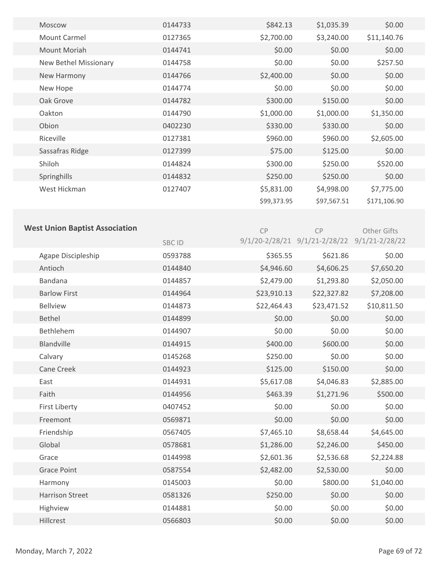| Moscow                                | 0144733 | \$842.13    | \$1,035.39                                   | \$0.00       |  |
|---------------------------------------|---------|-------------|----------------------------------------------|--------------|--|
| <b>Mount Carmel</b>                   | 0127365 | \$2,700.00  | \$3,240.00                                   | \$11,140.76  |  |
| Mount Moriah                          | 0144741 | \$0.00      | \$0.00                                       | \$0.00       |  |
| New Bethel Missionary                 | 0144758 | \$0.00      | \$0.00                                       | \$257.50     |  |
| New Harmony                           | 0144766 | \$2,400.00  | \$0.00                                       | \$0.00       |  |
| New Hope                              | 0144774 | \$0.00      | \$0.00                                       | \$0.00       |  |
| Oak Grove                             | 0144782 | \$300.00    | \$150.00                                     | \$0.00       |  |
| Oakton                                | 0144790 | \$1,000.00  | \$1,000.00                                   | \$1,350.00   |  |
| Obion                                 | 0402230 | \$330.00    | \$330.00                                     | \$0.00       |  |
| Riceville                             | 0127381 | \$960.00    | \$960.00                                     | \$2,605.00   |  |
| Sassafras Ridge                       | 0127399 | \$75.00     | \$125.00                                     | \$0.00       |  |
| Shiloh                                | 0144824 | \$300.00    | \$250.00                                     | \$520.00     |  |
| Springhills                           | 0144832 | \$250.00    | \$250.00                                     | \$0.00       |  |
| West Hickman                          | 0127407 | \$5,831.00  | \$4,998.00                                   | \$7,775.00   |  |
|                                       |         | \$99,373.95 | \$97,567.51                                  | \$171,106.90 |  |
|                                       |         |             |                                              |              |  |
| <b>West Union Baptist Association</b> |         | CP          | CP                                           | Other Gifts  |  |
|                                       | SBC ID  |             | 9/1/20-2/28/21 9/1/21-2/28/22 9/1/21-2/28/22 |              |  |
| Agape Discipleship                    | 0593788 | \$365.55    | \$621.86                                     | \$0.00       |  |
| Antioch                               | 0144840 | \$4,946.60  | \$4,606.25                                   | \$7,650.20   |  |
| Bandana                               | 0144857 | \$2,479.00  | \$1,293.80                                   | \$2,050.00   |  |
| <b>Barlow First</b>                   | 0144964 | \$23,910.13 | \$22,327.82                                  | \$7,208.00   |  |
| <b>Bellview</b>                       | 0144873 | \$22,464.43 | \$23,471.52                                  | \$10,811.50  |  |
| Bethel                                | 0144899 | \$0.00      | \$0.00                                       | \$0.00       |  |
| Bethlehem                             | 0144907 | \$0.00      | \$0.00                                       | \$0.00       |  |
| <b>Blandville</b>                     | 0144915 | \$400.00    | \$600.00                                     | \$0.00       |  |
| Calvary                               | 0145268 | \$250.00    | \$0.00                                       | \$0.00       |  |
| Cane Creek                            | 0144923 | \$125.00    | \$150.00                                     | \$0.00       |  |
| East                                  | 0144931 | \$5,617.08  | \$4,046.83                                   | \$2,885.00   |  |
| Faith                                 | 0144956 | \$463.39    | \$1,271.96                                   | \$500.00     |  |
| <b>First Liberty</b>                  | 0407452 | \$0.00      | \$0.00                                       | \$0.00       |  |
| Freemont                              | 0569871 | \$0.00      | \$0.00                                       | \$0.00       |  |
| Friendship                            | 0567405 | \$7,465.10  | \$8,658.44                                   | \$4,645.00   |  |
| Global                                | 0578681 | \$1,286.00  | \$2,246.00                                   | \$450.00     |  |
| Grace                                 | 0144998 | \$2,601.36  | \$2,536.68                                   | \$2,224.88   |  |
| <b>Grace Point</b>                    | 0587554 | \$2,482.00  | \$2,530.00                                   | \$0.00       |  |
| Harmony                               | 0145003 | \$0.00      | \$800.00                                     | \$1,040.00   |  |
| <b>Harrison Street</b>                | 0581326 | \$250.00    | \$0.00                                       | \$0.00       |  |
| Highview                              | 0144881 | \$0.00      | \$0.00                                       | \$0.00       |  |
| Hillcrest                             | 0566803 | \$0.00      | \$0.00                                       | \$0.00       |  |
|                                       |         |             |                                              |              |  |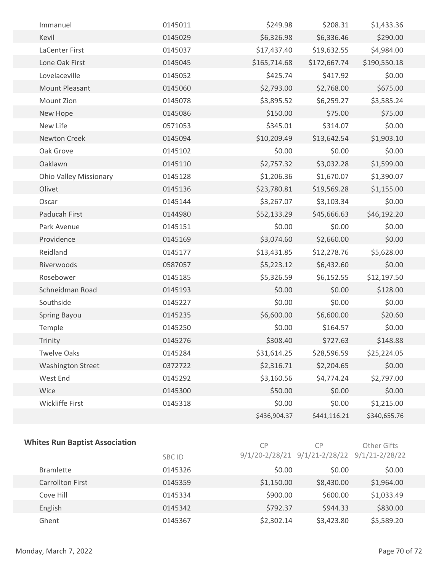| Immanuel                      | 0145011 | \$249.98     | \$208.31     | \$1,433.36   |  |
|-------------------------------|---------|--------------|--------------|--------------|--|
|                               |         |              |              |              |  |
| Kevil                         | 0145029 | \$6,326.98   | \$6,336.46   | \$290.00     |  |
| LaCenter First                | 0145037 | \$17,437.40  | \$19,632.55  | \$4,984.00   |  |
| Lone Oak First                | 0145045 | \$165,714.68 | \$172,667.74 | \$190,550.18 |  |
| Lovelaceville                 | 0145052 | \$425.74     | \$417.92     | \$0.00       |  |
| <b>Mount Pleasant</b>         | 0145060 | \$2,793.00   | \$2,768.00   | \$675.00     |  |
| Mount Zion                    | 0145078 | \$3,895.52   | \$6,259.27   | \$3,585.24   |  |
| New Hope                      | 0145086 | \$150.00     | \$75.00      | \$75.00      |  |
| New Life                      | 0571053 | \$345.01     | \$314.07     | \$0.00       |  |
| Newton Creek                  | 0145094 | \$10,209.49  | \$13,642.54  | \$1,903.10   |  |
| Oak Grove                     | 0145102 | \$0.00       | \$0.00       | \$0.00       |  |
| Oaklawn                       | 0145110 | \$2,757.32   | \$3,032.28   | \$1,599.00   |  |
| <b>Ohio Valley Missionary</b> | 0145128 | \$1,206.36   | \$1,670.07   | \$1,390.07   |  |
| Olivet                        | 0145136 | \$23,780.81  | \$19,569.28  | \$1,155.00   |  |
| Oscar                         | 0145144 | \$3,267.07   | \$3,103.34   | \$0.00       |  |
| Paducah First                 | 0144980 | \$52,133.29  | \$45,666.63  | \$46,192.20  |  |
| Park Avenue                   | 0145151 | \$0.00       | \$0.00       | \$0.00       |  |
| Providence                    | 0145169 | \$3,074.60   | \$2,660.00   | \$0.00       |  |
| Reidland                      | 0145177 | \$13,431.85  | \$12,278.76  | \$5,628.00   |  |
| Riverwoods                    | 0587057 | \$5,223.12   | \$6,432.60   | \$0.00       |  |
| Rosebower                     | 0145185 | \$5,326.59   | \$6,152.55   | \$12,197.50  |  |
| Schneidman Road               | 0145193 | \$0.00       | \$0.00       | \$128.00     |  |
| Southside                     | 0145227 | \$0.00       | \$0.00       | \$0.00       |  |
| Spring Bayou                  | 0145235 | \$6,600.00   | \$6,600.00   | \$20.60      |  |
| Temple                        | 0145250 | \$0.00       | \$164.57     | \$0.00       |  |
| Trinity                       | 0145276 | \$308.40     | \$727.63     | \$148.88     |  |
| <b>Twelve Oaks</b>            | 0145284 | \$31,614.25  | \$28,596.59  | \$25,224.05  |  |
| <b>Washington Street</b>      | 0372722 | \$2,316.71   | \$2,204.65   | \$0.00       |  |
| West End                      | 0145292 | \$3,160.56   | \$4,774.24   | \$2,797.00   |  |
| Wice                          | 0145300 | \$50.00      | \$0.00       | \$0.00       |  |
| Wickliffe First               | 0145318 | \$0.00       | \$0.00       | \$1,215.00   |  |
|                               |         | \$436,904.37 | \$441,116.21 | \$340,655.76 |  |
|                               |         |              |              |              |  |

### **Whites Run Baptist Association**

CP CP Other Gifts

|                         | <b>SBC ID</b> |            | $9/1/20 - 2/28/21$ $9/1/21 - 2/28/22$ $9/1/21 - 2/28/22$ |            |  |
|-------------------------|---------------|------------|----------------------------------------------------------|------------|--|
| <b>Bramlette</b>        | 0145326       | \$0.00     | \$0.00                                                   | \$0.00     |  |
| <b>Carrollton First</b> | 0145359       | \$1,150.00 | \$8,430.00                                               | \$1,964.00 |  |
| Cove Hill               | 0145334       | \$900.00   | \$600.00                                                 | \$1,033.49 |  |
| English                 | 0145342       | \$792.37   | \$944.33                                                 | \$830.00   |  |
| Ghent                   | 0145367       | \$2,302.14 | \$3,423.80                                               | \$5,589.20 |  |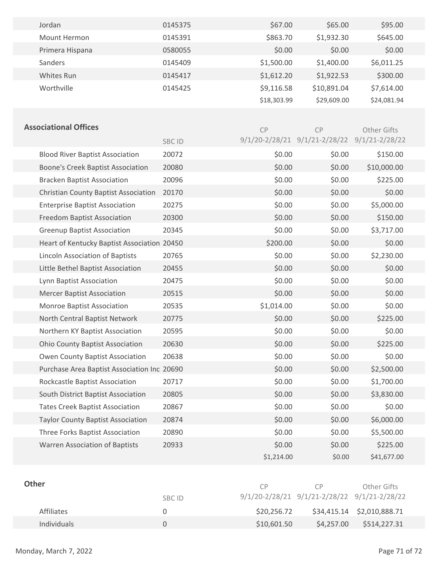| Jordan                                      | 0145375      | \$67.00     | \$65.00                                      | \$95.00     |  |
|---------------------------------------------|--------------|-------------|----------------------------------------------|-------------|--|
| Mount Hermon                                | 0145391      | \$863.70    | \$1,932.30                                   | \$645.00    |  |
| Primera Hispana                             | 0580055      | \$0.00      | \$0.00                                       | \$0.00      |  |
| Sanders                                     | 0145409      | \$1,500.00  | \$1,400.00                                   | \$6,011.25  |  |
| Whites Run                                  | 0145417      | \$1,612.20  | \$1,922.53                                   | \$300.00    |  |
| Worthville                                  | 0145425      | \$9,116.58  | \$10,891.04                                  | \$7,614.00  |  |
|                                             |              | \$18,303.99 | \$29,609.00                                  | \$24,081.94 |  |
|                                             |              |             |                                              |             |  |
| <b>Associational Offices</b>                |              | CP          | <b>CP</b>                                    | Other Gifts |  |
|                                             | <b>SBCID</b> |             | 9/1/20-2/28/21 9/1/21-2/28/22 9/1/21-2/28/22 |             |  |
| <b>Blood River Baptist Association</b>      | 20072        | \$0.00      | \$0.00                                       | \$150.00    |  |
| <b>Boone's Creek Baptist Association</b>    | 20080        | \$0.00      | \$0.00                                       | \$10,000.00 |  |
| <b>Bracken Baptist Association</b>          | 20096        | \$0.00      | \$0.00                                       | \$225.00    |  |
| <b>Christian County Baptist Association</b> | 20170        | \$0.00      | \$0.00                                       | \$0.00      |  |
| <b>Enterprise Baptist Association</b>       | 20275        | \$0.00      | \$0.00                                       | \$5,000.00  |  |
| <b>Freedom Baptist Association</b>          | 20300        | \$0.00      | \$0.00                                       | \$150.00    |  |
| <b>Greenup Baptist Association</b>          | 20345        | \$0.00      | \$0.00                                       | \$3,717.00  |  |
| Heart of Kentucky Baptist Association 20450 |              | \$200.00    | \$0.00                                       | \$0.00      |  |
| Lincoln Association of Baptists             | 20765        | \$0.00      | \$0.00                                       | \$2,230.00  |  |
| Little Bethel Baptist Association           | 20455        | \$0.00      | \$0.00                                       | \$0.00      |  |
| Lynn Baptist Association                    | 20475        | \$0.00      | \$0.00                                       | \$0.00      |  |
| <b>Mercer Baptist Association</b>           | 20515        | \$0.00      | \$0.00                                       | \$0.00      |  |
| Monroe Baptist Association                  | 20535        | \$1,014.00  | \$0.00                                       | \$0.00      |  |
| North Central Baptist Network               | 20775        | \$0.00      | \$0.00                                       | \$225.00    |  |
| Northern KY Baptist Association             | 20595        | \$0.00      | \$0.00                                       | \$0.00      |  |
| <b>Ohio County Baptist Association</b>      | 20630        | \$0.00      | \$0.00                                       | \$225.00    |  |
| Owen County Baptist Association             | 20638        | \$0.00      | \$0.00                                       | \$0.00      |  |
| Purchase Area Baptist Association Inc 20690 |              | \$0.00      | \$0.00                                       | \$2,500.00  |  |
| Rockcastle Baptist Association              | 20717        | \$0.00      | \$0.00                                       | \$1,700.00  |  |
| South District Baptist Association          | 20805        | \$0.00      | \$0.00                                       | \$3,830.00  |  |
| <b>Tates Creek Baptist Association</b>      | 20867        | \$0.00      | \$0.00                                       | \$0.00      |  |
| <b>Taylor County Baptist Association</b>    | 20874        | \$0.00      | \$0.00                                       | \$6,000.00  |  |
| Three Forks Baptist Association             | 20890        | \$0.00      | \$0.00                                       | \$5,500.00  |  |
| <b>Warren Association of Baptists</b>       | 20933        | \$0.00      | \$0.00                                       | \$225.00    |  |
|                                             |              | \$1,214.00  | \$0.00                                       | \$41,677.00 |  |
|                                             |              |             |                                              |             |  |

| <b>Other</b>       | SBC ID | CP.         | CP.<br>$9/1/20 - 2/28/21$ $9/1/21 - 2/28/22$ $9/1/21 - 2/28/22$ | Other Gifts                |  |
|--------------------|--------|-------------|-----------------------------------------------------------------|----------------------------|--|
| <b>Affiliates</b>  |        | \$20,256.72 |                                                                 | \$34,415.14 \$2,010,888.71 |  |
| <b>Individuals</b> |        | \$10,601.50 | \$4,257.00                                                      | \$514,227.31               |  |